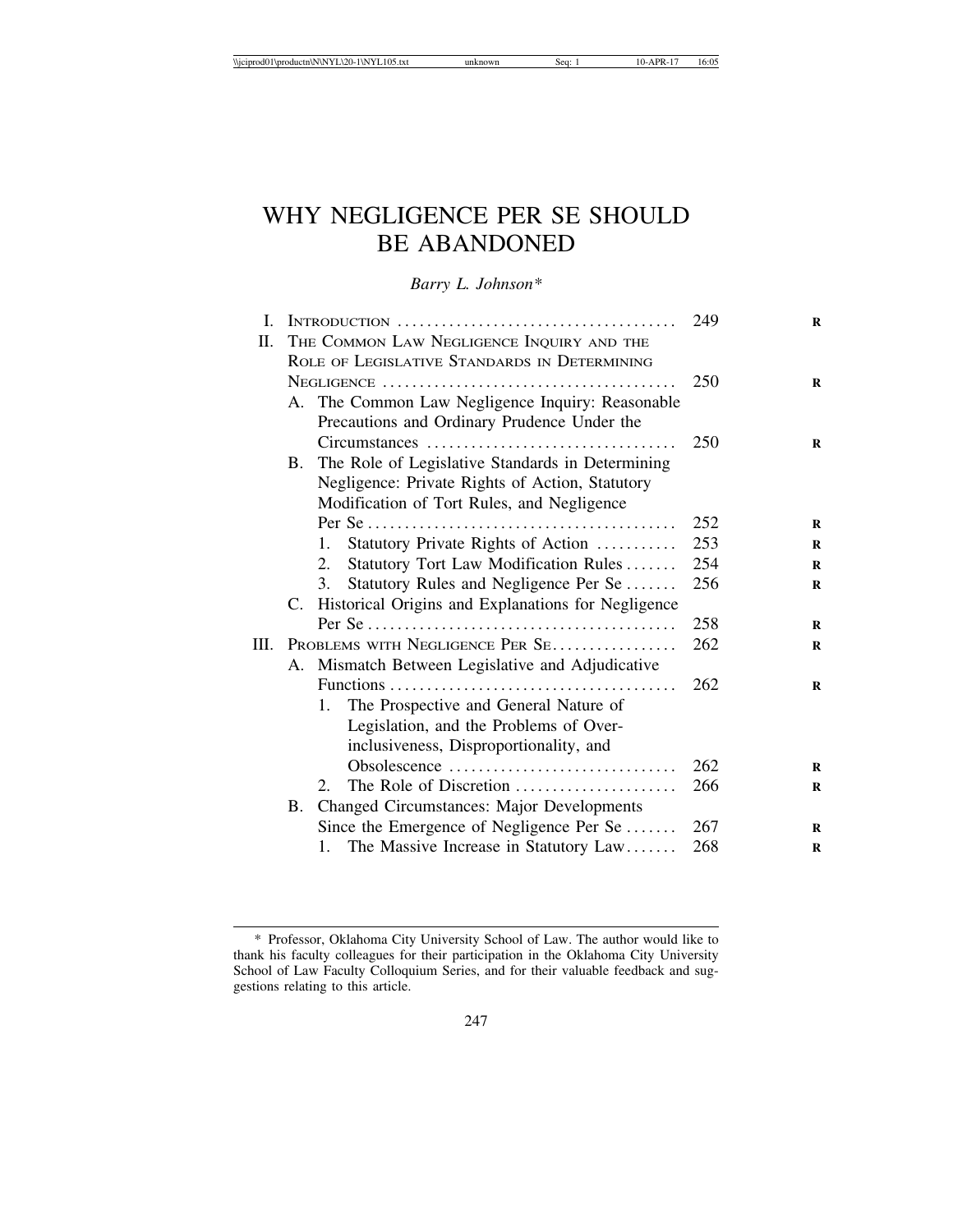# WHY NEGLIGENCE PER SE SHOULD BE ABANDONED

*Barry L. Johnson\**

| I.   |                                            |                                                                                                 | 249 |
|------|--------------------------------------------|-------------------------------------------------------------------------------------------------|-----|
| П.   |                                            | THE COMMON LAW NEGLIGENCE INQUIRY AND THE                                                       |     |
|      |                                            | ROLE OF LEGISLATIVE STANDARDS IN DETERMINING                                                    |     |
|      |                                            |                                                                                                 | 250 |
|      |                                            | A. The Common Law Negligence Inquiry: Reasonable<br>Precautions and Ordinary Prudence Under the |     |
|      |                                            | Circumstances                                                                                   | 250 |
|      | <b>B.</b>                                  | The Role of Legislative Standards in Determining                                                |     |
|      |                                            | Negligence: Private Rights of Action, Statutory                                                 |     |
|      | Modification of Tort Rules, and Negligence |                                                                                                 |     |
|      |                                            |                                                                                                 | 252 |
|      |                                            | Statutory Private Rights of Action<br>1.                                                        | 253 |
|      |                                            | Statutory Tort Law Modification Rules<br>2.                                                     | 254 |
|      |                                            | 3.<br>Statutory Rules and Negligence Per Se                                                     | 256 |
|      |                                            | C. Historical Origins and Explanations for Negligence                                           |     |
|      |                                            |                                                                                                 | 258 |
| III. | PROBLEMS WITH NEGLIGENCE PER SE            |                                                                                                 | 262 |
|      |                                            | A. Mismatch Between Legislative and Adjudicative                                                |     |
|      |                                            |                                                                                                 | 262 |
|      |                                            | The Prospective and General Nature of<br>1.                                                     |     |
|      |                                            | Legislation, and the Problems of Over-                                                          |     |
|      |                                            | inclusiveness, Disproportionality, and                                                          |     |
|      |                                            | Obsolescence                                                                                    | 262 |
|      |                                            | The Role of Discretion<br>2.                                                                    | 266 |
|      |                                            | B. Changed Circumstances: Major Developments                                                    |     |
|      |                                            | Since the Emergence of Negligence Per Se                                                        | 267 |
|      |                                            | 1. The Massive Increase in Statutory Law                                                        | 268 |

<sup>\*</sup> Professor, Oklahoma City University School of Law. The author would like to thank his faculty colleagues for their participation in the Oklahoma City University School of Law Faculty Colloquium Series, and for their valuable feedback and suggestions relating to this article.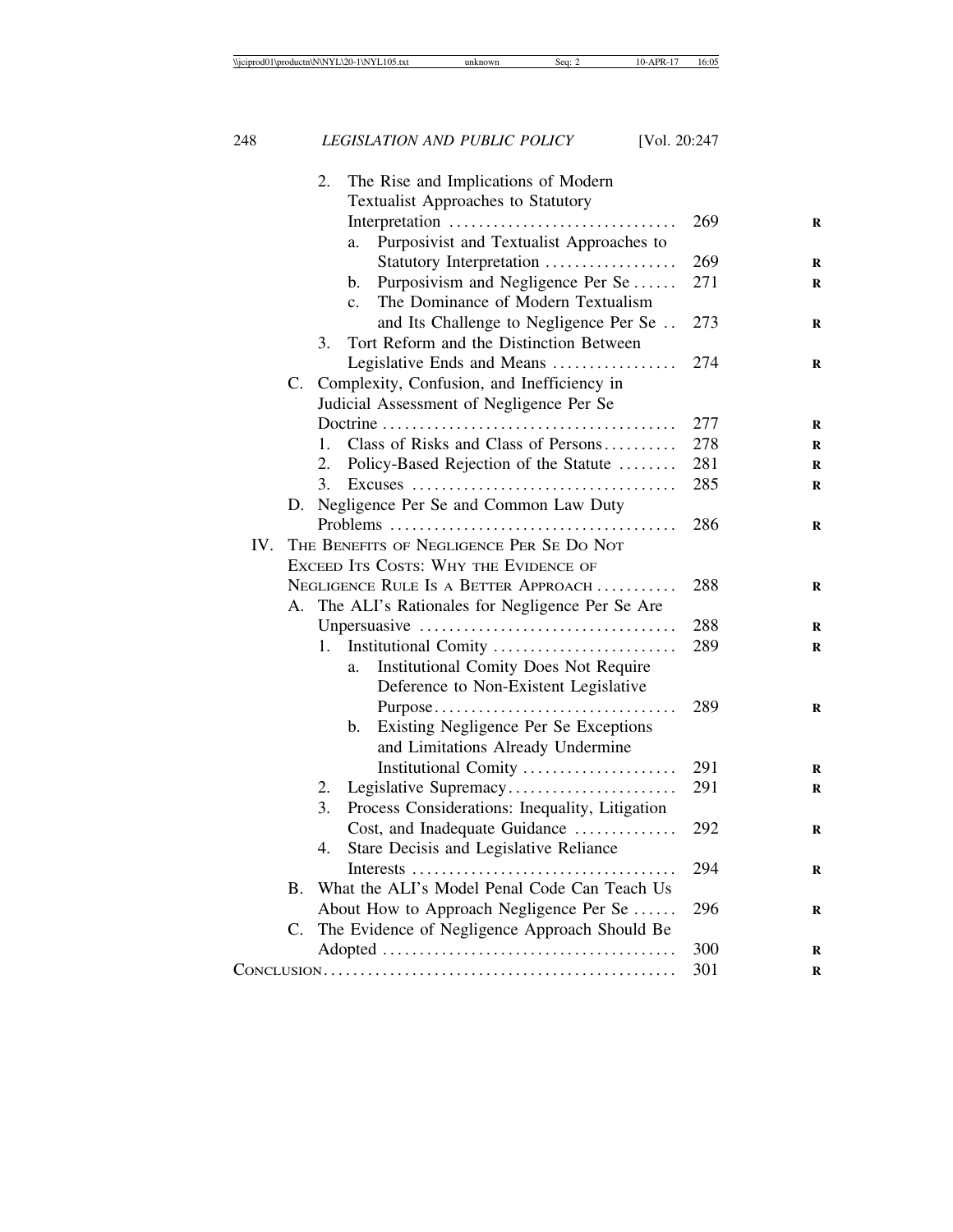|     |                | The Rise and Implications of Modern<br>2.            |     |
|-----|----------------|------------------------------------------------------|-----|
|     |                | <b>Textualist Approaches to Statutory</b>            |     |
|     |                | Interpretation                                       | 269 |
|     |                | Purposivist and Textualist Approaches to<br>a.       |     |
|     |                | Statutory Interpretation                             | 269 |
|     |                | Purposivism and Negligence Per Se<br>b.              | 271 |
|     |                | The Dominance of Modern Textualism<br>$\mathbf{c}$ . |     |
|     |                | and Its Challenge to Negligence Per Se               | 273 |
|     |                | Tort Reform and the Distinction Between<br>3.        |     |
|     |                | Legislative Ends and Means                           | 274 |
|     | $\mathbf{C}$ . | Complexity, Confusion, and Inefficiency in           |     |
|     |                | Judicial Assessment of Negligence Per Se             |     |
|     |                |                                                      | 277 |
|     |                | Class of Risks and Class of Persons<br>1.            | 278 |
|     |                | 2.<br>Policy-Based Rejection of the Statute          | 281 |
|     |                | 3.                                                   | 285 |
|     |                | D. Negligence Per Se and Common Law Duty             |     |
|     |                |                                                      | 286 |
| IV. |                | THE BENEFITS OF NEGLIGENCE PER SE DO NOT             |     |
|     |                | EXCEED ITS COSTS: WHY THE EVIDENCE OF                |     |
|     |                | NEGLIGENCE RULE IS A BETTER APPROACH                 | 288 |
|     | А.             | The ALI's Rationales for Negligence Per Se Are       |     |
|     |                |                                                      | 288 |
|     |                | Institutional Comity<br>1.                           | 289 |
|     |                | <b>Institutional Comity Does Not Require</b><br>a.   |     |
|     |                | Deference to Non-Existent Legislative                |     |
|     |                | Purpose                                              | 289 |
|     |                | Existing Negligence Per Se Exceptions<br>b.          |     |
|     |                | and Limitations Already Undermine                    |     |
|     |                | Institutional Comity                                 | 291 |
|     |                | 2.<br>Legislative Supremacy                          | 291 |
|     |                | 3.<br>Process Considerations: Inequality, Litigation |     |
|     |                | Cost, and Inadequate Guidance                        | 292 |
|     |                | 4.<br>Stare Decisis and Legislative Reliance         |     |
|     | <b>B.</b>      | What the ALI's Model Penal Code Can Teach Us         | 294 |
|     |                |                                                      | 296 |
|     | C.             | About How to Approach Negligence Per Se              |     |
|     |                | The Evidence of Negligence Approach Should Be        | 300 |
|     |                |                                                      | 301 |
|     |                |                                                      |     |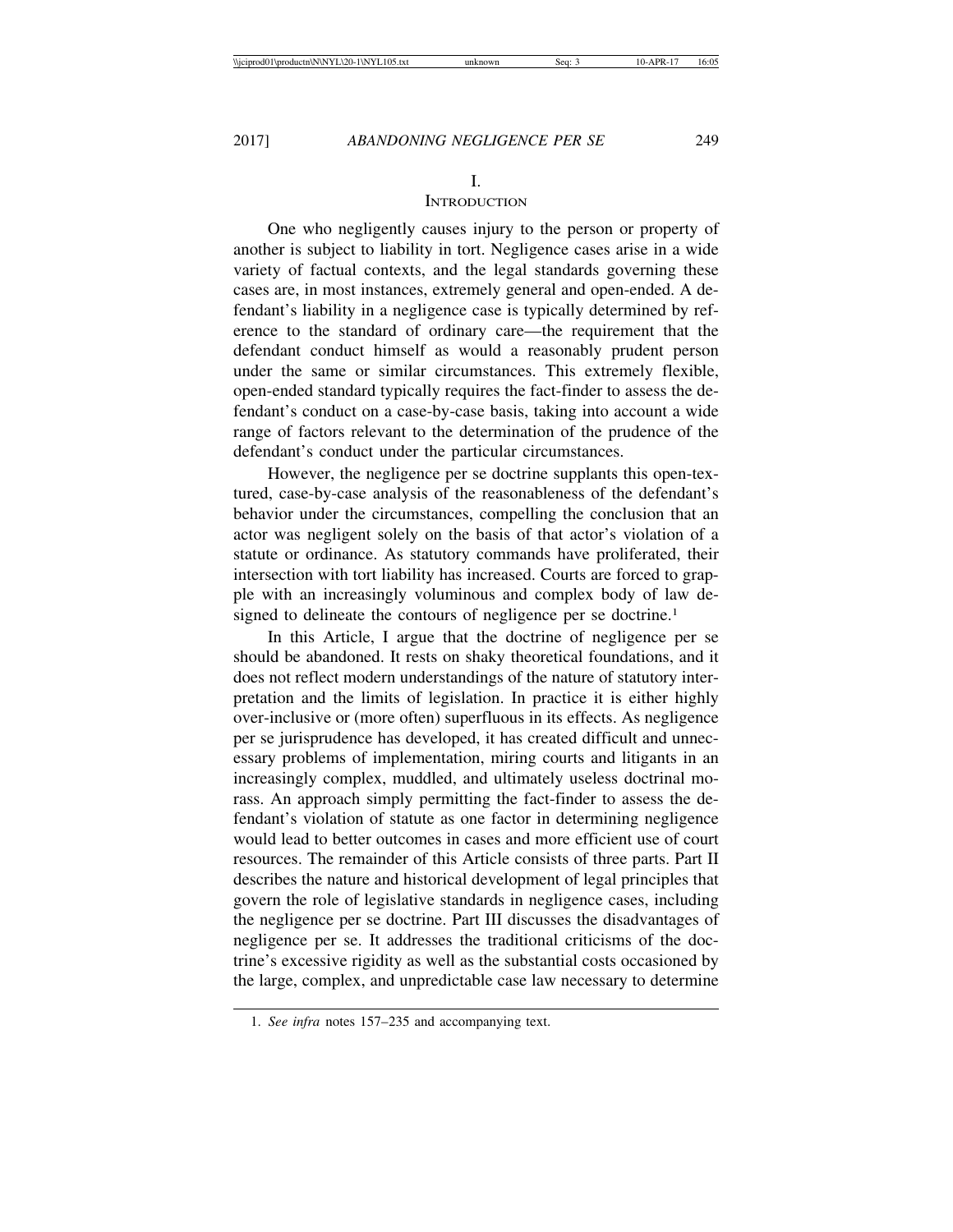#### I.

## **INTRODUCTION**

One who negligently causes injury to the person or property of another is subject to liability in tort. Negligence cases arise in a wide variety of factual contexts, and the legal standards governing these cases are, in most instances, extremely general and open-ended. A defendant's liability in a negligence case is typically determined by reference to the standard of ordinary care—the requirement that the defendant conduct himself as would a reasonably prudent person under the same or similar circumstances. This extremely flexible, open-ended standard typically requires the fact-finder to assess the defendant's conduct on a case-by-case basis, taking into account a wide range of factors relevant to the determination of the prudence of the defendant's conduct under the particular circumstances.

However, the negligence per se doctrine supplants this open-textured, case-by-case analysis of the reasonableness of the defendant's behavior under the circumstances, compelling the conclusion that an actor was negligent solely on the basis of that actor's violation of a statute or ordinance. As statutory commands have proliferated, their intersection with tort liability has increased. Courts are forced to grapple with an increasingly voluminous and complex body of law designed to delineate the contours of negligence per se doctrine.<sup>1</sup>

In this Article, I argue that the doctrine of negligence per se should be abandoned. It rests on shaky theoretical foundations, and it does not reflect modern understandings of the nature of statutory interpretation and the limits of legislation. In practice it is either highly over-inclusive or (more often) superfluous in its effects. As negligence per se jurisprudence has developed, it has created difficult and unnecessary problems of implementation, miring courts and litigants in an increasingly complex, muddled, and ultimately useless doctrinal morass. An approach simply permitting the fact-finder to assess the defendant's violation of statute as one factor in determining negligence would lead to better outcomes in cases and more efficient use of court resources. The remainder of this Article consists of three parts. Part II describes the nature and historical development of legal principles that govern the role of legislative standards in negligence cases, including the negligence per se doctrine. Part III discusses the disadvantages of negligence per se. It addresses the traditional criticisms of the doctrine's excessive rigidity as well as the substantial costs occasioned by the large, complex, and unpredictable case law necessary to determine

<sup>1.</sup> *See infra* notes 157–235 and accompanying text.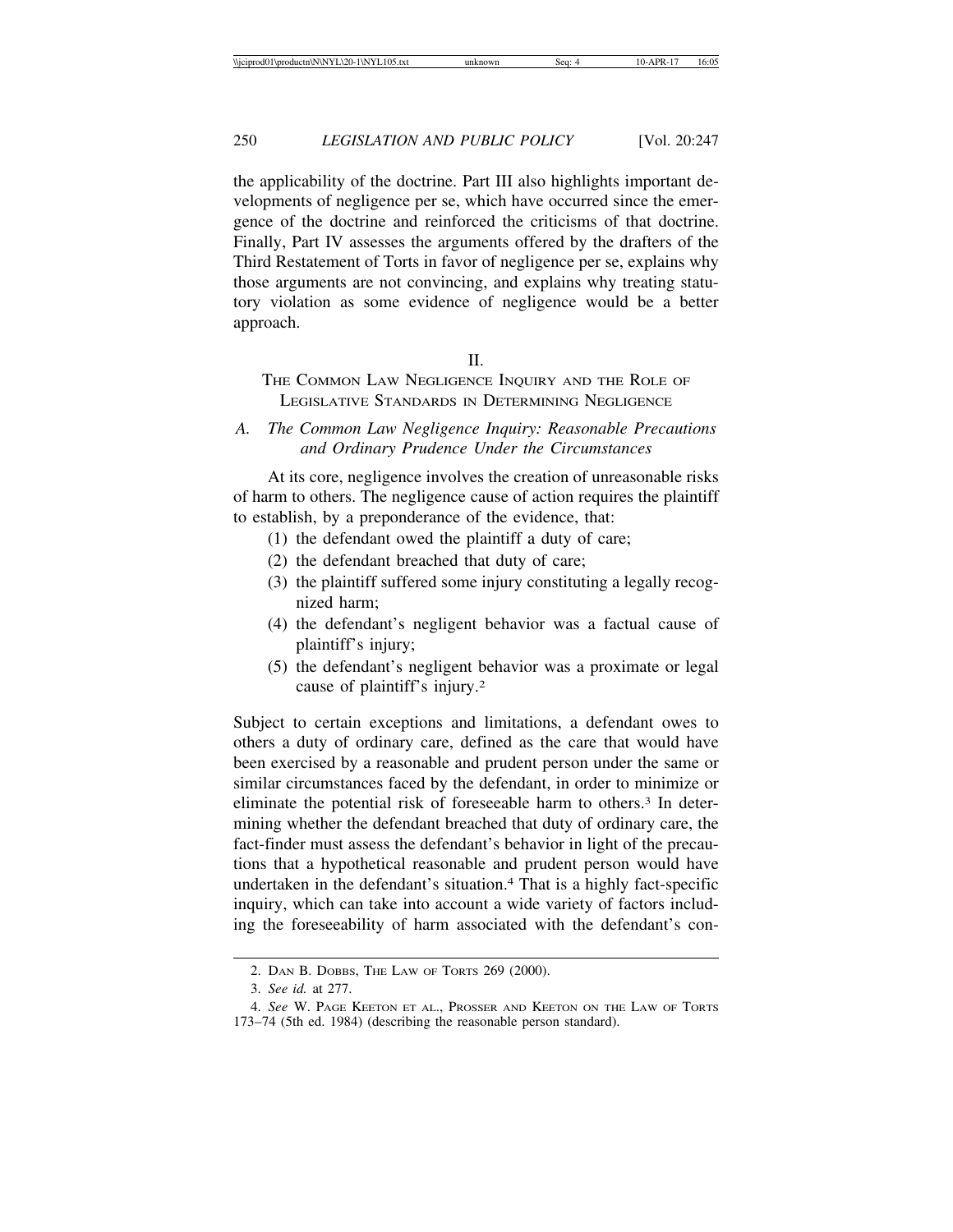the applicability of the doctrine. Part III also highlights important developments of negligence per se, which have occurred since the emergence of the doctrine and reinforced the criticisms of that doctrine. Finally, Part IV assesses the arguments offered by the drafters of the Third Restatement of Torts in favor of negligence per se, explains why those arguments are not convincing, and explains why treating statutory violation as some evidence of negligence would be a better approach.

#### $II$ .

THE COMMON LAW NEGLIGENCE INQUIRY AND THE ROLE OF LEGISLATIVE STANDARDS IN DETERMINING NEGLIGENCE

*A. The Common Law Negligence Inquiry: Reasonable Precautions and Ordinary Prudence Under the Circumstances*

At its core, negligence involves the creation of unreasonable risks of harm to others. The negligence cause of action requires the plaintiff to establish, by a preponderance of the evidence, that:

- (1) the defendant owed the plaintiff a duty of care;
- (2) the defendant breached that duty of care;
- (3) the plaintiff suffered some injury constituting a legally recognized harm;
- (4) the defendant's negligent behavior was a factual cause of plaintiff's injury;
- (5) the defendant's negligent behavior was a proximate or legal cause of plaintiff's injury.2

Subject to certain exceptions and limitations, a defendant owes to others a duty of ordinary care, defined as the care that would have been exercised by a reasonable and prudent person under the same or similar circumstances faced by the defendant, in order to minimize or eliminate the potential risk of foreseeable harm to others.3 In determining whether the defendant breached that duty of ordinary care, the fact-finder must assess the defendant's behavior in light of the precautions that a hypothetical reasonable and prudent person would have undertaken in the defendant's situation.4 That is a highly fact-specific inquiry, which can take into account a wide variety of factors including the foreseeability of harm associated with the defendant's con-

<sup>2.</sup> DAN B. DOBBS, THE LAW OF TORTS 269 (2000).

<sup>3.</sup> *See id.* at 277.

<sup>4.</sup> *See* W. PAGE KEETON ET AL., PROSSER AND KEETON ON THE LAW OF TORTS 173–74 (5th ed. 1984) (describing the reasonable person standard).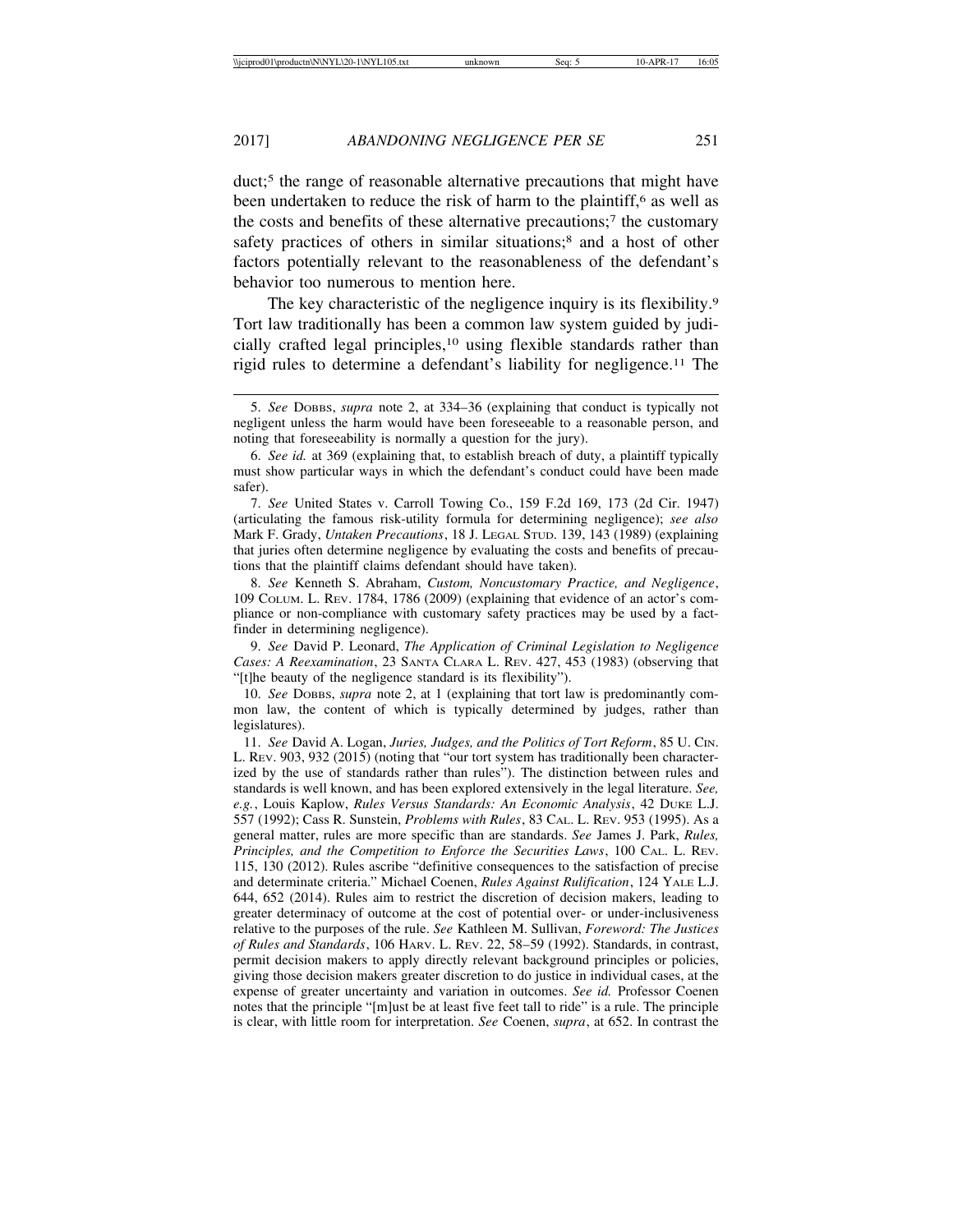duct;5 the range of reasonable alternative precautions that might have been undertaken to reduce the risk of harm to the plaintiff,<sup>6</sup> as well as the costs and benefits of these alternative precautions;7 the customary safety practices of others in similar situations;<sup>8</sup> and a host of other factors potentially relevant to the reasonableness of the defendant's behavior too numerous to mention here.

The key characteristic of the negligence inquiry is its flexibility.<sup>9</sup> Tort law traditionally has been a common law system guided by judicially crafted legal principles,10 using flexible standards rather than rigid rules to determine a defendant's liability for negligence.11 The

7. *See* United States v. Carroll Towing Co., 159 F.2d 169, 173 (2d Cir. 1947) (articulating the famous risk-utility formula for determining negligence); *see also* Mark F. Grady, *Untaken Precautions*, 18 J. LEGAL STUD. 139, 143 (1989) (explaining that juries often determine negligence by evaluating the costs and benefits of precautions that the plaintiff claims defendant should have taken).

8. *See* Kenneth S. Abraham, *Custom, Noncustomary Practice, and Negligence*, 109 COLUM. L. REV. 1784, 1786 (2009) (explaining that evidence of an actor's compliance or non-compliance with customary safety practices may be used by a factfinder in determining negligence).

9. *See* David P. Leonard, *The Application of Criminal Legislation to Negligence Cases: A Reexamination*, 23 SANTA CLARA L. REV. 427, 453 (1983) (observing that "[t]he beauty of the negligence standard is its flexibility").

10. *See* DOBBS, *supra* note 2, at 1 (explaining that tort law is predominantly common law, the content of which is typically determined by judges, rather than legislatures).

11. *See* David A. Logan, *Juries, Judges, and the Politics of Tort Reform*, 85 U. CIN. L. REV. 903, 932 (2015) (noting that "our tort system has traditionally been characterized by the use of standards rather than rules"). The distinction between rules and standards is well known, and has been explored extensively in the legal literature. *See, e.g.*, Louis Kaplow, *Rules Versus Standards: An Economic Analysis*, 42 DUKE L.J. 557 (1992); Cass R. Sunstein, *Problems with Rules*, 83 CAL. L. REV. 953 (1995). As a general matter, rules are more specific than are standards. *See* James J. Park, *Rules, Principles, and the Competition to Enforce the Securities Laws*, 100 CAL. L. REV. 115, 130 (2012). Rules ascribe "definitive consequences to the satisfaction of precise and determinate criteria." Michael Coenen, *Rules Against Rulification*, 124 YALE L.J. 644, 652 (2014). Rules aim to restrict the discretion of decision makers, leading to greater determinacy of outcome at the cost of potential over- or under-inclusiveness relative to the purposes of the rule. *See* Kathleen M. Sullivan, *Foreword: The Justices of Rules and Standards*, 106 HARV. L. REV. 22, 58–59 (1992). Standards, in contrast, permit decision makers to apply directly relevant background principles or policies, giving those decision makers greater discretion to do justice in individual cases, at the expense of greater uncertainty and variation in outcomes. *See id.* Professor Coenen notes that the principle "[m]ust be at least five feet tall to ride" is a rule. The principle is clear, with little room for interpretation. *See* Coenen, *supra*, at 652. In contrast the

<sup>5.</sup> *See* DOBBS, *supra* note 2, at 334–36 (explaining that conduct is typically not negligent unless the harm would have been foreseeable to a reasonable person, and noting that foreseeability is normally a question for the jury).

<sup>6.</sup> *See id.* at 369 (explaining that, to establish breach of duty, a plaintiff typically must show particular ways in which the defendant's conduct could have been made safer).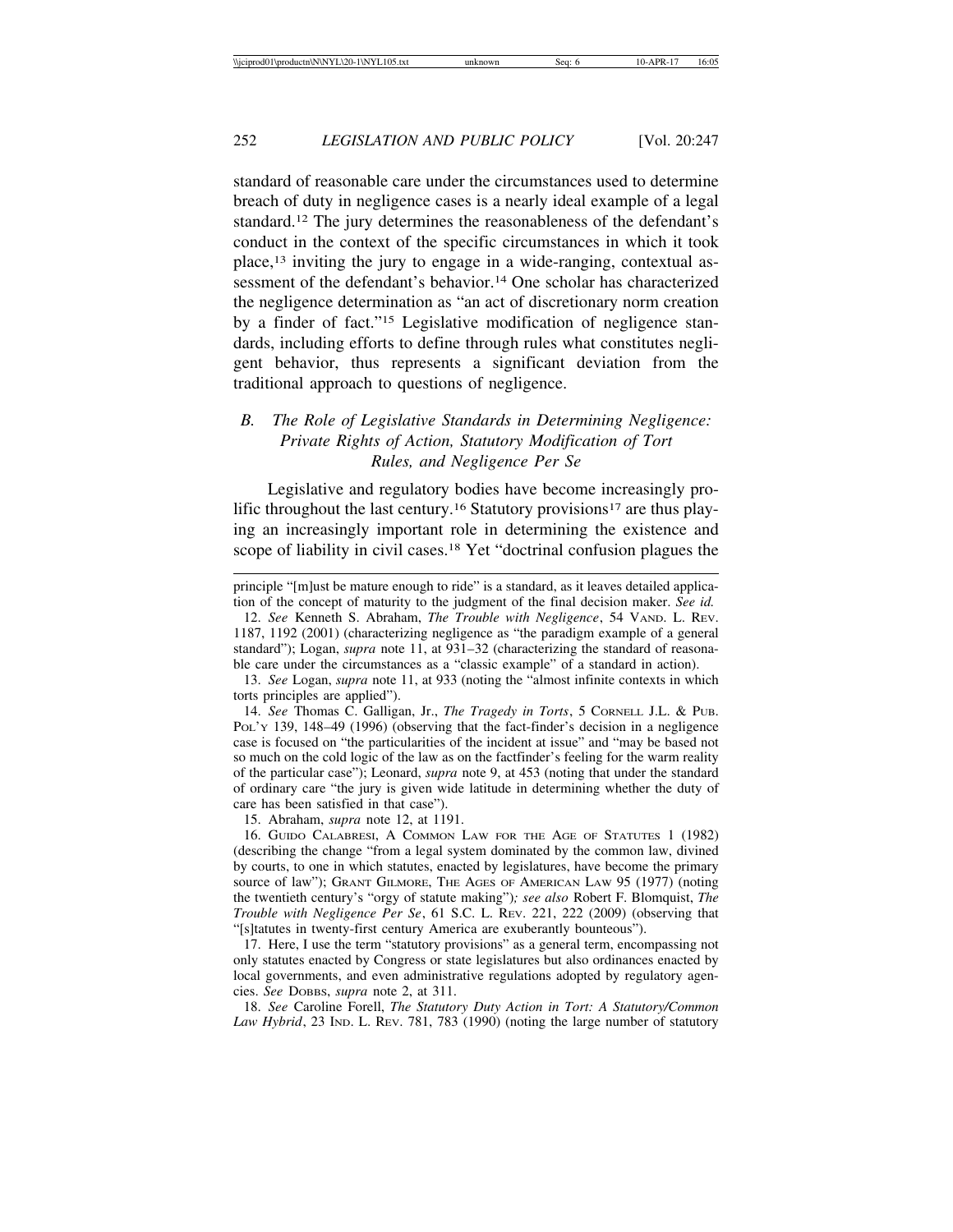standard of reasonable care under the circumstances used to determine breach of duty in negligence cases is a nearly ideal example of a legal standard.12 The jury determines the reasonableness of the defendant's conduct in the context of the specific circumstances in which it took place,13 inviting the jury to engage in a wide-ranging, contextual assessment of the defendant's behavior.<sup>14</sup> One scholar has characterized the negligence determination as "an act of discretionary norm creation by a finder of fact."15 Legislative modification of negligence standards, including efforts to define through rules what constitutes negligent behavior, thus represents a significant deviation from the traditional approach to questions of negligence.

# *B. The Role of Legislative Standards in Determining Negligence: Private Rights of Action, Statutory Modification of Tort Rules, and Negligence Per Se*

Legislative and regulatory bodies have become increasingly prolific throughout the last century.<sup>16</sup> Statutory provisions<sup>17</sup> are thus playing an increasingly important role in determining the existence and scope of liability in civil cases.<sup>18</sup> Yet "doctrinal confusion plagues the

14. *See* Thomas C. Galligan, Jr., *The Tragedy in Torts*, 5 CORNELL J.L. & PUB. PoL'y 139, 148–49 (1996) (observing that the fact-finder's decision in a negligence case is focused on "the particularities of the incident at issue" and "may be based not so much on the cold logic of the law as on the factfinder's feeling for the warm reality of the particular case"); Leonard, *supra* note 9, at 453 (noting that under the standard of ordinary care "the jury is given wide latitude in determining whether the duty of care has been satisfied in that case").

15. Abraham, *supra* note 12, at 1191.

16. GUIDO CALABRESI, A COMMON LAW FOR THE AGE OF STATUTES 1 (1982) (describing the change "from a legal system dominated by the common law, divined by courts, to one in which statutes, enacted by legislatures, have become the primary source of law"); GRANT GILMORE, THE AGES OF AMERICAN LAW 95 (1977) (noting the twentieth century's "orgy of statute making")*; see also* Robert F. Blomquist, *The Trouble with Negligence Per Se*, 61 S.C. L. REV. 221, 222 (2009) (observing that "[s]tatutes in twenty-first century America are exuberantly bounteous").

17. Here, I use the term "statutory provisions" as a general term, encompassing not only statutes enacted by Congress or state legislatures but also ordinances enacted by local governments, and even administrative regulations adopted by regulatory agencies. *See* DOBBS, *supra* note 2, at 311.

18. *See* Caroline Forell, *The Statutory Duty Action in Tort: A Statutory/Common Law Hybrid*, 23 IND. L. REV. 781, 783 (1990) (noting the large number of statutory

principle "[m]ust be mature enough to ride" is a standard, as it leaves detailed application of the concept of maturity to the judgment of the final decision maker. *See id.*

<sup>12.</sup> *See* Kenneth S. Abraham, *The Trouble with Negligence*, 54 VAND. L. REV. 1187, 1192 (2001) (characterizing negligence as "the paradigm example of a general standard"); Logan, *supra* note 11, at 931–32 (characterizing the standard of reasonable care under the circumstances as a "classic example" of a standard in action).

<sup>13.</sup> *See* Logan, *supra* note 11, at 933 (noting the "almost infinite contexts in which torts principles are applied").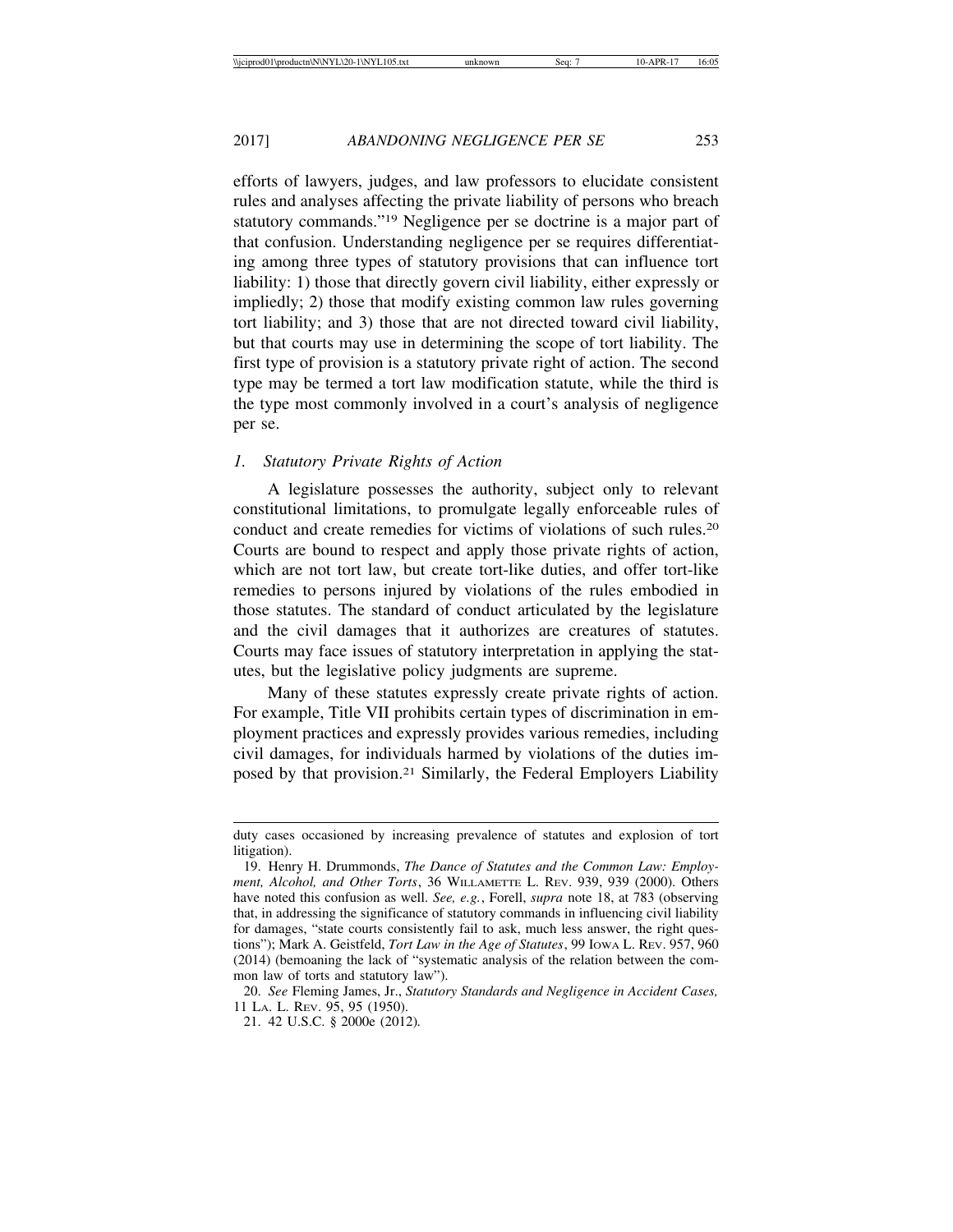efforts of lawyers, judges, and law professors to elucidate consistent rules and analyses affecting the private liability of persons who breach statutory commands."19 Negligence per se doctrine is a major part of that confusion. Understanding negligence per se requires differentiating among three types of statutory provisions that can influence tort liability: 1) those that directly govern civil liability, either expressly or impliedly; 2) those that modify existing common law rules governing tort liability; and 3) those that are not directed toward civil liability, but that courts may use in determining the scope of tort liability. The first type of provision is a statutory private right of action. The second type may be termed a tort law modification statute, while the third is the type most commonly involved in a court's analysis of negligence per se.

### *1. Statutory Private Rights of Action*

A legislature possesses the authority, subject only to relevant constitutional limitations, to promulgate legally enforceable rules of conduct and create remedies for victims of violations of such rules.20 Courts are bound to respect and apply those private rights of action, which are not tort law, but create tort-like duties, and offer tort-like remedies to persons injured by violations of the rules embodied in those statutes. The standard of conduct articulated by the legislature and the civil damages that it authorizes are creatures of statutes. Courts may face issues of statutory interpretation in applying the statutes, but the legislative policy judgments are supreme.

Many of these statutes expressly create private rights of action. For example, Title VII prohibits certain types of discrimination in employment practices and expressly provides various remedies, including civil damages, for individuals harmed by violations of the duties imposed by that provision.21 Similarly, the Federal Employers Liability

duty cases occasioned by increasing prevalence of statutes and explosion of tort litigation).

<sup>19.</sup> Henry H. Drummonds, *The Dance of Statutes and the Common Law: Employment, Alcohol, and Other Torts*, 36 WILLAMETTE L. REV. 939, 939 (2000). Others have noted this confusion as well. *See, e.g.*, Forell, *supra* note 18, at 783 (observing that, in addressing the significance of statutory commands in influencing civil liability for damages, "state courts consistently fail to ask, much less answer, the right questions"); Mark A. Geistfeld, *Tort Law in the Age of Statutes*, 99 IOWA L. REV. 957, 960 (2014) (bemoaning the lack of "systematic analysis of the relation between the common law of torts and statutory law").

<sup>20.</sup> *See* Fleming James, Jr., *Statutory Standards and Negligence in Accident Cases,* 11 LA. L. REV. 95, 95 (1950).

<sup>21. 42</sup> U.S.C. § 2000e (2012)*.*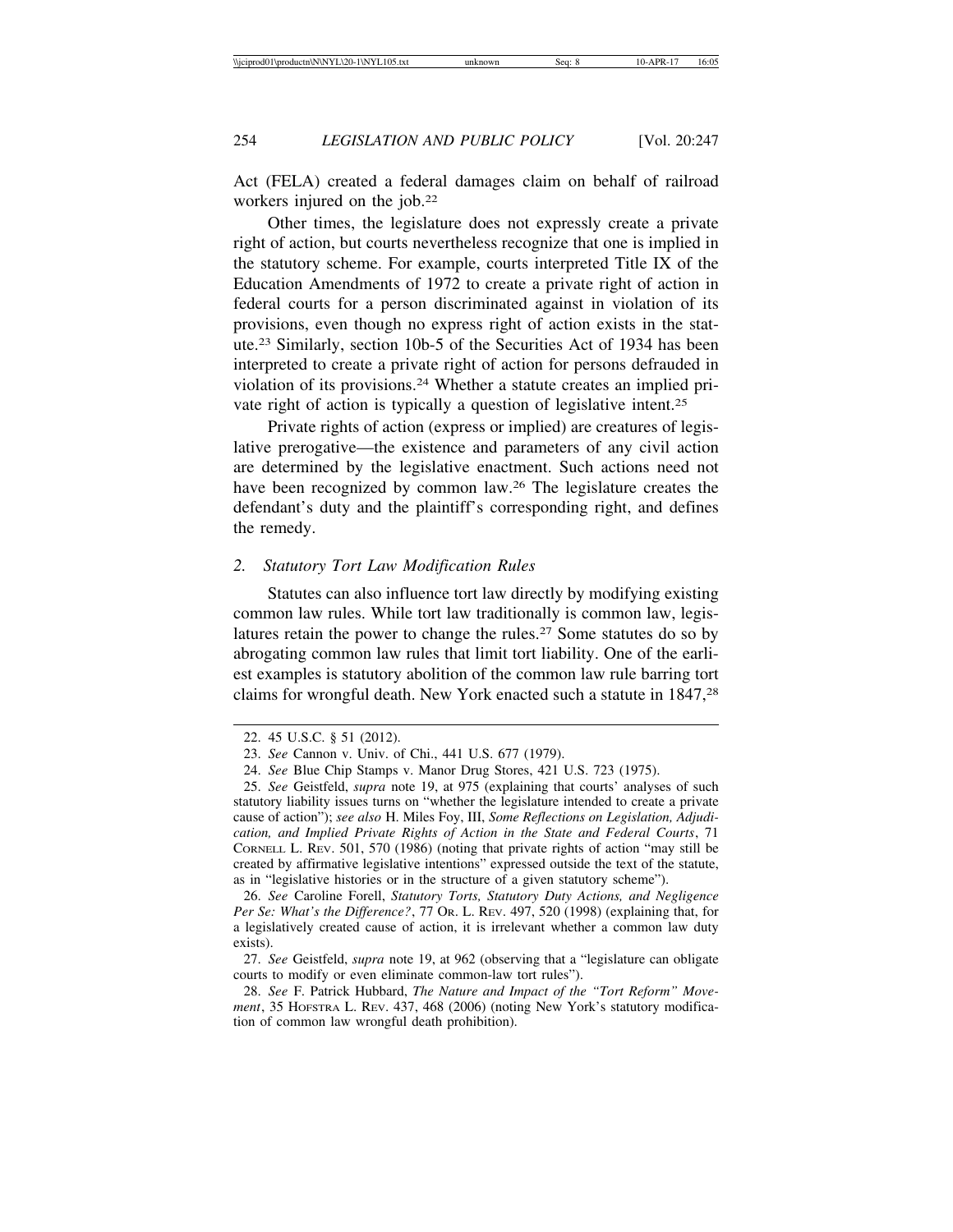Act (FELA) created a federal damages claim on behalf of railroad workers injured on the job.<sup>22</sup>

Other times, the legislature does not expressly create a private right of action, but courts nevertheless recognize that one is implied in the statutory scheme. For example, courts interpreted Title IX of the Education Amendments of 1972 to create a private right of action in federal courts for a person discriminated against in violation of its provisions, even though no express right of action exists in the statute.23 Similarly, section 10b-5 of the Securities Act of 1934 has been interpreted to create a private right of action for persons defrauded in violation of its provisions.24 Whether a statute creates an implied private right of action is typically a question of legislative intent.25

Private rights of action (express or implied) are creatures of legislative prerogative—the existence and parameters of any civil action are determined by the legislative enactment. Such actions need not have been recognized by common law.26 The legislature creates the defendant's duty and the plaintiff's corresponding right, and defines the remedy.

#### *2. Statutory Tort Law Modification Rules*

Statutes can also influence tort law directly by modifying existing common law rules. While tort law traditionally is common law, legislatures retain the power to change the rules.<sup>27</sup> Some statutes do so by abrogating common law rules that limit tort liability. One of the earliest examples is statutory abolition of the common law rule barring tort claims for wrongful death. New York enacted such a statute in 1847,<sup>28</sup>

<sup>22. 45</sup> U.S.C. § 51 (2012).

<sup>23.</sup> *See* Cannon v. Univ. of Chi., 441 U.S. 677 (1979).

<sup>24.</sup> *See* Blue Chip Stamps v. Manor Drug Stores, 421 U.S. 723 (1975).

<sup>25.</sup> *See* Geistfeld, *supra* note 19, at 975 (explaining that courts' analyses of such statutory liability issues turns on "whether the legislature intended to create a private cause of action"); *see also* H. Miles Foy, III, *Some Reflections on Legislation, Adjudication, and Implied Private Rights of Action in the State and Federal Courts*, 71 CORNELL L. REV. 501, 570 (1986) (noting that private rights of action "may still be created by affirmative legislative intentions" expressed outside the text of the statute, as in "legislative histories or in the structure of a given statutory scheme").

<sup>26.</sup> *See* Caroline Forell, *Statutory Torts, Statutory Duty Actions, and Negligence Per Se: What's the Difference?*, 77 OR. L. REV. 497, 520 (1998) (explaining that, for a legislatively created cause of action, it is irrelevant whether a common law duty exists).

<sup>27.</sup> *See* Geistfeld, *supra* note 19, at 962 (observing that a "legislature can obligate courts to modify or even eliminate common-law tort rules").

<sup>28.</sup> *See* F. Patrick Hubbard, *The Nature and Impact of the "Tort Reform" Movement*, 35 HOFSTRA L. REV. 437, 468 (2006) (noting New York's statutory modification of common law wrongful death prohibition).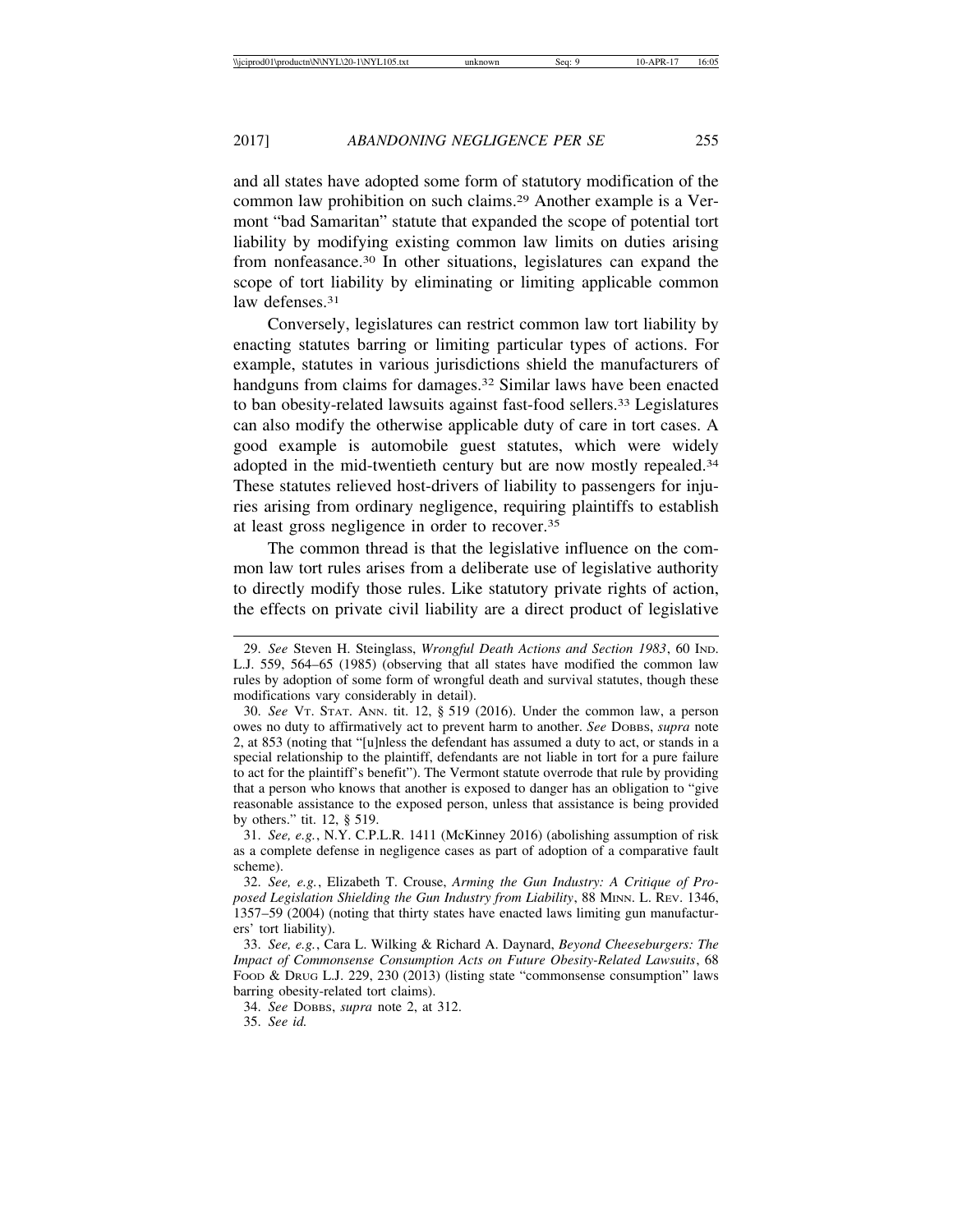and all states have adopted some form of statutory modification of the common law prohibition on such claims.29 Another example is a Vermont "bad Samaritan" statute that expanded the scope of potential tort liability by modifying existing common law limits on duties arising from nonfeasance.30 In other situations, legislatures can expand the scope of tort liability by eliminating or limiting applicable common law defenses.<sup>31</sup>

Conversely, legislatures can restrict common law tort liability by enacting statutes barring or limiting particular types of actions. For example, statutes in various jurisdictions shield the manufacturers of handguns from claims for damages.<sup>32</sup> Similar laws have been enacted to ban obesity-related lawsuits against fast-food sellers.33 Legislatures can also modify the otherwise applicable duty of care in tort cases. A good example is automobile guest statutes, which were widely adopted in the mid-twentieth century but are now mostly repealed.34 These statutes relieved host-drivers of liability to passengers for injuries arising from ordinary negligence, requiring plaintiffs to establish at least gross negligence in order to recover.35

The common thread is that the legislative influence on the common law tort rules arises from a deliberate use of legislative authority to directly modify those rules. Like statutory private rights of action, the effects on private civil liability are a direct product of legislative

34. *See* DOBBS, *supra* note 2, at 312.

35. *See id.*

<sup>29.</sup> *See* Steven H. Steinglass, *Wrongful Death Actions and Section 1983*, 60 IND. L.J. 559, 564–65 (1985) (observing that all states have modified the common law rules by adoption of some form of wrongful death and survival statutes, though these modifications vary considerably in detail).

<sup>30.</sup> *See* VT. STAT. ANN. tit. 12, § 519 (2016). Under the common law, a person owes no duty to affirmatively act to prevent harm to another. *See* DOBBS, *supra* note 2, at 853 (noting that "[u]nless the defendant has assumed a duty to act, or stands in a special relationship to the plaintiff, defendants are not liable in tort for a pure failure to act for the plaintiff's benefit"). The Vermont statute overrode that rule by providing that a person who knows that another is exposed to danger has an obligation to "give reasonable assistance to the exposed person, unless that assistance is being provided by others." tit. 12, § 519.

<sup>31.</sup> *See, e.g.*, N.Y. C.P.L.R. 1411 (McKinney 2016) (abolishing assumption of risk as a complete defense in negligence cases as part of adoption of a comparative fault scheme).

<sup>32.</sup> *See, e.g.*, Elizabeth T. Crouse, *Arming the Gun Industry: A Critique of Proposed Legislation Shielding the Gun Industry from Liability*, 88 MINN. L. REV. 1346, 1357–59 (2004) (noting that thirty states have enacted laws limiting gun manufacturers' tort liability).

<sup>33.</sup> *See, e.g.*, Cara L. Wilking & Richard A. Daynard, *Beyond Cheeseburgers: The Impact of Commonsense Consumption Acts on Future Obesity-Related Lawsuits*, 68 FOOD & DRUG L.J. 229, 230 (2013) (listing state "commonsense consumption" laws barring obesity-related tort claims).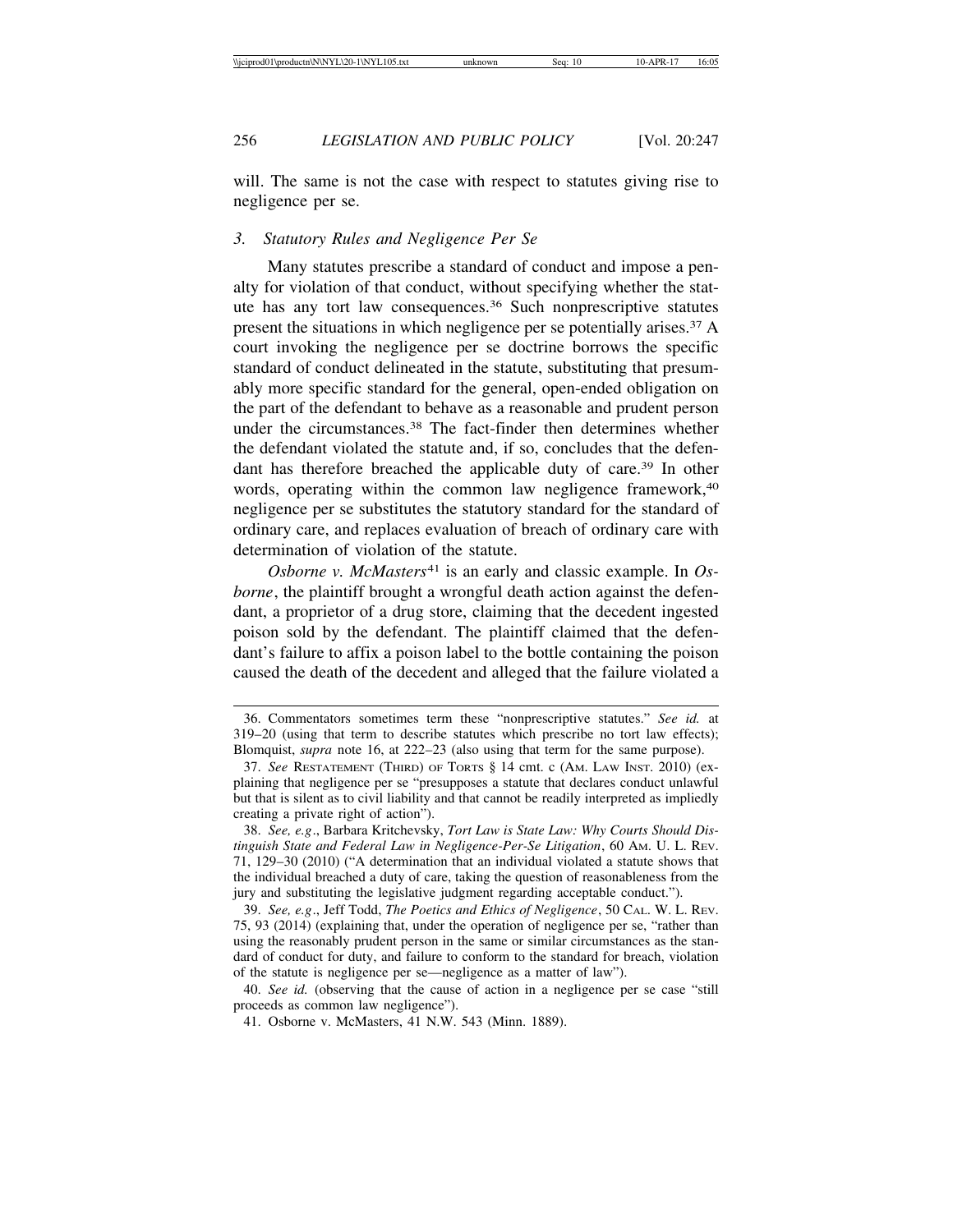will. The same is not the case with respect to statutes giving rise to negligence per se.

#### *3. Statutory Rules and Negligence Per Se*

Many statutes prescribe a standard of conduct and impose a penalty for violation of that conduct, without specifying whether the statute has any tort law consequences.36 Such nonprescriptive statutes present the situations in which negligence per se potentially arises.37 A court invoking the negligence per se doctrine borrows the specific standard of conduct delineated in the statute, substituting that presumably more specific standard for the general, open-ended obligation on the part of the defendant to behave as a reasonable and prudent person under the circumstances.38 The fact-finder then determines whether the defendant violated the statute and, if so, concludes that the defendant has therefore breached the applicable duty of care.<sup>39</sup> In other words, operating within the common law negligence framework,<sup>40</sup> negligence per se substitutes the statutory standard for the standard of ordinary care, and replaces evaluation of breach of ordinary care with determination of violation of the statute.

*Osborne v. McMasters*41 is an early and classic example. In *Osborne*, the plaintiff brought a wrongful death action against the defendant, a proprietor of a drug store, claiming that the decedent ingested poison sold by the defendant. The plaintiff claimed that the defendant's failure to affix a poison label to the bottle containing the poison caused the death of the decedent and alleged that the failure violated a

<sup>36.</sup> Commentators sometimes term these "nonprescriptive statutes." *See id.* at 319–20 (using that term to describe statutes which prescribe no tort law effects); Blomquist, *supra* note 16, at 222–23 (also using that term for the same purpose).

<sup>37.</sup> *See* RESTATEMENT (THIRD) OF TORTS § 14 cmt. c (AM. LAW INST. 2010) (explaining that negligence per se "presupposes a statute that declares conduct unlawful but that is silent as to civil liability and that cannot be readily interpreted as impliedly creating a private right of action").

<sup>38.</sup> *See, e.g*., Barbara Kritchevsky, *Tort Law is State Law: Why Courts Should Distinguish State and Federal Law in Negligence-Per-Se Litigation*, 60 AM. U. L. REV. 71, 129–30 (2010) ("A determination that an individual violated a statute shows that the individual breached a duty of care, taking the question of reasonableness from the jury and substituting the legislative judgment regarding acceptable conduct.").

<sup>39.</sup> *See, e.g*., Jeff Todd, *The Poetics and Ethics of Negligence*, 50 CAL. W. L. REV. 75, 93 (2014) (explaining that, under the operation of negligence per se, "rather than using the reasonably prudent person in the same or similar circumstances as the standard of conduct for duty, and failure to conform to the standard for breach, violation of the statute is negligence per se—negligence as a matter of law").

<sup>40.</sup> *See id.* (observing that the cause of action in a negligence per se case "still proceeds as common law negligence").

<sup>41.</sup> Osborne v. McMasters, 41 N.W. 543 (Minn. 1889).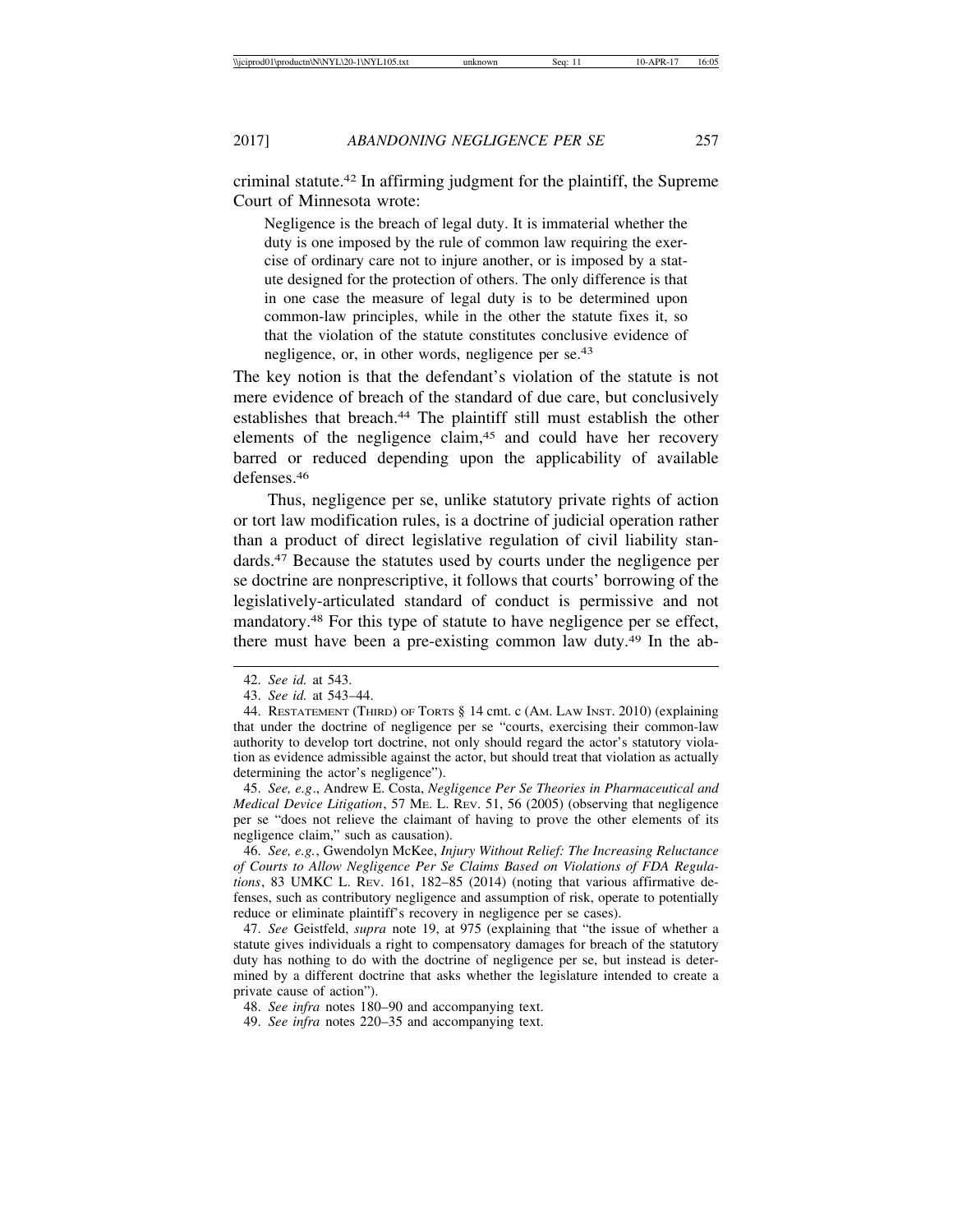criminal statute.42 In affirming judgment for the plaintiff, the Supreme Court of Minnesota wrote:

Negligence is the breach of legal duty. It is immaterial whether the duty is one imposed by the rule of common law requiring the exercise of ordinary care not to injure another, or is imposed by a statute designed for the protection of others. The only difference is that in one case the measure of legal duty is to be determined upon common-law principles, while in the other the statute fixes it, so that the violation of the statute constitutes conclusive evidence of negligence, or, in other words, negligence per se.43

The key notion is that the defendant's violation of the statute is not mere evidence of breach of the standard of due care, but conclusively establishes that breach.44 The plaintiff still must establish the other elements of the negligence claim,<sup>45</sup> and could have her recovery barred or reduced depending upon the applicability of available defenses.46

Thus, negligence per se, unlike statutory private rights of action or tort law modification rules, is a doctrine of judicial operation rather than a product of direct legislative regulation of civil liability standards.47 Because the statutes used by courts under the negligence per se doctrine are nonprescriptive, it follows that courts' borrowing of the legislatively-articulated standard of conduct is permissive and not mandatory.48 For this type of statute to have negligence per se effect, there must have been a pre-existing common law duty.49 In the ab-

45. *See, e.g*., Andrew E. Costa, *Negligence Per Se Theories in Pharmaceutical and Medical Device Litigation*, 57 ME. L. REV. 51, 56 (2005) (observing that negligence per se "does not relieve the claimant of having to prove the other elements of its negligence claim," such as causation).

46. *See, e.g.*, Gwendolyn McKee, *Injury Without Relief: The Increasing Reluctance of Courts to Allow Negligence Per Se Claims Based on Violations of FDA Regulations*, 83 UMKC L. REV. 161, 182–85 (2014) (noting that various affirmative defenses, such as contributory negligence and assumption of risk, operate to potentially reduce or eliminate plaintiff's recovery in negligence per se cases).

47. *See* Geistfeld, *supra* note 19, at 975 (explaining that "the issue of whether a statute gives individuals a right to compensatory damages for breach of the statutory duty has nothing to do with the doctrine of negligence per se, but instead is determined by a different doctrine that asks whether the legislature intended to create a private cause of action").

48. *See infra* notes 180–90 and accompanying text.

49. *See infra* notes 220–35 and accompanying text.

<sup>42.</sup> *See id.* at 543.

<sup>43.</sup> *See id.* at 543–44.

<sup>44.</sup> RESTATEMENT (THIRD) OF TORTS § 14 cmt. c (AM. LAW INST. 2010) (explaining that under the doctrine of negligence per se "courts, exercising their common-law authority to develop tort doctrine, not only should regard the actor's statutory violation as evidence admissible against the actor, but should treat that violation as actually determining the actor's negligence").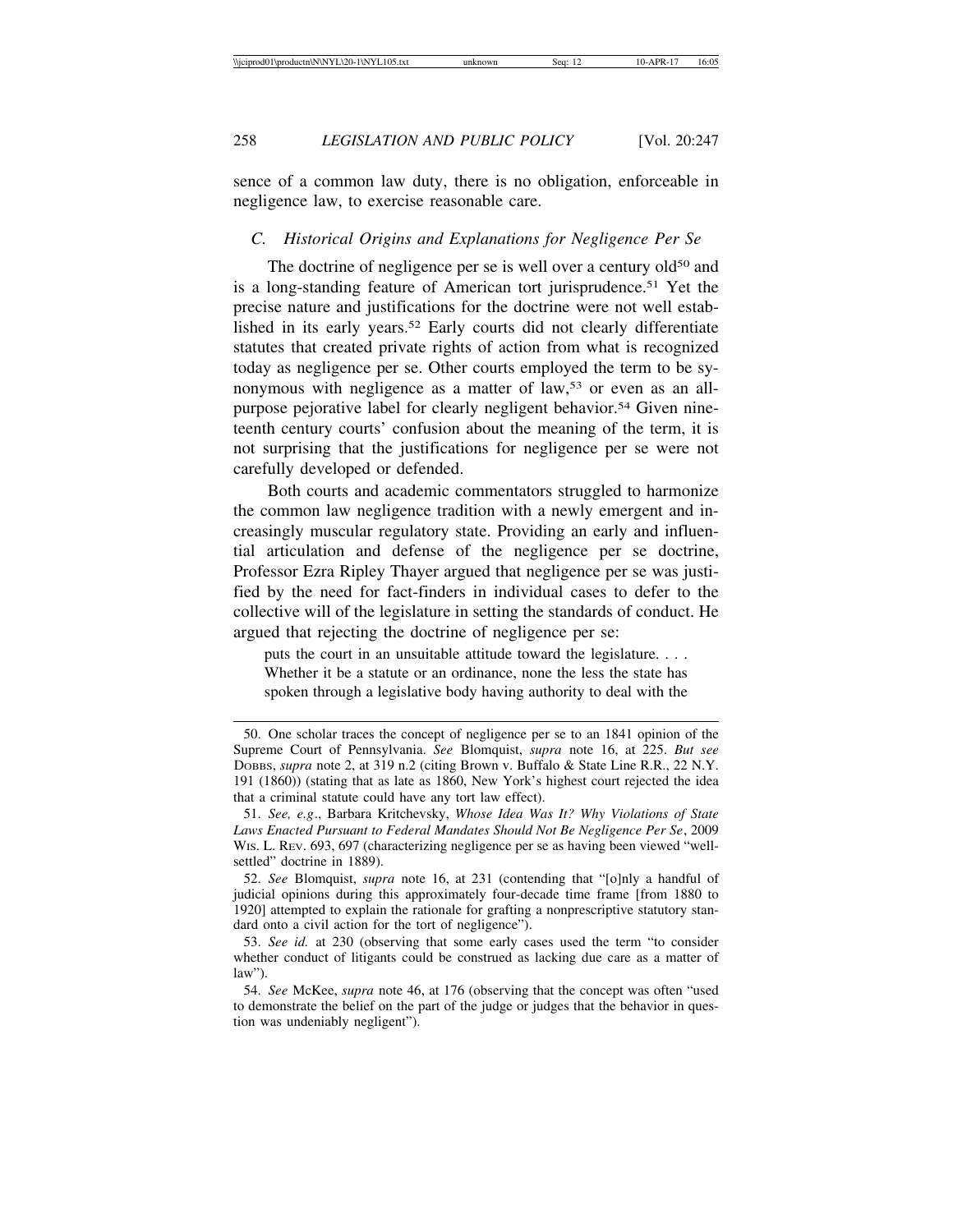sence of a common law duty, there is no obligation, enforceable in negligence law, to exercise reasonable care.

## *C. Historical Origins and Explanations for Negligence Per Se*

The doctrine of negligence per se is well over a century old<sup>50</sup> and is a long-standing feature of American tort jurisprudence.<sup>51</sup> Yet the precise nature and justifications for the doctrine were not well established in its early years.52 Early courts did not clearly differentiate statutes that created private rights of action from what is recognized today as negligence per se. Other courts employed the term to be synonymous with negligence as a matter of law,<sup>53</sup> or even as an allpurpose pejorative label for clearly negligent behavior.<sup>54</sup> Given nineteenth century courts' confusion about the meaning of the term, it is not surprising that the justifications for negligence per se were not carefully developed or defended.

Both courts and academic commentators struggled to harmonize the common law negligence tradition with a newly emergent and increasingly muscular regulatory state. Providing an early and influential articulation and defense of the negligence per se doctrine, Professor Ezra Ripley Thayer argued that negligence per se was justified by the need for fact-finders in individual cases to defer to the collective will of the legislature in setting the standards of conduct. He argued that rejecting the doctrine of negligence per se:

puts the court in an unsuitable attitude toward the legislature. . . . Whether it be a statute or an ordinance, none the less the state has spoken through a legislative body having authority to deal with the

<sup>50.</sup> One scholar traces the concept of negligence per se to an 1841 opinion of the Supreme Court of Pennsylvania. *See* Blomquist, *supra* note 16, at 225. *But see* DOBBS, *supra* note 2, at 319 n.2 (citing Brown v. Buffalo & State Line R.R., 22 N.Y. 191 (1860)) (stating that as late as 1860, New York's highest court rejected the idea that a criminal statute could have any tort law effect).

<sup>51.</sup> *See, e.g*., Barbara Kritchevsky, *Whose Idea Was It? Why Violations of State Laws Enacted Pursuant to Federal Mandates Should Not Be Negligence Per Se*, 2009 WIS. L. REV. 693, 697 (characterizing negligence per se as having been viewed "wellsettled" doctrine in 1889).

<sup>52.</sup> *See* Blomquist, *supra* note 16, at 231 (contending that "[o]nly a handful of judicial opinions during this approximately four-decade time frame [from 1880 to 1920] attempted to explain the rationale for grafting a nonprescriptive statutory standard onto a civil action for the tort of negligence").

<sup>53.</sup> *See id.* at 230 (observing that some early cases used the term "to consider whether conduct of litigants could be construed as lacking due care as a matter of law").

<sup>54.</sup> *See* McKee, *supra* note 46, at 176 (observing that the concept was often "used to demonstrate the belief on the part of the judge or judges that the behavior in question was undeniably negligent").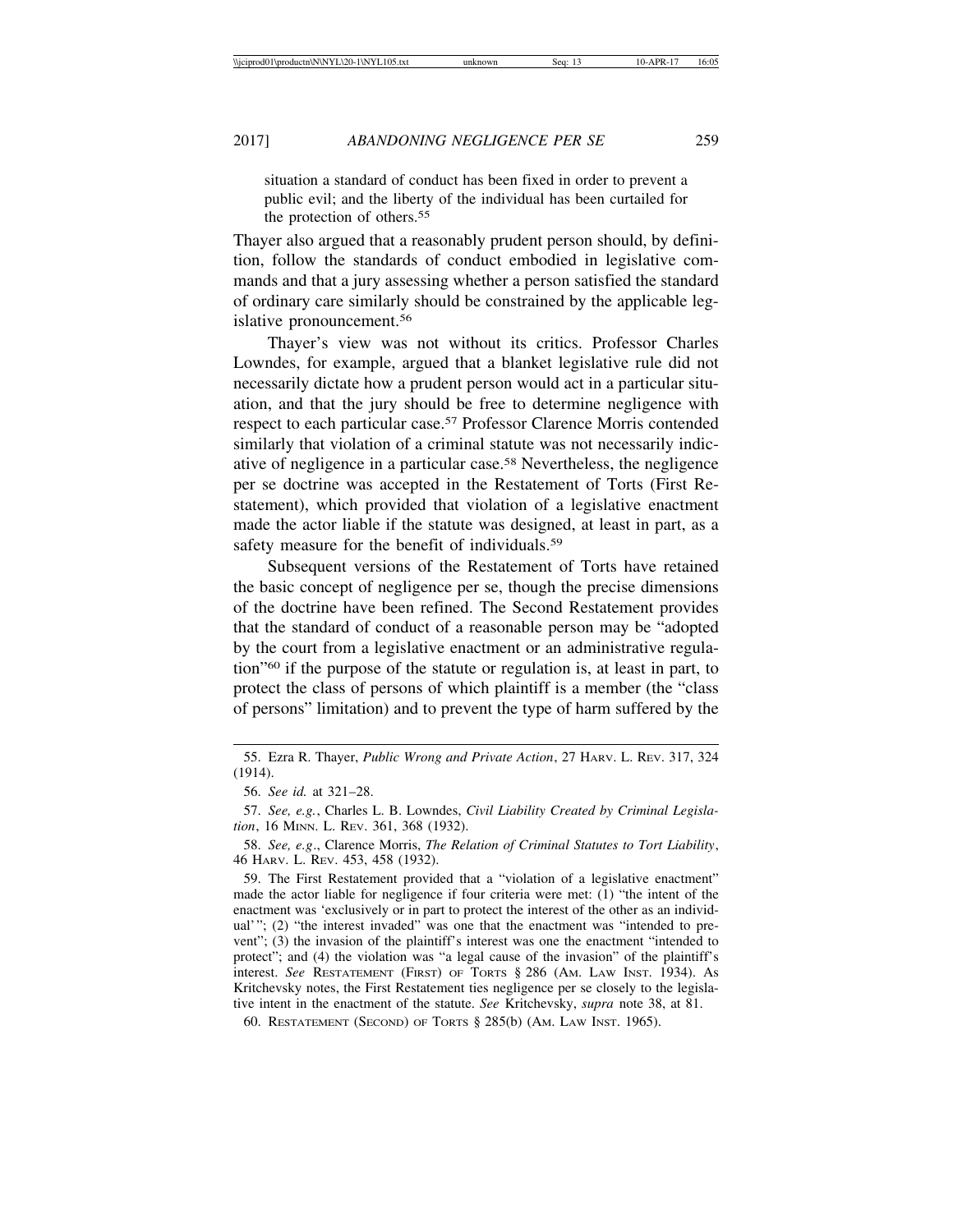situation a standard of conduct has been fixed in order to prevent a public evil; and the liberty of the individual has been curtailed for the protection of others.55

Thayer also argued that a reasonably prudent person should, by definition, follow the standards of conduct embodied in legislative commands and that a jury assessing whether a person satisfied the standard of ordinary care similarly should be constrained by the applicable legislative pronouncement.56

Thayer's view was not without its critics. Professor Charles Lowndes, for example, argued that a blanket legislative rule did not necessarily dictate how a prudent person would act in a particular situation, and that the jury should be free to determine negligence with respect to each particular case.57 Professor Clarence Morris contended similarly that violation of a criminal statute was not necessarily indicative of negligence in a particular case.58 Nevertheless, the negligence per se doctrine was accepted in the Restatement of Torts (First Restatement), which provided that violation of a legislative enactment made the actor liable if the statute was designed, at least in part, as a safety measure for the benefit of individuals.<sup>59</sup>

Subsequent versions of the Restatement of Torts have retained the basic concept of negligence per se, though the precise dimensions of the doctrine have been refined. The Second Restatement provides that the standard of conduct of a reasonable person may be "adopted by the court from a legislative enactment or an administrative regulation"60 if the purpose of the statute or regulation is, at least in part, to protect the class of persons of which plaintiff is a member (the "class of persons" limitation) and to prevent the type of harm suffered by the

60. RESTATEMENT (SECOND) OF TORTS § 285(b) (AM. LAW INST. 1965).

<sup>55.</sup> Ezra R. Thayer, *Public Wrong and Private Action*, 27 HARV. L. REV. 317, 324 (1914).

<sup>56.</sup> *See id.* at 321–28.

<sup>57.</sup> *See, e.g.*, Charles L. B. Lowndes, *Civil Liability Created by Criminal Legislation*, 16 MINN. L. REV. 361, 368 (1932).

<sup>58.</sup> *See, e.g*., Clarence Morris, *The Relation of Criminal Statutes to Tort Liability*, 46 HARV. L. REV. 453, 458 (1932).

<sup>59.</sup> The First Restatement provided that a "violation of a legislative enactment" made the actor liable for negligence if four criteria were met: (1) "the intent of the enactment was 'exclusively or in part to protect the interest of the other as an individual'"; (2) "the interest invaded" was one that the enactment was "intended to prevent"; (3) the invasion of the plaintiff's interest was one the enactment "intended to protect"; and (4) the violation was "a legal cause of the invasion" of the plaintiff's interest. *See* RESTATEMENT (FIRST) OF TORTS § 286 (AM. LAW INST. 1934). As Kritchevsky notes, the First Restatement ties negligence per se closely to the legislative intent in the enactment of the statute. *See* Kritchevsky, *supra* note 38, at 81.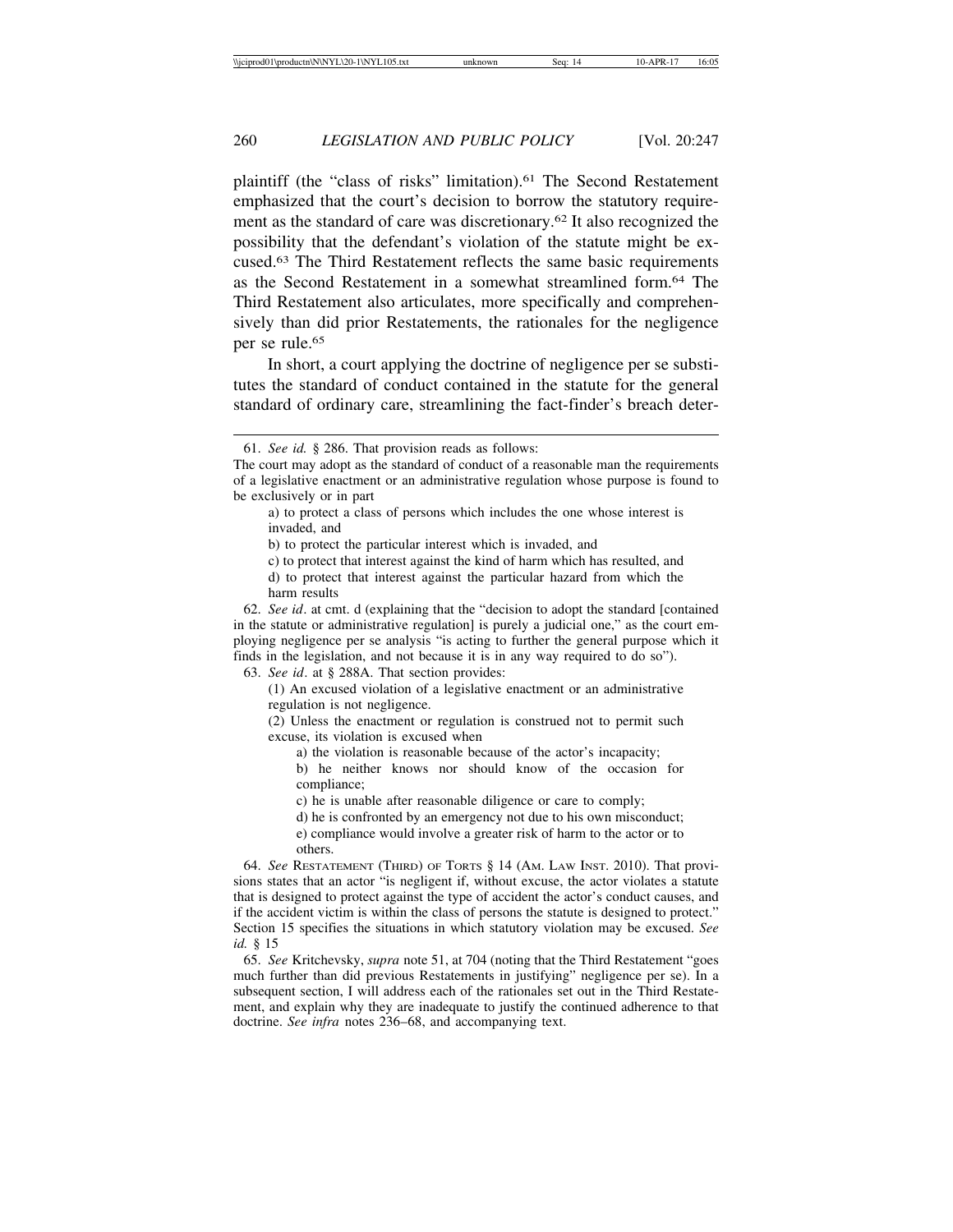plaintiff (the "class of risks" limitation).<sup>61</sup> The Second Restatement emphasized that the court's decision to borrow the statutory requirement as the standard of care was discretionary.62 It also recognized the possibility that the defendant's violation of the statute might be excused.63 The Third Restatement reflects the same basic requirements as the Second Restatement in a somewhat streamlined form.64 The Third Restatement also articulates, more specifically and comprehensively than did prior Restatements, the rationales for the negligence per se rule.<sup>65</sup>

In short, a court applying the doctrine of negligence per se substitutes the standard of conduct contained in the statute for the general standard of ordinary care, streamlining the fact-finder's breach deter-

a) to protect a class of persons which includes the one whose interest is invaded, and

b) to protect the particular interest which is invaded, and

c) to protect that interest against the kind of harm which has resulted, and

d) to protect that interest against the particular hazard from which the harm results

62. *See id*. at cmt. d (explaining that the "decision to adopt the standard [contained in the statute or administrative regulation] is purely a judicial one," as the court employing negligence per se analysis "is acting to further the general purpose which it finds in the legislation, and not because it is in any way required to do so").

63. *See id*. at § 288A. That section provides:

(1) An excused violation of a legislative enactment or an administrative regulation is not negligence.

(2) Unless the enactment or regulation is construed not to permit such excuse, its violation is excused when

a) the violation is reasonable because of the actor's incapacity;

b) he neither knows nor should know of the occasion for compliance;

c) he is unable after reasonable diligence or care to comply;

d) he is confronted by an emergency not due to his own misconduct; e) compliance would involve a greater risk of harm to the actor or to others.

64. *See* RESTATEMENT (THIRD) OF TORTS § 14 (AM. LAW INST. 2010). That provisions states that an actor "is negligent if, without excuse, the actor violates a statute that is designed to protect against the type of accident the actor's conduct causes, and if the accident victim is within the class of persons the statute is designed to protect." Section 15 specifies the situations in which statutory violation may be excused. *See id.* § 15

65. *See* Kritchevsky, *supra* note 51, at 704 (noting that the Third Restatement "goes much further than did previous Restatements in justifying" negligence per se). In a subsequent section, I will address each of the rationales set out in the Third Restatement, and explain why they are inadequate to justify the continued adherence to that doctrine. *See infra* notes 236–68, and accompanying text.

<sup>61.</sup> *See id.* § 286. That provision reads as follows:

The court may adopt as the standard of conduct of a reasonable man the requirements of a legislative enactment or an administrative regulation whose purpose is found to be exclusively or in part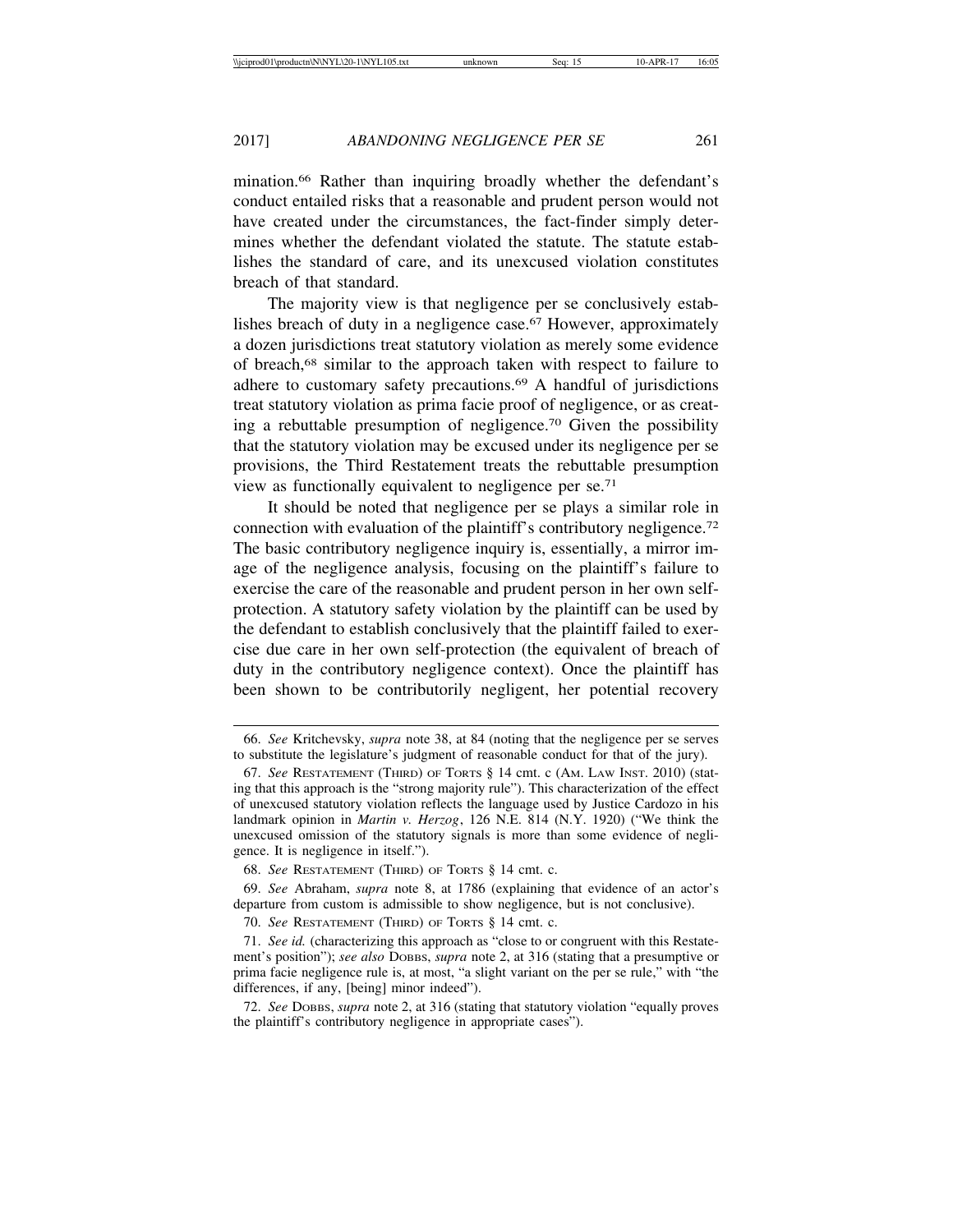mination.66 Rather than inquiring broadly whether the defendant's conduct entailed risks that a reasonable and prudent person would not have created under the circumstances, the fact-finder simply determines whether the defendant violated the statute. The statute establishes the standard of care, and its unexcused violation constitutes breach of that standard.

The majority view is that negligence per se conclusively establishes breach of duty in a negligence case.<sup>67</sup> However, approximately a dozen jurisdictions treat statutory violation as merely some evidence of breach,68 similar to the approach taken with respect to failure to adhere to customary safety precautions.69 A handful of jurisdictions treat statutory violation as prima facie proof of negligence, or as creating a rebuttable presumption of negligence.70 Given the possibility that the statutory violation may be excused under its negligence per se provisions, the Third Restatement treats the rebuttable presumption view as functionally equivalent to negligence per se.71

It should be noted that negligence per se plays a similar role in connection with evaluation of the plaintiff's contributory negligence.72 The basic contributory negligence inquiry is, essentially, a mirror image of the negligence analysis, focusing on the plaintiff's failure to exercise the care of the reasonable and prudent person in her own selfprotection. A statutory safety violation by the plaintiff can be used by the defendant to establish conclusively that the plaintiff failed to exercise due care in her own self-protection (the equivalent of breach of duty in the contributory negligence context). Once the plaintiff has been shown to be contributorily negligent, her potential recovery

<sup>66.</sup> *See* Kritchevsky, *supra* note 38, at 84 (noting that the negligence per se serves to substitute the legislature's judgment of reasonable conduct for that of the jury).

<sup>67.</sup> *See* RESTATEMENT (THIRD) OF TORTS § 14 cmt. c (AM. LAW INST. 2010) (stating that this approach is the "strong majority rule"). This characterization of the effect of unexcused statutory violation reflects the language used by Justice Cardozo in his landmark opinion in *Martin v. Herzog*, 126 N.E. 814 (N.Y. 1920) ("We think the unexcused omission of the statutory signals is more than some evidence of negligence. It is negligence in itself.").

<sup>68.</sup> *See* RESTATEMENT (THIRD) OF TORTS § 14 cmt. c.

<sup>69.</sup> *See* Abraham, *supra* note 8, at 1786 (explaining that evidence of an actor's departure from custom is admissible to show negligence, but is not conclusive).

<sup>70.</sup> *See* RESTATEMENT (THIRD) OF TORTS § 14 cmt. c.

<sup>71.</sup> *See id.* (characterizing this approach as "close to or congruent with this Restatement's position"); *see also* DOBBS, *supra* note 2, at 316 (stating that a presumptive or prima facie negligence rule is, at most, "a slight variant on the per se rule," with "the differences, if any, [being] minor indeed").

<sup>72.</sup> *See* DOBBS, *supra* note 2, at 316 (stating that statutory violation "equally proves the plaintiff's contributory negligence in appropriate cases").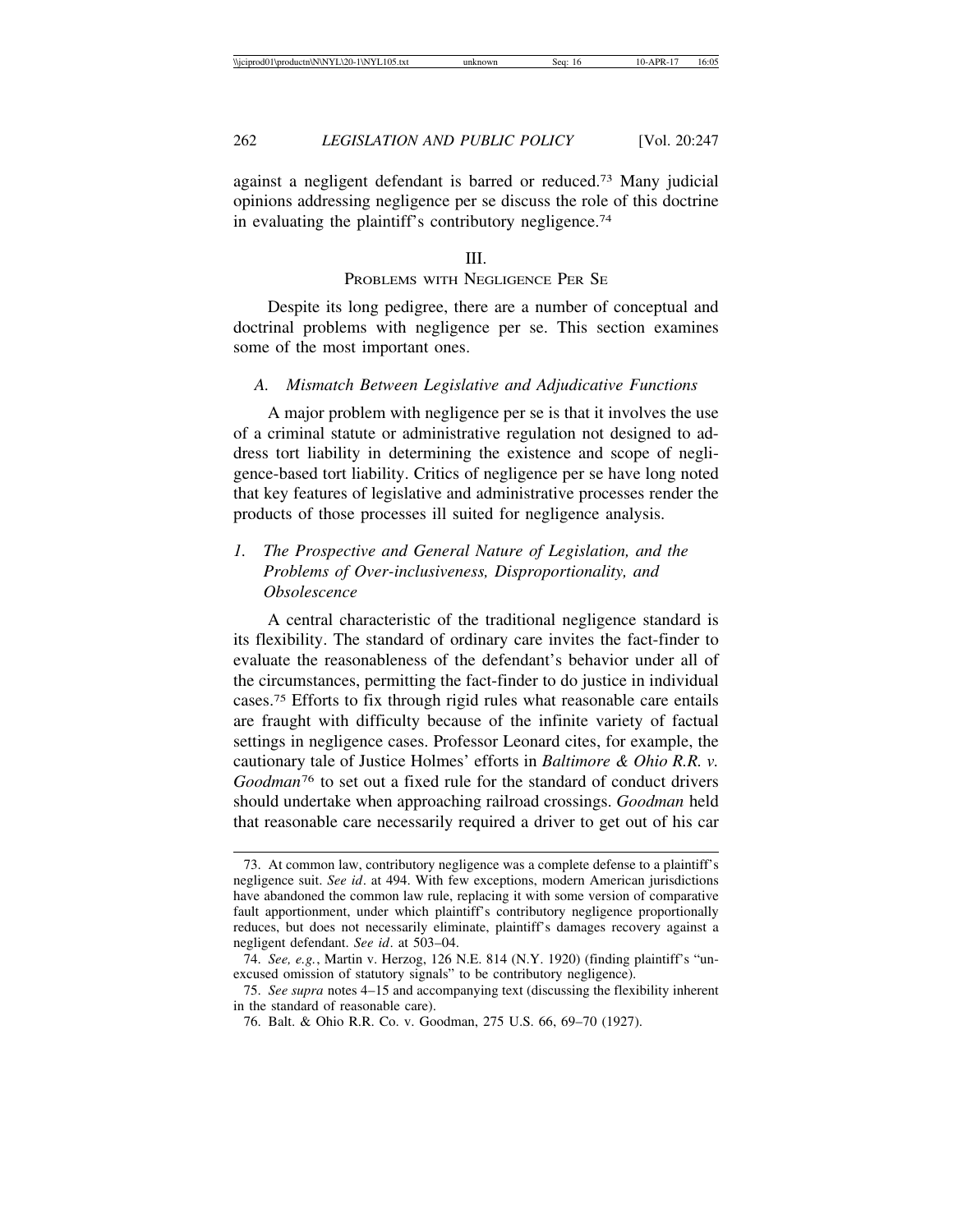against a negligent defendant is barred or reduced.73 Many judicial opinions addressing negligence per se discuss the role of this doctrine in evaluating the plaintiff's contributory negligence.74

#### III.

## PROBLEMS WITH NEGLIGENCE PER SE

Despite its long pedigree, there are a number of conceptual and doctrinal problems with negligence per se. This section examines some of the most important ones.

#### *A. Mismatch Between Legislative and Adjudicative Functions*

A major problem with negligence per se is that it involves the use of a criminal statute or administrative regulation not designed to address tort liability in determining the existence and scope of negligence-based tort liability. Critics of negligence per se have long noted that key features of legislative and administrative processes render the products of those processes ill suited for negligence analysis.

# *1. The Prospective and General Nature of Legislation, and the Problems of Over-inclusiveness, Disproportionality, and Obsolescence*

A central characteristic of the traditional negligence standard is its flexibility. The standard of ordinary care invites the fact-finder to evaluate the reasonableness of the defendant's behavior under all of the circumstances, permitting the fact-finder to do justice in individual cases.75 Efforts to fix through rigid rules what reasonable care entails are fraught with difficulty because of the infinite variety of factual settings in negligence cases. Professor Leonard cites, for example, the cautionary tale of Justice Holmes' efforts in *Baltimore & Ohio R.R. v. Goodman*<sup>76</sup> to set out a fixed rule for the standard of conduct drivers should undertake when approaching railroad crossings. *Goodman* held that reasonable care necessarily required a driver to get out of his car

<sup>73.</sup> At common law, contributory negligence was a complete defense to a plaintiff's negligence suit. *See id*. at 494. With few exceptions, modern American jurisdictions have abandoned the common law rule, replacing it with some version of comparative fault apportionment, under which plaintiff's contributory negligence proportionally reduces, but does not necessarily eliminate, plaintiff's damages recovery against a negligent defendant. *See id*. at 503–04.

<sup>74.</sup> *See, e.g.*, Martin v. Herzog, 126 N.E. 814 (N.Y. 1920) (finding plaintiff's "unexcused omission of statutory signals" to be contributory negligence).

<sup>75.</sup> *See supra* notes 4–15 and accompanying text (discussing the flexibility inherent in the standard of reasonable care).

<sup>76.</sup> Balt. & Ohio R.R. Co. v. Goodman, 275 U.S. 66, 69–70 (1927).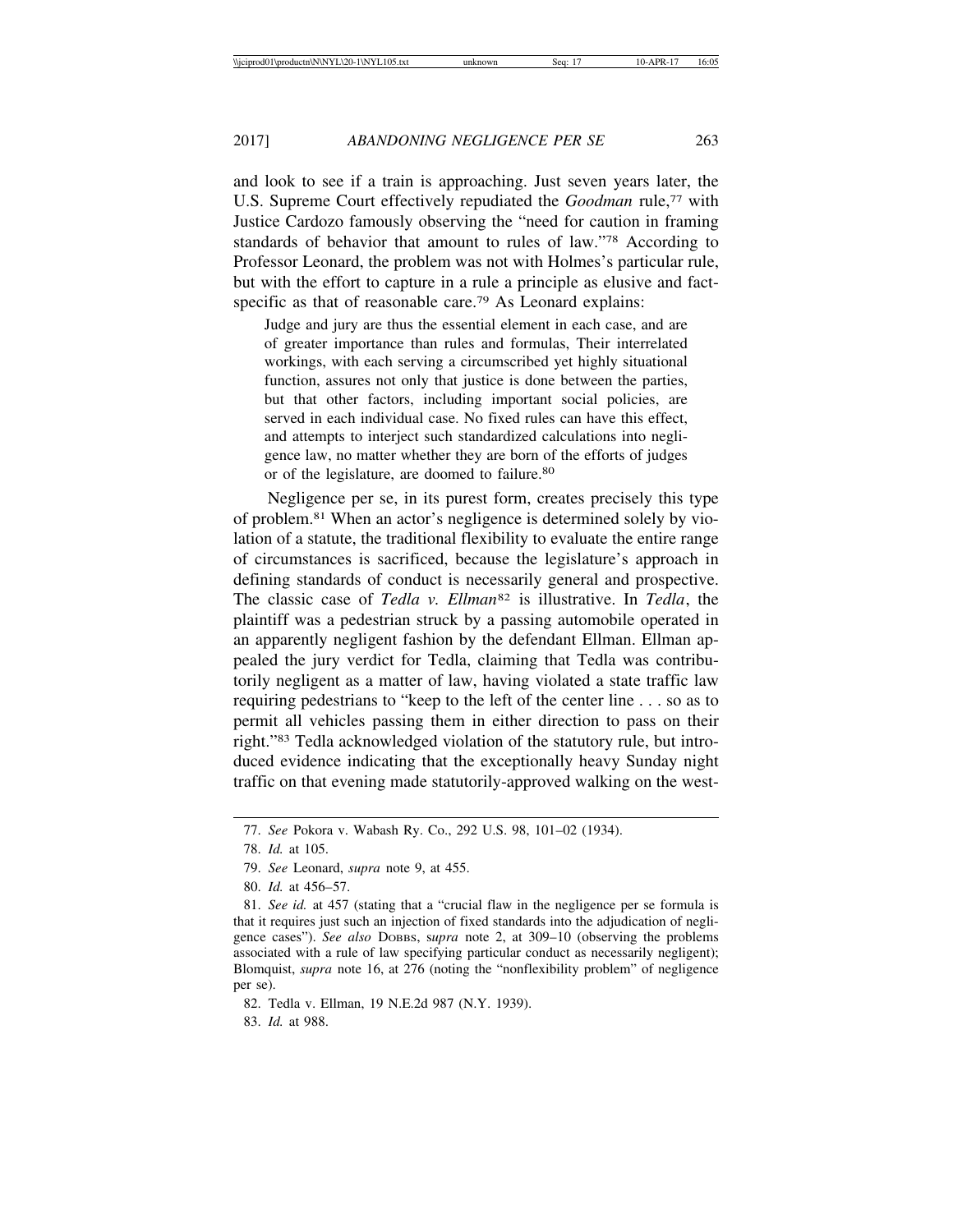and look to see if a train is approaching. Just seven years later, the U.S. Supreme Court effectively repudiated the *Goodman* rule,<sup>77</sup> with Justice Cardozo famously observing the "need for caution in framing standards of behavior that amount to rules of law."78 According to Professor Leonard, the problem was not with Holmes's particular rule, but with the effort to capture in a rule a principle as elusive and factspecific as that of reasonable care.<sup>79</sup> As Leonard explains:

Judge and jury are thus the essential element in each case, and are of greater importance than rules and formulas, Their interrelated workings, with each serving a circumscribed yet highly situational function, assures not only that justice is done between the parties, but that other factors, including important social policies, are served in each individual case. No fixed rules can have this effect, and attempts to interject such standardized calculations into negligence law, no matter whether they are born of the efforts of judges or of the legislature, are doomed to failure.<sup>80</sup>

Negligence per se, in its purest form, creates precisely this type of problem.81 When an actor's negligence is determined solely by violation of a statute, the traditional flexibility to evaluate the entire range of circumstances is sacrificed, because the legislature's approach in defining standards of conduct is necessarily general and prospective. The classic case of *Tedla v. Ellman*<sup>82</sup> is illustrative. In *Tedla*, the plaintiff was a pedestrian struck by a passing automobile operated in an apparently negligent fashion by the defendant Ellman. Ellman appealed the jury verdict for Tedla, claiming that Tedla was contributorily negligent as a matter of law, having violated a state traffic law requiring pedestrians to "keep to the left of the center line . . . so as to permit all vehicles passing them in either direction to pass on their right."83 Tedla acknowledged violation of the statutory rule, but introduced evidence indicating that the exceptionally heavy Sunday night traffic on that evening made statutorily-approved walking on the west-

82. Tedla v. Ellman, 19 N.E.2d 987 (N.Y. 1939).

83. *Id.* at 988.

<sup>77.</sup> *See* Pokora v. Wabash Ry. Co., 292 U.S. 98, 101–02 (1934).

<sup>78.</sup> *Id.* at 105.

<sup>79.</sup> *See* Leonard, *supra* note 9, at 455.

<sup>80.</sup> *Id.* at 456–57.

<sup>81.</sup> *See id.* at 457 (stating that a "crucial flaw in the negligence per se formula is that it requires just such an injection of fixed standards into the adjudication of negligence cases"). *See also* DOBBS, s*upra* note 2, at 309–10 (observing the problems associated with a rule of law specifying particular conduct as necessarily negligent); Blomquist, *supra* note 16, at 276 (noting the "nonflexibility problem" of negligence per se).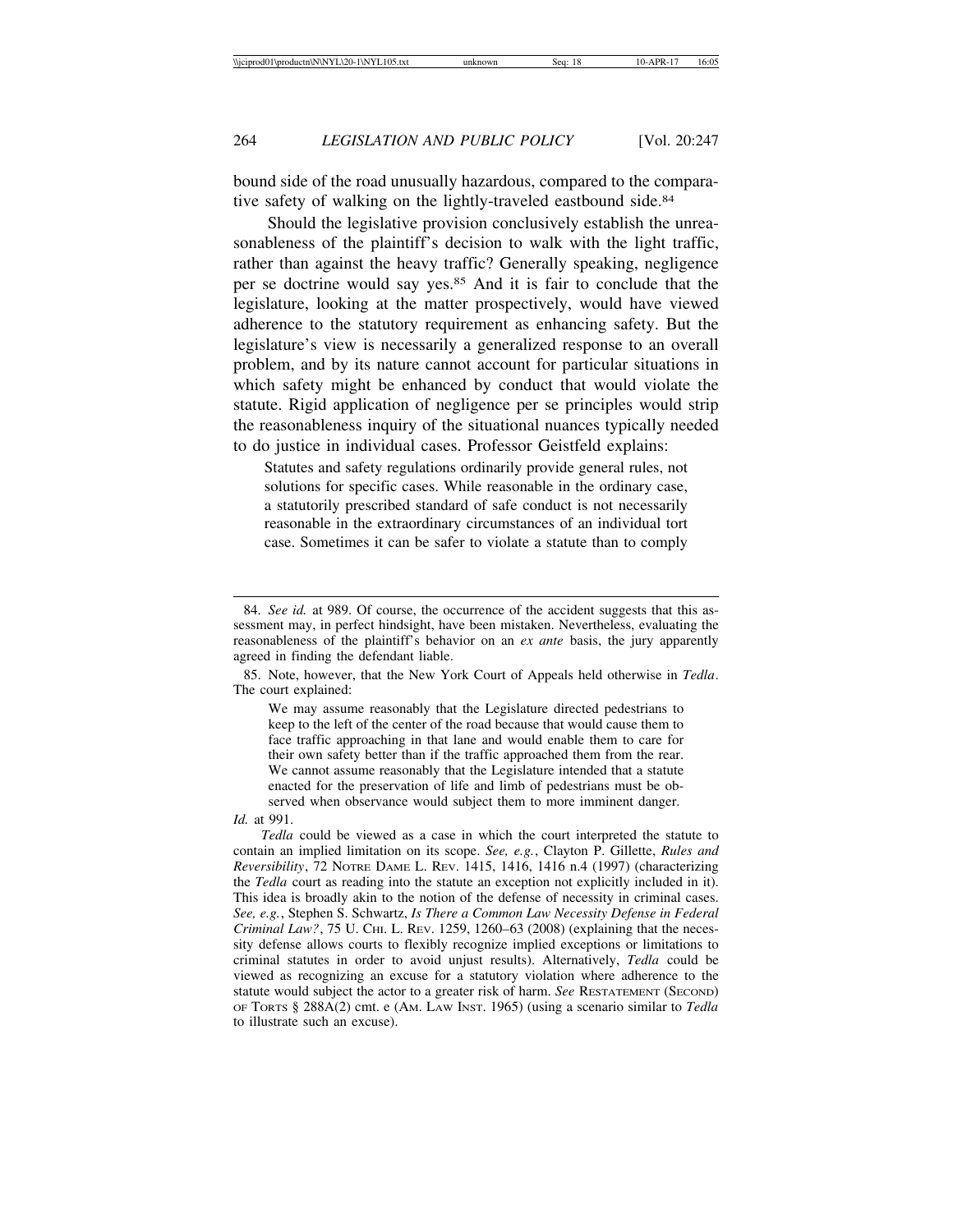bound side of the road unusually hazardous, compared to the comparative safety of walking on the lightly-traveled eastbound side.<sup>84</sup>

Should the legislative provision conclusively establish the unreasonableness of the plaintiff's decision to walk with the light traffic, rather than against the heavy traffic? Generally speaking, negligence per se doctrine would say yes.85 And it is fair to conclude that the legislature, looking at the matter prospectively, would have viewed adherence to the statutory requirement as enhancing safety. But the legislature's view is necessarily a generalized response to an overall problem, and by its nature cannot account for particular situations in which safety might be enhanced by conduct that would violate the statute. Rigid application of negligence per se principles would strip the reasonableness inquiry of the situational nuances typically needed to do justice in individual cases. Professor Geistfeld explains:

Statutes and safety regulations ordinarily provide general rules, not solutions for specific cases. While reasonable in the ordinary case, a statutorily prescribed standard of safe conduct is not necessarily reasonable in the extraordinary circumstances of an individual tort case. Sometimes it can be safer to violate a statute than to comply

85. Note, however, that the New York Court of Appeals held otherwise in *Tedla*. The court explained:

We may assume reasonably that the Legislature directed pedestrians to keep to the left of the center of the road because that would cause them to face traffic approaching in that lane and would enable them to care for their own safety better than if the traffic approached them from the rear. We cannot assume reasonably that the Legislature intended that a statute enacted for the preservation of life and limb of pedestrians must be observed when observance would subject them to more imminent danger.

<sup>84.</sup> *See id.* at 989. Of course, the occurrence of the accident suggests that this assessment may, in perfect hindsight, have been mistaken. Nevertheless, evaluating the reasonableness of the plaintiff's behavior on an *ex ante* basis, the jury apparently agreed in finding the defendant liable.

*Id.* at 991.

*Tedla* could be viewed as a case in which the court interpreted the statute to contain an implied limitation on its scope. *See, e.g.*, Clayton P. Gillette, *Rules and Reversibility*, 72 NOTRE DAME L. REV. 1415, 1416, 1416 n.4 (1997) (characterizing the *Tedla* court as reading into the statute an exception not explicitly included in it). This idea is broadly akin to the notion of the defense of necessity in criminal cases. *See, e.g.*, Stephen S. Schwartz, *Is There a Common Law Necessity Defense in Federal Criminal Law?*, 75 U. CHI. L. REV. 1259, 1260–63 (2008) (explaining that the necessity defense allows courts to flexibly recognize implied exceptions or limitations to criminal statutes in order to avoid unjust results). Alternatively, *Tedla* could be viewed as recognizing an excuse for a statutory violation where adherence to the statute would subject the actor to a greater risk of harm. *See* RESTATEMENT (SECOND) OF TORTS § 288A(2) cmt. e (AM. LAW INST. 1965) (using a scenario similar to *Tedla* to illustrate such an excuse).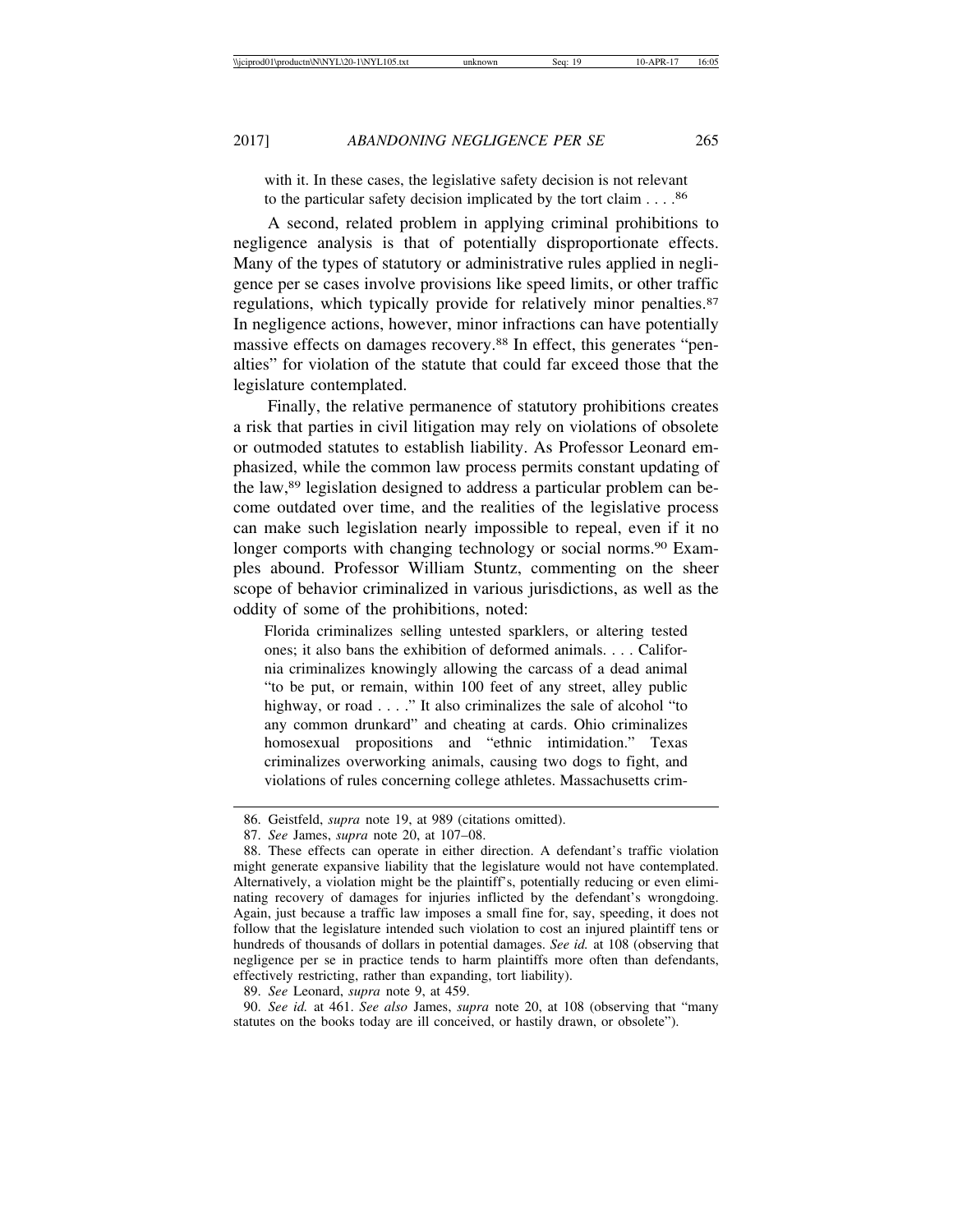with it. In these cases, the legislative safety decision is not relevant to the particular safety decision implicated by the tort claim . . . .86

A second, related problem in applying criminal prohibitions to negligence analysis is that of potentially disproportionate effects. Many of the types of statutory or administrative rules applied in negligence per se cases involve provisions like speed limits, or other traffic regulations, which typically provide for relatively minor penalties.<sup>87</sup> In negligence actions, however, minor infractions can have potentially massive effects on damages recovery.88 In effect, this generates "penalties" for violation of the statute that could far exceed those that the legislature contemplated.

Finally, the relative permanence of statutory prohibitions creates a risk that parties in civil litigation may rely on violations of obsolete or outmoded statutes to establish liability. As Professor Leonard emphasized, while the common law process permits constant updating of the law,89 legislation designed to address a particular problem can become outdated over time, and the realities of the legislative process can make such legislation nearly impossible to repeal, even if it no longer comports with changing technology or social norms.<sup>90</sup> Examples abound. Professor William Stuntz, commenting on the sheer scope of behavior criminalized in various jurisdictions, as well as the oddity of some of the prohibitions, noted:

Florida criminalizes selling untested sparklers, or altering tested ones; it also bans the exhibition of deformed animals. . . . California criminalizes knowingly allowing the carcass of a dead animal "to be put, or remain, within 100 feet of any street, alley public highway, or road . . . ." It also criminalizes the sale of alcohol "to any common drunkard" and cheating at cards. Ohio criminalizes homosexual propositions and "ethnic intimidation." Texas criminalizes overworking animals, causing two dogs to fight, and violations of rules concerning college athletes. Massachusetts crim-

89. *See* Leonard, *supra* note 9, at 459.

90. *See id.* at 461. *See also* James, *supra* note 20, at 108 (observing that "many statutes on the books today are ill conceived, or hastily drawn, or obsolete").

<sup>86.</sup> Geistfeld, *supra* note 19, at 989 (citations omitted).

<sup>87.</sup> *See* James, *supra* note 20, at 107–08.

<sup>88.</sup> These effects can operate in either direction. A defendant's traffic violation might generate expansive liability that the legislature would not have contemplated. Alternatively, a violation might be the plaintiff's, potentially reducing or even eliminating recovery of damages for injuries inflicted by the defendant's wrongdoing. Again, just because a traffic law imposes a small fine for, say, speeding, it does not follow that the legislature intended such violation to cost an injured plaintiff tens or hundreds of thousands of dollars in potential damages. *See id.* at 108 (observing that negligence per se in practice tends to harm plaintiffs more often than defendants, effectively restricting, rather than expanding, tort liability).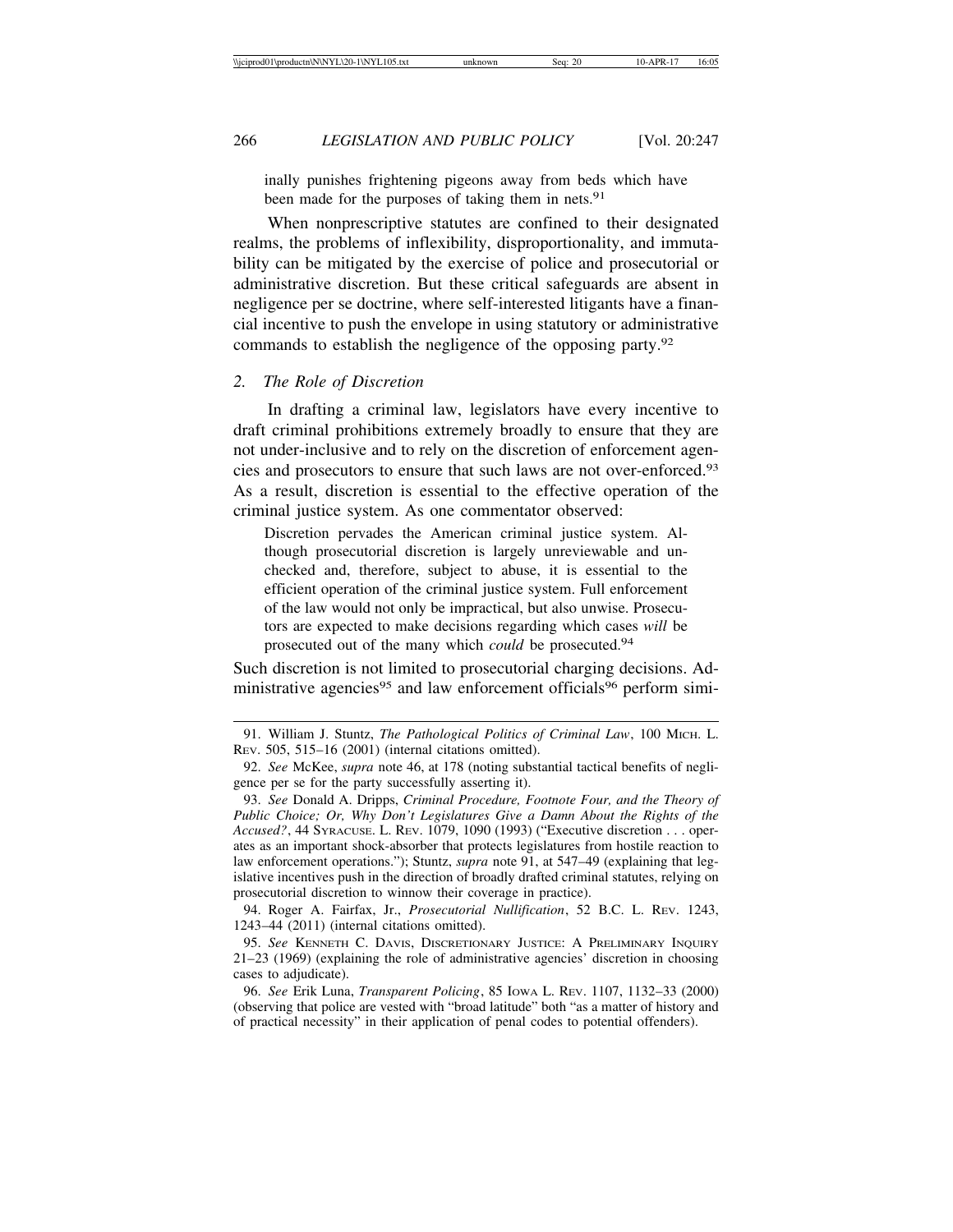inally punishes frightening pigeons away from beds which have been made for the purposes of taking them in nets.<sup>91</sup>

When nonprescriptive statutes are confined to their designated realms, the problems of inflexibility, disproportionality, and immutability can be mitigated by the exercise of police and prosecutorial or administrative discretion. But these critical safeguards are absent in negligence per se doctrine, where self-interested litigants have a financial incentive to push the envelope in using statutory or administrative commands to establish the negligence of the opposing party.92

#### *2. The Role of Discretion*

In drafting a criminal law, legislators have every incentive to draft criminal prohibitions extremely broadly to ensure that they are not under-inclusive and to rely on the discretion of enforcement agencies and prosecutors to ensure that such laws are not over-enforced.93 As a result, discretion is essential to the effective operation of the criminal justice system. As one commentator observed:

Discretion pervades the American criminal justice system. Although prosecutorial discretion is largely unreviewable and unchecked and, therefore, subject to abuse, it is essential to the efficient operation of the criminal justice system. Full enforcement of the law would not only be impractical, but also unwise. Prosecutors are expected to make decisions regarding which cases *will* be prosecuted out of the many which *could* be prosecuted.94

Such discretion is not limited to prosecutorial charging decisions. Administrative agencies<sup>95</sup> and law enforcement officials<sup>96</sup> perform simi-

<sup>91.</sup> William J. Stuntz, *The Pathological Politics of Criminal Law*, 100 MICH. L. REV. 505, 515–16 (2001) (internal citations omitted).

<sup>92.</sup> *See* McKee, *supra* note 46, at 178 (noting substantial tactical benefits of negligence per se for the party successfully asserting it).

<sup>93.</sup> *See* Donald A. Dripps, *Criminal Procedure, Footnote Four, and the Theory of Public Choice; Or, Why Don't Legislatures Give a Damn About the Rights of the Accused?*, 44 SYRACUSE. L. REV. 1079, 1090 (1993) ("Executive discretion . . . operates as an important shock-absorber that protects legislatures from hostile reaction to law enforcement operations."); Stuntz, *supra* note 91, at 547–49 (explaining that legislative incentives push in the direction of broadly drafted criminal statutes, relying on prosecutorial discretion to winnow their coverage in practice).

<sup>94.</sup> Roger A. Fairfax, Jr., *Prosecutorial Nullification*, 52 B.C. L. REV. 1243, 1243–44 (2011) (internal citations omitted).

<sup>95.</sup> *See* KENNETH C. DAVIS, DISCRETIONARY JUSTICE: A PRELIMINARY INQUIRY 21–23 (1969) (explaining the role of administrative agencies' discretion in choosing cases to adjudicate).

<sup>96.</sup> *See* Erik Luna, *Transparent Policing*, 85 IOWA L. REV. 1107, 1132–33 (2000) (observing that police are vested with "broad latitude" both "as a matter of history and of practical necessity" in their application of penal codes to potential offenders).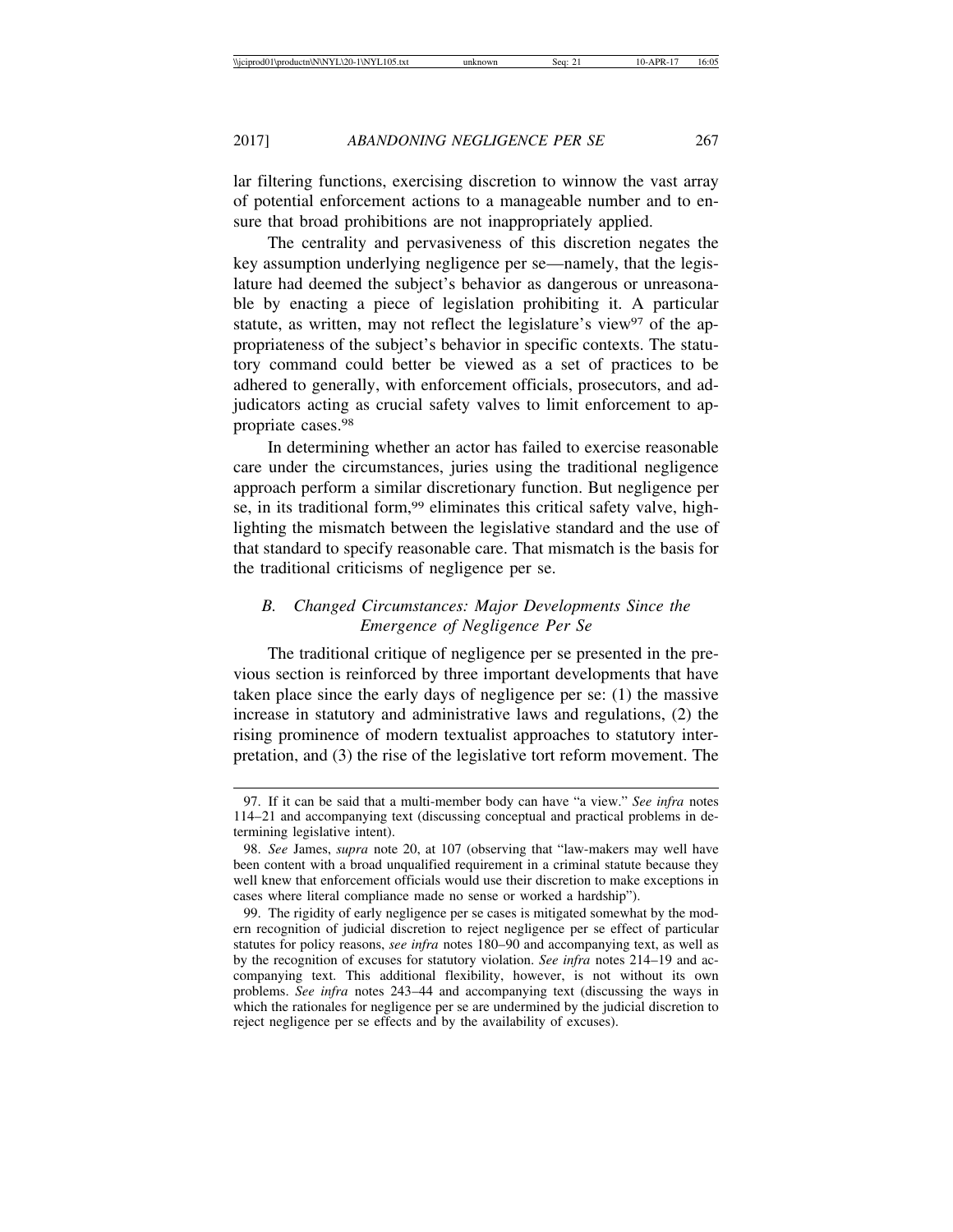lar filtering functions, exercising discretion to winnow the vast array of potential enforcement actions to a manageable number and to ensure that broad prohibitions are not inappropriately applied.

The centrality and pervasiveness of this discretion negates the key assumption underlying negligence per se—namely, that the legislature had deemed the subject's behavior as dangerous or unreasonable by enacting a piece of legislation prohibiting it. A particular statute, as written, may not reflect the legislature's view<sup>97</sup> of the appropriateness of the subject's behavior in specific contexts. The statutory command could better be viewed as a set of practices to be adhered to generally, with enforcement officials, prosecutors, and adjudicators acting as crucial safety valves to limit enforcement to appropriate cases.98

In determining whether an actor has failed to exercise reasonable care under the circumstances, juries using the traditional negligence approach perform a similar discretionary function. But negligence per se, in its traditional form,<sup>99</sup> eliminates this critical safety valve, highlighting the mismatch between the legislative standard and the use of that standard to specify reasonable care. That mismatch is the basis for the traditional criticisms of negligence per se.

# *B. Changed Circumstances: Major Developments Since the Emergence of Negligence Per Se*

The traditional critique of negligence per se presented in the previous section is reinforced by three important developments that have taken place since the early days of negligence per se: (1) the massive increase in statutory and administrative laws and regulations, (2) the rising prominence of modern textualist approaches to statutory interpretation, and (3) the rise of the legislative tort reform movement. The

<sup>97.</sup> If it can be said that a multi-member body can have "a view." *See infra* notes 114–21 and accompanying text (discussing conceptual and practical problems in determining legislative intent).

<sup>98.</sup> *See* James, *supra* note 20, at 107 (observing that "law-makers may well have been content with a broad unqualified requirement in a criminal statute because they well knew that enforcement officials would use their discretion to make exceptions in cases where literal compliance made no sense or worked a hardship").

<sup>99.</sup> The rigidity of early negligence per se cases is mitigated somewhat by the modern recognition of judicial discretion to reject negligence per se effect of particular statutes for policy reasons, *see infra* notes 180–90 and accompanying text, as well as by the recognition of excuses for statutory violation. *See infra* notes 214–19 and accompanying text. This additional flexibility, however, is not without its own problems. *See infra* notes 243–44 and accompanying text (discussing the ways in which the rationales for negligence per se are undermined by the judicial discretion to reject negligence per se effects and by the availability of excuses).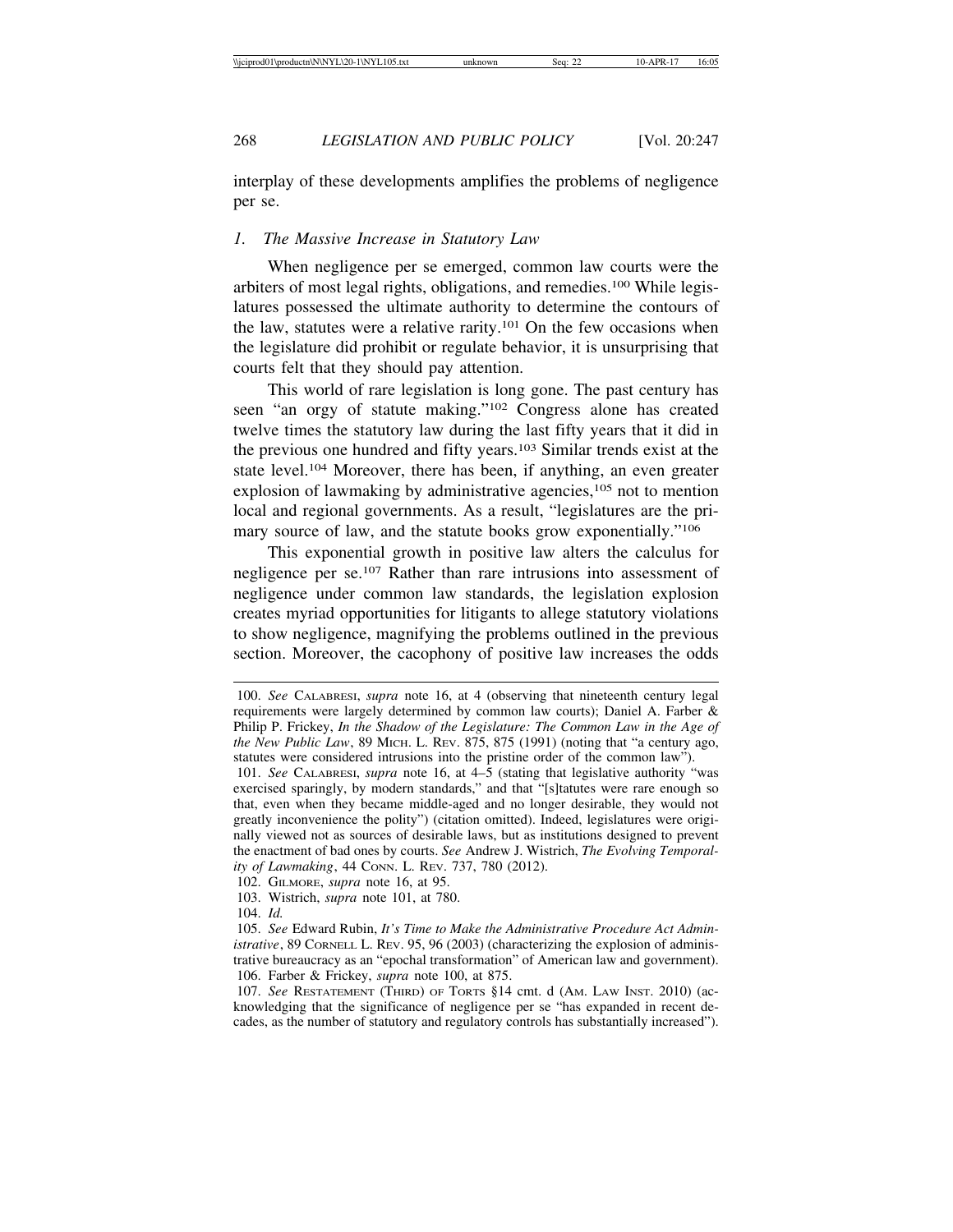interplay of these developments amplifies the problems of negligence per se.

#### *1. The Massive Increase in Statutory Law*

When negligence per se emerged, common law courts were the arbiters of most legal rights, obligations, and remedies.100 While legislatures possessed the ultimate authority to determine the contours of the law, statutes were a relative rarity.101 On the few occasions when the legislature did prohibit or regulate behavior, it is unsurprising that courts felt that they should pay attention.

This world of rare legislation is long gone. The past century has seen "an orgy of statute making."102 Congress alone has created twelve times the statutory law during the last fifty years that it did in the previous one hundred and fifty years.103 Similar trends exist at the state level.104 Moreover, there has been, if anything, an even greater explosion of lawmaking by administrative agencies,<sup>105</sup> not to mention local and regional governments. As a result, "legislatures are the primary source of law, and the statute books grow exponentially."106

This exponential growth in positive law alters the calculus for negligence per se.107 Rather than rare intrusions into assessment of negligence under common law standards, the legislation explosion creates myriad opportunities for litigants to allege statutory violations to show negligence, magnifying the problems outlined in the previous section. Moreover, the cacophony of positive law increases the odds

102. GILMORE, *supra* note 16, at 95.

<sup>100.</sup> *See* CALABRESI, *supra* note 16, at 4 (observing that nineteenth century legal requirements were largely determined by common law courts); Daniel A. Farber & Philip P. Frickey, *In the Shadow of the Legislature: The Common Law in the Age of the New Public Law*, 89 MICH. L. REV. 875, 875 (1991) (noting that "a century ago, statutes were considered intrusions into the pristine order of the common law").

<sup>101.</sup> *See* CALABRESI, *supra* note 16, at 4–5 (stating that legislative authority "was exercised sparingly, by modern standards," and that "[s]tatutes were rare enough so that, even when they became middle-aged and no longer desirable, they would not greatly inconvenience the polity") (citation omitted). Indeed, legislatures were originally viewed not as sources of desirable laws, but as institutions designed to prevent the enactment of bad ones by courts. *See* Andrew J. Wistrich, *The Evolving Temporality of Lawmaking*, 44 CONN. L. REV. 737, 780 (2012).

<sup>103.</sup> Wistrich, *supra* note 101, at 780.

<sup>104.</sup> *Id.*

<sup>105.</sup> *See* Edward Rubin, *It's Time to Make the Administrative Procedure Act Administrative*, 89 CORNELL L. REV. 95, 96 (2003) (characterizing the explosion of administrative bureaucracy as an "epochal transformation" of American law and government). 106. Farber & Frickey, *supra* note 100, at 875.

<sup>107.</sup> *See* RESTATEMENT (THIRD) OF TORTS §14 cmt. d (AM. LAW INST. 2010) (acknowledging that the significance of negligence per se "has expanded in recent decades, as the number of statutory and regulatory controls has substantially increased").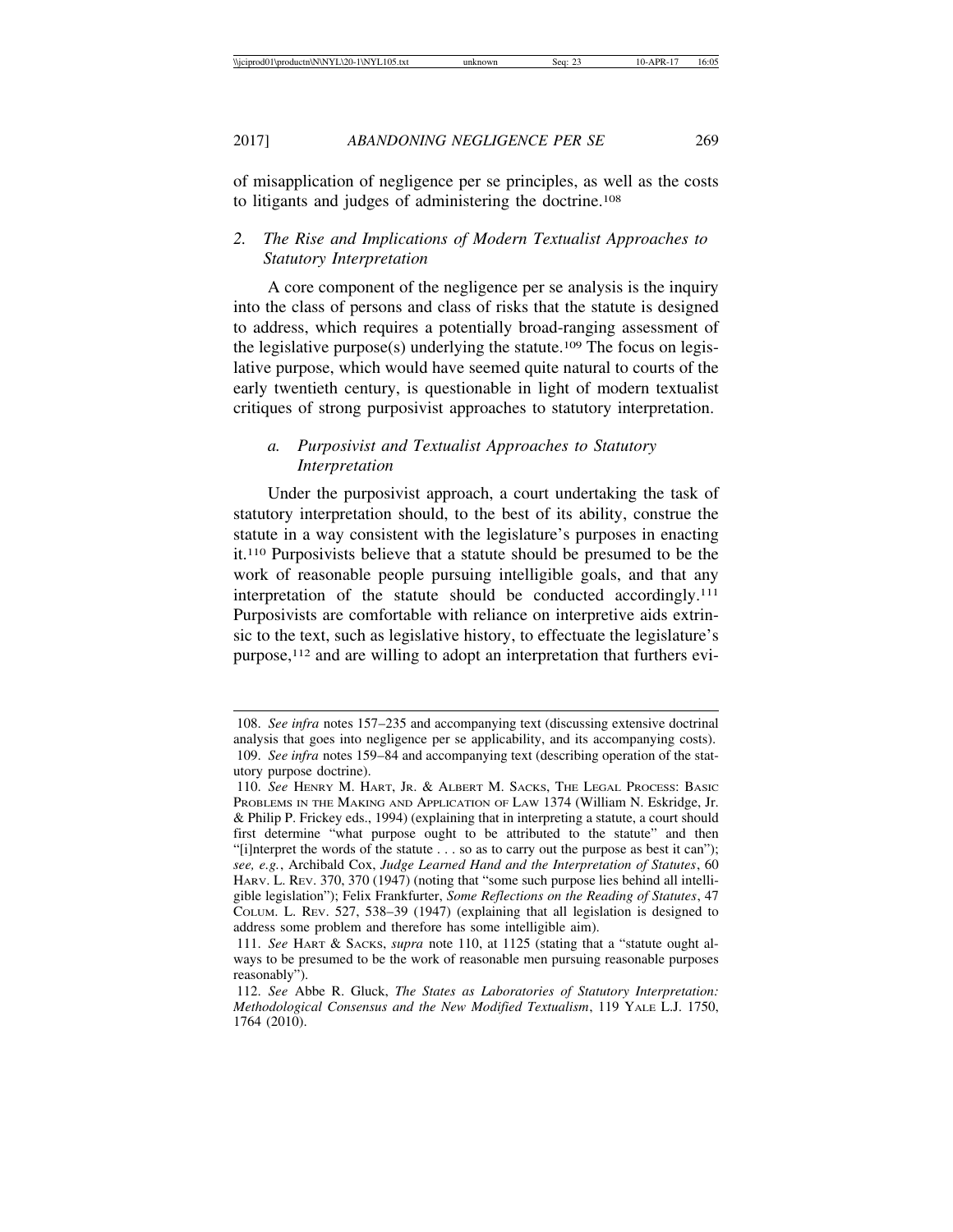of misapplication of negligence per se principles, as well as the costs to litigants and judges of administering the doctrine.108

# *2. The Rise and Implications of Modern Textualist Approaches to Statutory Interpretation*

A core component of the negligence per se analysis is the inquiry into the class of persons and class of risks that the statute is designed to address, which requires a potentially broad-ranging assessment of the legislative purpose $(s)$  underlying the statute.<sup>109</sup> The focus on legislative purpose, which would have seemed quite natural to courts of the early twentieth century, is questionable in light of modern textualist critiques of strong purposivist approaches to statutory interpretation.

# *a. Purposivist and Textualist Approaches to Statutory Interpretation*

Under the purposivist approach, a court undertaking the task of statutory interpretation should, to the best of its ability, construe the statute in a way consistent with the legislature's purposes in enacting it.110 Purposivists believe that a statute should be presumed to be the work of reasonable people pursuing intelligible goals, and that any interpretation of the statute should be conducted accordingly.111 Purposivists are comfortable with reliance on interpretive aids extrinsic to the text, such as legislative history, to effectuate the legislature's purpose,112 and are willing to adopt an interpretation that furthers evi-

<sup>108.</sup> *See infra* notes 157–235 and accompanying text (discussing extensive doctrinal analysis that goes into negligence per se applicability, and its accompanying costs).

<sup>109.</sup> *See infra* notes 159–84 and accompanying text (describing operation of the statutory purpose doctrine).

<sup>110.</sup> *See* HENRY M. HART, JR. & ALBERT M. SACKS, THE LEGAL PROCESS: BASIC PROBLEMS IN THE MAKING AND APPLICATION OF LAW 1374 (William N. Eskridge, Jr. & Philip P. Frickey eds., 1994) (explaining that in interpreting a statute, a court should first determine "what purpose ought to be attributed to the statute" and then "[i]nterpret the words of the statute . . . so as to carry out the purpose as best it can"); *see, e.g.*, Archibald Cox, *Judge Learned Hand and the Interpretation of Statutes*, 60 HARV. L. REV. 370, 370 (1947) (noting that "some such purpose lies behind all intelligible legislation"); Felix Frankfurter, *Some Reflections on the Reading of Statutes*, 47 COLUM. L. REV. 527, 538–39 (1947) (explaining that all legislation is designed to address some problem and therefore has some intelligible aim).

<sup>111.</sup> *See* HART & SACKS, *supra* note 110, at 1125 (stating that a "statute ought always to be presumed to be the work of reasonable men pursuing reasonable purposes reasonably").

<sup>112.</sup> *See* Abbe R. Gluck, *The States as Laboratories of Statutory Interpretation: Methodological Consensus and the New Modified Textualism*, 119 YALE L.J. 1750, 1764 (2010).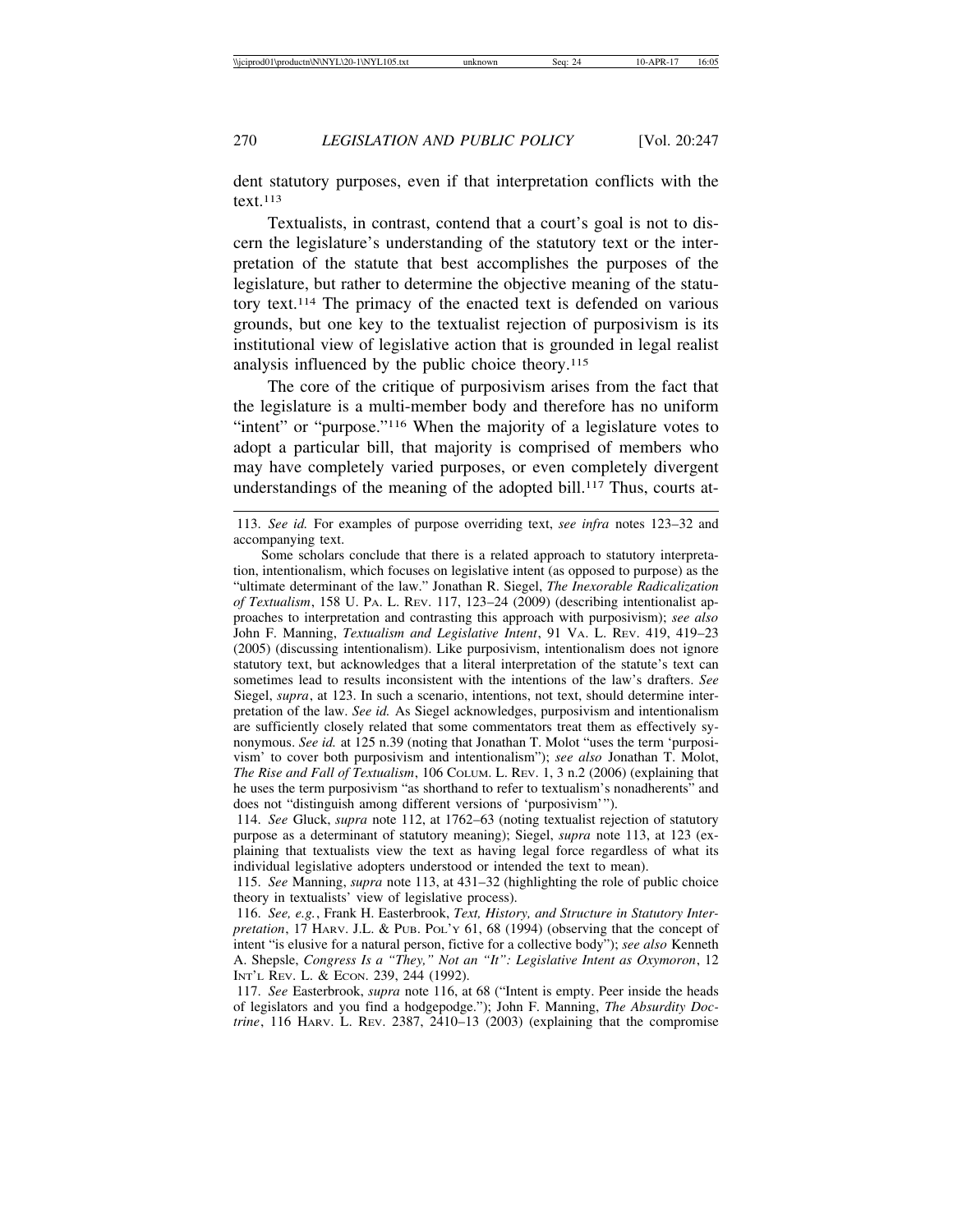dent statutory purposes, even if that interpretation conflicts with the  $text.113}$ 

Textualists, in contrast, contend that a court's goal is not to discern the legislature's understanding of the statutory text or the interpretation of the statute that best accomplishes the purposes of the legislature, but rather to determine the objective meaning of the statutory text.114 The primacy of the enacted text is defended on various grounds, but one key to the textualist rejection of purposivism is its institutional view of legislative action that is grounded in legal realist analysis influenced by the public choice theory.<sup>115</sup>

The core of the critique of purposivism arises from the fact that the legislature is a multi-member body and therefore has no uniform "intent" or "purpose."<sup>116</sup> When the majority of a legislature votes to adopt a particular bill, that majority is comprised of members who may have completely varied purposes, or even completely divergent understandings of the meaning of the adopted bill.<sup>117</sup> Thus, courts at-

114. *See* Gluck, *supra* note 112, at 1762–63 (noting textualist rejection of statutory purpose as a determinant of statutory meaning); Siegel, *supra* note 113, at 123 (explaining that textualists view the text as having legal force regardless of what its individual legislative adopters understood or intended the text to mean).

115. *See* Manning, *supra* note 113, at 431–32 (highlighting the role of public choice theory in textualists' view of legislative process).

116. *See, e.g.*, Frank H. Easterbrook, *Text, History, and Structure in Statutory Interpretation*, 17 HARV. J.L. & PUB. POL'Y 61, 68 (1994) (observing that the concept of intent "is elusive for a natural person, fictive for a collective body"); *see also* Kenneth A. Shepsle, *Congress Is a "They," Not an "It": Legislative Intent as Oxymoron*, 12 INT'L REV. L. & ECON. 239, 244 (1992).

117. *See* Easterbrook, *supra* note 116, at 68 ("Intent is empty. Peer inside the heads of legislators and you find a hodgepodge."); John F. Manning, *The Absurdity Doctrine*, 116 HARV. L. REV. 2387, 2410–13 (2003) (explaining that the compromise

<sup>113.</sup> *See id.* For examples of purpose overriding text, *see infra* notes 123–32 and accompanying text.

Some scholars conclude that there is a related approach to statutory interpretation, intentionalism, which focuses on legislative intent (as opposed to purpose) as the "ultimate determinant of the law." Jonathan R. Siegel, *The Inexorable Radicalization of Textualism*, 158 U. PA. L. REV. 117, 123–24 (2009) (describing intentionalist approaches to interpretation and contrasting this approach with purposivism); *see also* John F. Manning, *Textualism and Legislative Intent*, 91 VA. L. REV. 419, 419–23 (2005) (discussing intentionalism). Like purposivism, intentionalism does not ignore statutory text, but acknowledges that a literal interpretation of the statute's text can sometimes lead to results inconsistent with the intentions of the law's drafters. *See* Siegel, *supra*, at 123. In such a scenario, intentions, not text, should determine interpretation of the law. *See id.* As Siegel acknowledges, purposivism and intentionalism are sufficiently closely related that some commentators treat them as effectively synonymous. *See id.* at 125 n.39 (noting that Jonathan T. Molot "uses the term 'purposivism' to cover both purposivism and intentionalism"); *see also* Jonathan T. Molot, *The Rise and Fall of Textualism*, 106 COLUM. L. REV. 1, 3 n.2 (2006) (explaining that he uses the term purposivism "as shorthand to refer to textualism's nonadherents" and does not "distinguish among different versions of 'purposivism'").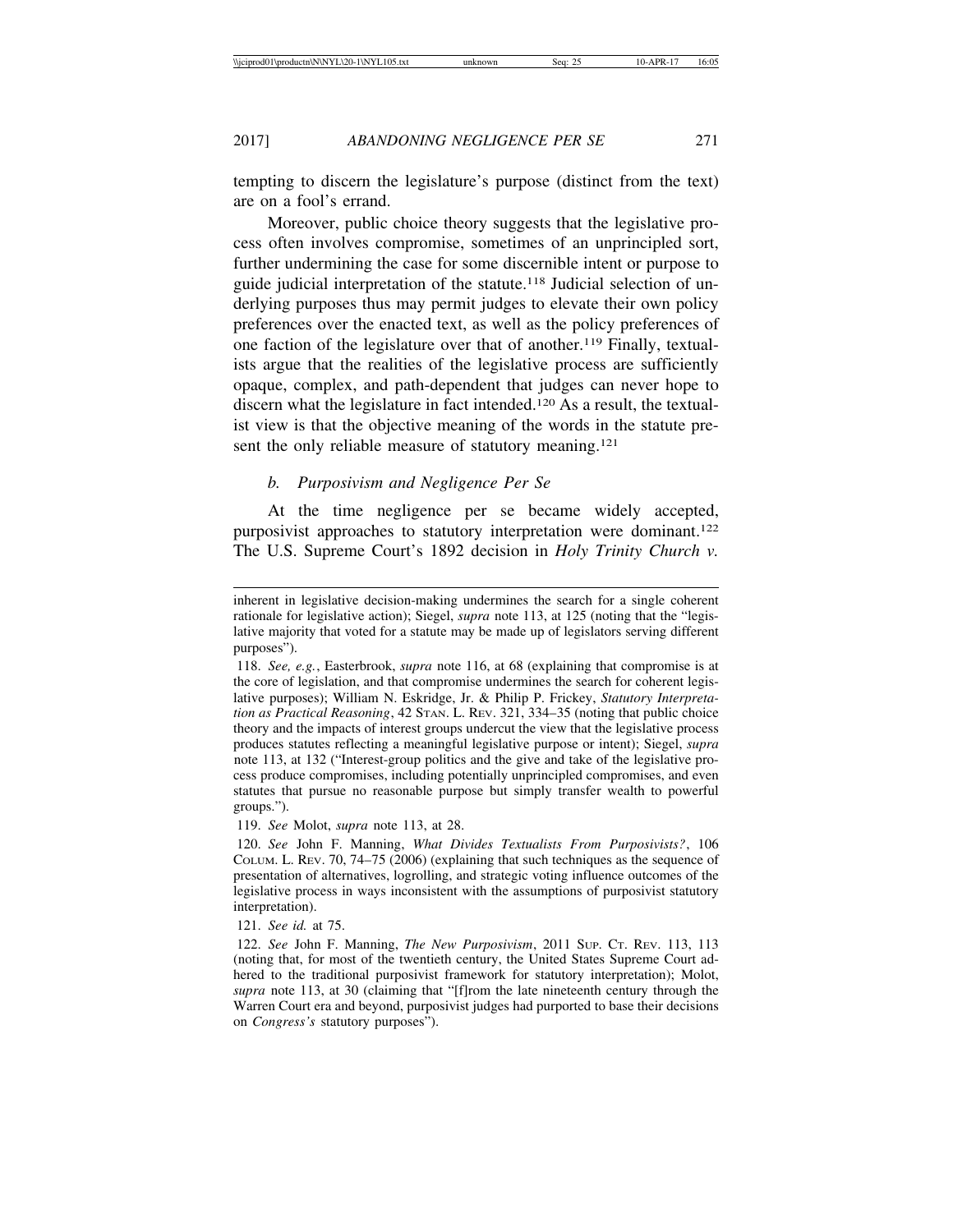tempting to discern the legislature's purpose (distinct from the text) are on a fool's errand.

Moreover, public choice theory suggests that the legislative process often involves compromise, sometimes of an unprincipled sort, further undermining the case for some discernible intent or purpose to guide judicial interpretation of the statute.118 Judicial selection of underlying purposes thus may permit judges to elevate their own policy preferences over the enacted text, as well as the policy preferences of one faction of the legislature over that of another.119 Finally, textualists argue that the realities of the legislative process are sufficiently opaque, complex, and path-dependent that judges can never hope to discern what the legislature in fact intended.<sup>120</sup> As a result, the textualist view is that the objective meaning of the words in the statute present the only reliable measure of statutory meaning.<sup>121</sup>

# *b. Purposivism and Negligence Per Se*

At the time negligence per se became widely accepted, purposivist approaches to statutory interpretation were dominant.122 The U.S. Supreme Court's 1892 decision in *Holy Trinity Church v.*

119. *See* Molot, *supra* note 113, at 28.

121. *See id.* at 75.

inherent in legislative decision-making undermines the search for a single coherent rationale for legislative action); Siegel, *supra* note 113, at 125 (noting that the "legislative majority that voted for a statute may be made up of legislators serving different purposes").

<sup>118.</sup> *See, e.g.*, Easterbrook, *supra* note 116, at 68 (explaining that compromise is at the core of legislation, and that compromise undermines the search for coherent legislative purposes); William N. Eskridge, Jr. & Philip P. Frickey, *Statutory Interpretation as Practical Reasoning*, 42 STAN. L. REV. 321, 334–35 (noting that public choice theory and the impacts of interest groups undercut the view that the legislative process produces statutes reflecting a meaningful legislative purpose or intent); Siegel, *supra* note 113, at 132 ("Interest-group politics and the give and take of the legislative process produce compromises, including potentially unprincipled compromises, and even statutes that pursue no reasonable purpose but simply transfer wealth to powerful groups.").

<sup>120.</sup> *See* John F. Manning, *What Divides Textualists From Purposivists?*, 106 COLUM. L. REV. 70, 74–75 (2006) (explaining that such techniques as the sequence of presentation of alternatives, logrolling, and strategic voting influence outcomes of the legislative process in ways inconsistent with the assumptions of purposivist statutory interpretation).

<sup>122.</sup> *See* John F. Manning, *The New Purposivism*, 2011 SUP. CT. REV. 113, 113 (noting that, for most of the twentieth century, the United States Supreme Court adhered to the traditional purposivist framework for statutory interpretation); Molot, *supra* note 113, at 30 (claiming that "[f]rom the late nineteenth century through the Warren Court era and beyond, purposivist judges had purported to base their decisions on *Congress's* statutory purposes").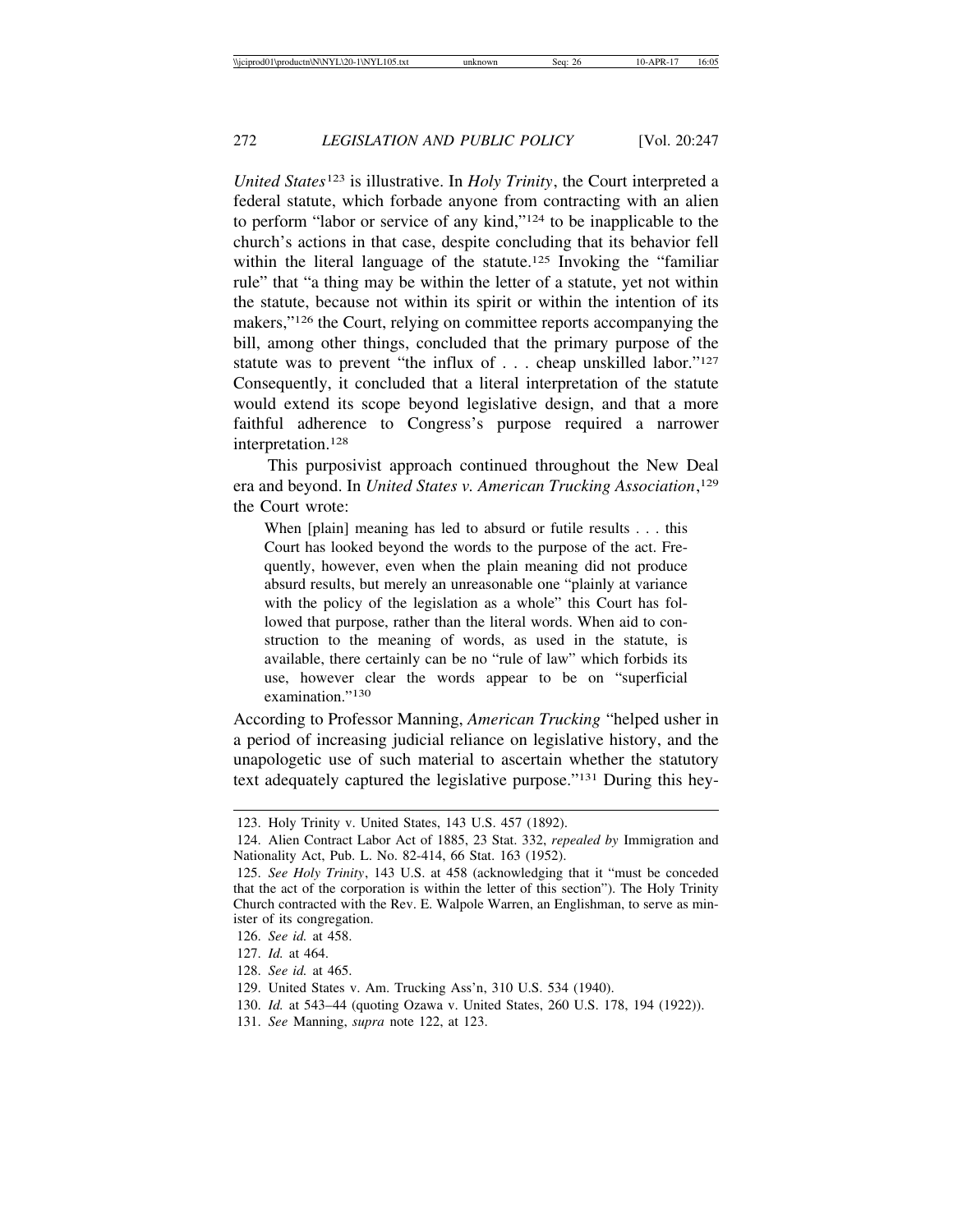*United States*123 is illustrative. In *Holy Trinity*, the Court interpreted a federal statute, which forbade anyone from contracting with an alien to perform "labor or service of any kind,"124 to be inapplicable to the church's actions in that case, despite concluding that its behavior fell within the literal language of the statute.<sup>125</sup> Invoking the "familiar" rule" that "a thing may be within the letter of a statute, yet not within the statute, because not within its spirit or within the intention of its makers,"126 the Court, relying on committee reports accompanying the bill, among other things, concluded that the primary purpose of the statute was to prevent "the influx of . . . cheap unskilled labor."127 Consequently, it concluded that a literal interpretation of the statute would extend its scope beyond legislative design, and that a more faithful adherence to Congress's purpose required a narrower interpretation.128

This purposivist approach continued throughout the New Deal era and beyond. In *United States v. American Trucking Association*, 129 the Court wrote:

When [plain] meaning has led to absurd or futile results . . . this Court has looked beyond the words to the purpose of the act. Frequently, however, even when the plain meaning did not produce absurd results, but merely an unreasonable one "plainly at variance with the policy of the legislation as a whole" this Court has followed that purpose, rather than the literal words. When aid to construction to the meaning of words, as used in the statute, is available, there certainly can be no "rule of law" which forbids its use, however clear the words appear to be on "superficial examination."<sup>130</sup>

According to Professor Manning, *American Trucking* "helped usher in a period of increasing judicial reliance on legislative history, and the unapologetic use of such material to ascertain whether the statutory text adequately captured the legislative purpose."131 During this hey-

- 130. *Id.* at 543–44 (quoting Ozawa v. United States, 260 U.S. 178, 194 (1922)).
- 131. *See* Manning, *supra* note 122, at 123.

<sup>123.</sup> Holy Trinity v. United States, 143 U.S. 457 (1892).

<sup>124.</sup> Alien Contract Labor Act of 1885, 23 Stat. 332, *repealed by* Immigration and Nationality Act, Pub. L. No. 82-414, 66 Stat. 163 (1952).

<sup>125.</sup> *See Holy Trinity*, 143 U.S. at 458 (acknowledging that it "must be conceded that the act of the corporation is within the letter of this section"). The Holy Trinity Church contracted with the Rev. E. Walpole Warren, an Englishman, to serve as minister of its congregation.

<sup>126.</sup> *See id.* at 458.

<sup>127.</sup> *Id.* at 464.

<sup>128.</sup> *See id.* at 465.

<sup>129.</sup> United States v. Am. Trucking Ass'n, 310 U.S. 534 (1940).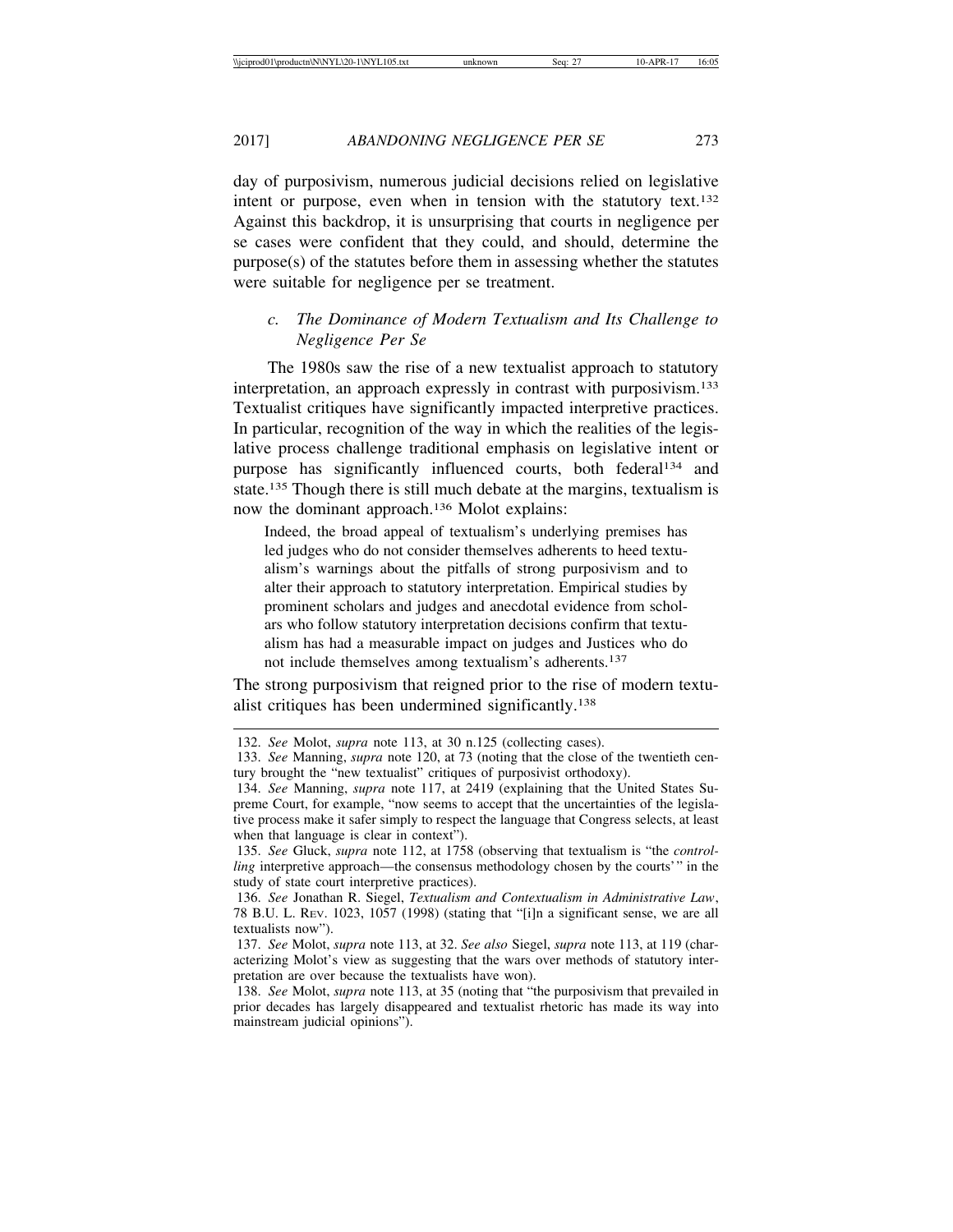day of purposivism, numerous judicial decisions relied on legislative intent or purpose, even when in tension with the statutory text.<sup>132</sup> Against this backdrop, it is unsurprising that courts in negligence per se cases were confident that they could, and should, determine the purpose(s) of the statutes before them in assessing whether the statutes were suitable for negligence per se treatment.

# *c. The Dominance of Modern Textualism and Its Challenge to Negligence Per Se*

The 1980s saw the rise of a new textualist approach to statutory interpretation, an approach expressly in contrast with purposivism.133 Textualist critiques have significantly impacted interpretive practices. In particular, recognition of the way in which the realities of the legislative process challenge traditional emphasis on legislative intent or purpose has significantly influenced courts, both federal<sup>134</sup> and state.<sup>135</sup> Though there is still much debate at the margins, textualism is now the dominant approach.136 Molot explains:

Indeed, the broad appeal of textualism's underlying premises has led judges who do not consider themselves adherents to heed textualism's warnings about the pitfalls of strong purposivism and to alter their approach to statutory interpretation. Empirical studies by prominent scholars and judges and anecdotal evidence from scholars who follow statutory interpretation decisions confirm that textualism has had a measurable impact on judges and Justices who do not include themselves among textualism's adherents.137

The strong purposivism that reigned prior to the rise of modern textualist critiques has been undermined significantly.138

<sup>132.</sup> *See* Molot, *supra* note 113, at 30 n.125 (collecting cases).

<sup>133.</sup> *See* Manning, *supra* note 120, at 73 (noting that the close of the twentieth century brought the "new textualist" critiques of purposivist orthodoxy).

<sup>134.</sup> *See* Manning, *supra* note 117, at 2419 (explaining that the United States Supreme Court, for example, "now seems to accept that the uncertainties of the legislative process make it safer simply to respect the language that Congress selects, at least when that language is clear in context").

<sup>135.</sup> *See* Gluck, *supra* note 112, at 1758 (observing that textualism is "the *controlling* interpretive approach—the consensus methodology chosen by the courts'" in the study of state court interpretive practices).

<sup>136.</sup> *See* Jonathan R. Siegel, *Textualism and Contextualism in Administrative Law*, 78 B.U. L. REV. 1023, 1057 (1998) (stating that "[i]n a significant sense, we are all textualists now").

<sup>137.</sup> *See* Molot, *supra* note 113, at 32. *See also* Siegel, *supra* note 113, at 119 (characterizing Molot's view as suggesting that the wars over methods of statutory interpretation are over because the textualists have won).

<sup>138.</sup> *See* Molot, *supra* note 113, at 35 (noting that "the purposivism that prevailed in prior decades has largely disappeared and textualist rhetoric has made its way into mainstream judicial opinions").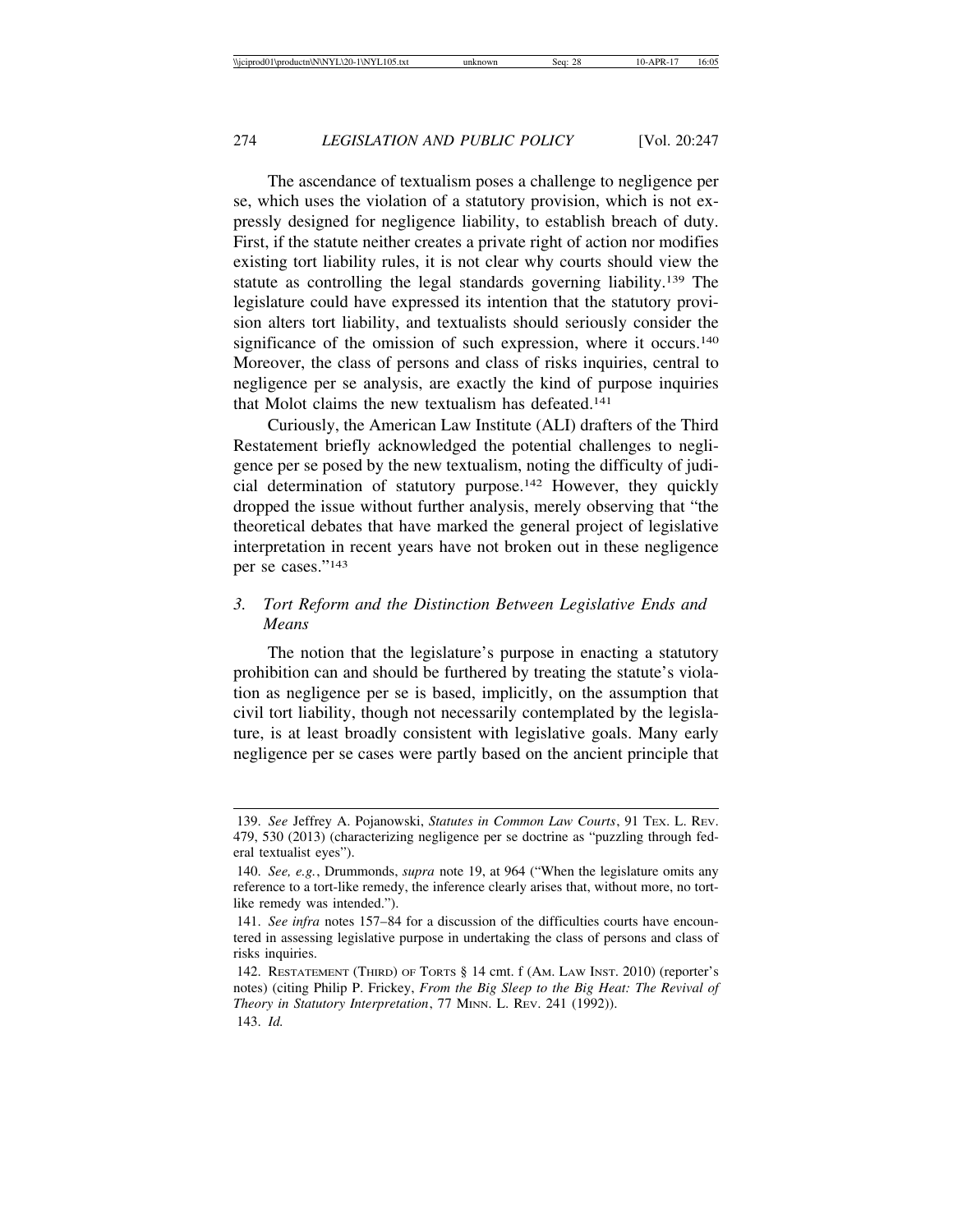The ascendance of textualism poses a challenge to negligence per se, which uses the violation of a statutory provision, which is not expressly designed for negligence liability, to establish breach of duty. First, if the statute neither creates a private right of action nor modifies existing tort liability rules, it is not clear why courts should view the statute as controlling the legal standards governing liability.139 The legislature could have expressed its intention that the statutory provision alters tort liability, and textualists should seriously consider the significance of the omission of such expression, where it occurs.<sup>140</sup> Moreover, the class of persons and class of risks inquiries, central to negligence per se analysis, are exactly the kind of purpose inquiries that Molot claims the new textualism has defeated.141

Curiously, the American Law Institute (ALI) drafters of the Third Restatement briefly acknowledged the potential challenges to negligence per se posed by the new textualism, noting the difficulty of judicial determination of statutory purpose.142 However, they quickly dropped the issue without further analysis, merely observing that "the theoretical debates that have marked the general project of legislative interpretation in recent years have not broken out in these negligence per se cases."143

# *3. Tort Reform and the Distinction Between Legislative Ends and Means*

The notion that the legislature's purpose in enacting a statutory prohibition can and should be furthered by treating the statute's violation as negligence per se is based, implicitly, on the assumption that civil tort liability, though not necessarily contemplated by the legislature, is at least broadly consistent with legislative goals. Many early negligence per se cases were partly based on the ancient principle that

<sup>139.</sup> *See* Jeffrey A. Pojanowski, *Statutes in Common Law Courts*, 91 TEX. L. REV. 479, 530 (2013) (characterizing negligence per se doctrine as "puzzling through federal textualist eyes").

<sup>140.</sup> *See, e.g.*, Drummonds, *supra* note 19, at 964 ("When the legislature omits any reference to a tort-like remedy, the inference clearly arises that, without more, no tortlike remedy was intended.").

<sup>141.</sup> *See infra* notes 157–84 for a discussion of the difficulties courts have encountered in assessing legislative purpose in undertaking the class of persons and class of risks inquiries.

<sup>142.</sup> RESTATEMENT (THIRD) OF TORTS § 14 cmt. f (AM. LAW INST. 2010) (reporter's notes) (citing Philip P. Frickey, *From the Big Sleep to the Big Heat: The Revival of Theory in Statutory Interpretation*, 77 MINN. L. REV. 241 (1992)). 143. *Id.*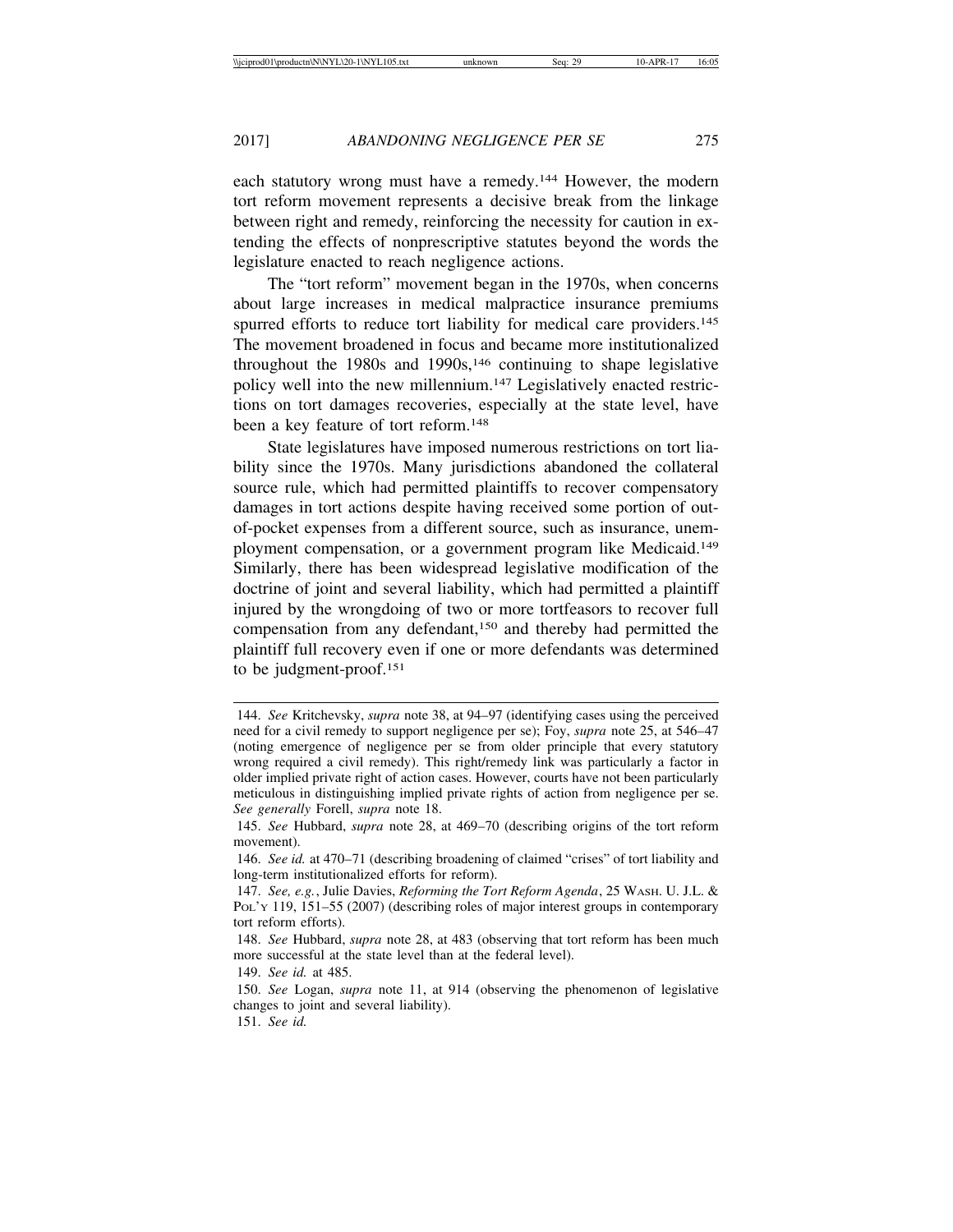each statutory wrong must have a remedy.144 However, the modern tort reform movement represents a decisive break from the linkage between right and remedy, reinforcing the necessity for caution in extending the effects of nonprescriptive statutes beyond the words the legislature enacted to reach negligence actions.

The "tort reform" movement began in the 1970s, when concerns about large increases in medical malpractice insurance premiums spurred efforts to reduce tort liability for medical care providers.<sup>145</sup> The movement broadened in focus and became more institutionalized throughout the  $1980s$  and  $1990s$ ,<sup>146</sup> continuing to shape legislative policy well into the new millennium.147 Legislatively enacted restrictions on tort damages recoveries, especially at the state level, have been a key feature of tort reform.<sup>148</sup>

State legislatures have imposed numerous restrictions on tort liability since the 1970s. Many jurisdictions abandoned the collateral source rule, which had permitted plaintiffs to recover compensatory damages in tort actions despite having received some portion of outof-pocket expenses from a different source, such as insurance, unemployment compensation, or a government program like Medicaid.149 Similarly, there has been widespread legislative modification of the doctrine of joint and several liability, which had permitted a plaintiff injured by the wrongdoing of two or more tortfeasors to recover full compensation from any defendant,150 and thereby had permitted the plaintiff full recovery even if one or more defendants was determined to be judgment-proof.151

<sup>144.</sup> *See* Kritchevsky, *supra* note 38, at 94–97 (identifying cases using the perceived need for a civil remedy to support negligence per se); Foy, *supra* note 25, at 546–47 (noting emergence of negligence per se from older principle that every statutory wrong required a civil remedy). This right/remedy link was particularly a factor in older implied private right of action cases. However, courts have not been particularly meticulous in distinguishing implied private rights of action from negligence per se. *See generally* Forell, *supra* note 18.

<sup>145.</sup> *See* Hubbard, *supra* note 28, at 469–70 (describing origins of the tort reform movement).

<sup>146.</sup> *See id.* at 470–71 (describing broadening of claimed "crises" of tort liability and long-term institutionalized efforts for reform).

<sup>147.</sup> *See, e.g.*, Julie Davies, *Reforming the Tort Reform Agenda*, 25 WASH. U. J.L. & PoL'y 119, 151–55 (2007) (describing roles of major interest groups in contemporary tort reform efforts).

<sup>148.</sup> *See* Hubbard, *supra* note 28, at 483 (observing that tort reform has been much more successful at the state level than at the federal level).

<sup>149.</sup> *See id.* at 485.

<sup>150.</sup> *See* Logan, *supra* note 11, at 914 (observing the phenomenon of legislative changes to joint and several liability).

<sup>151.</sup> *See id.*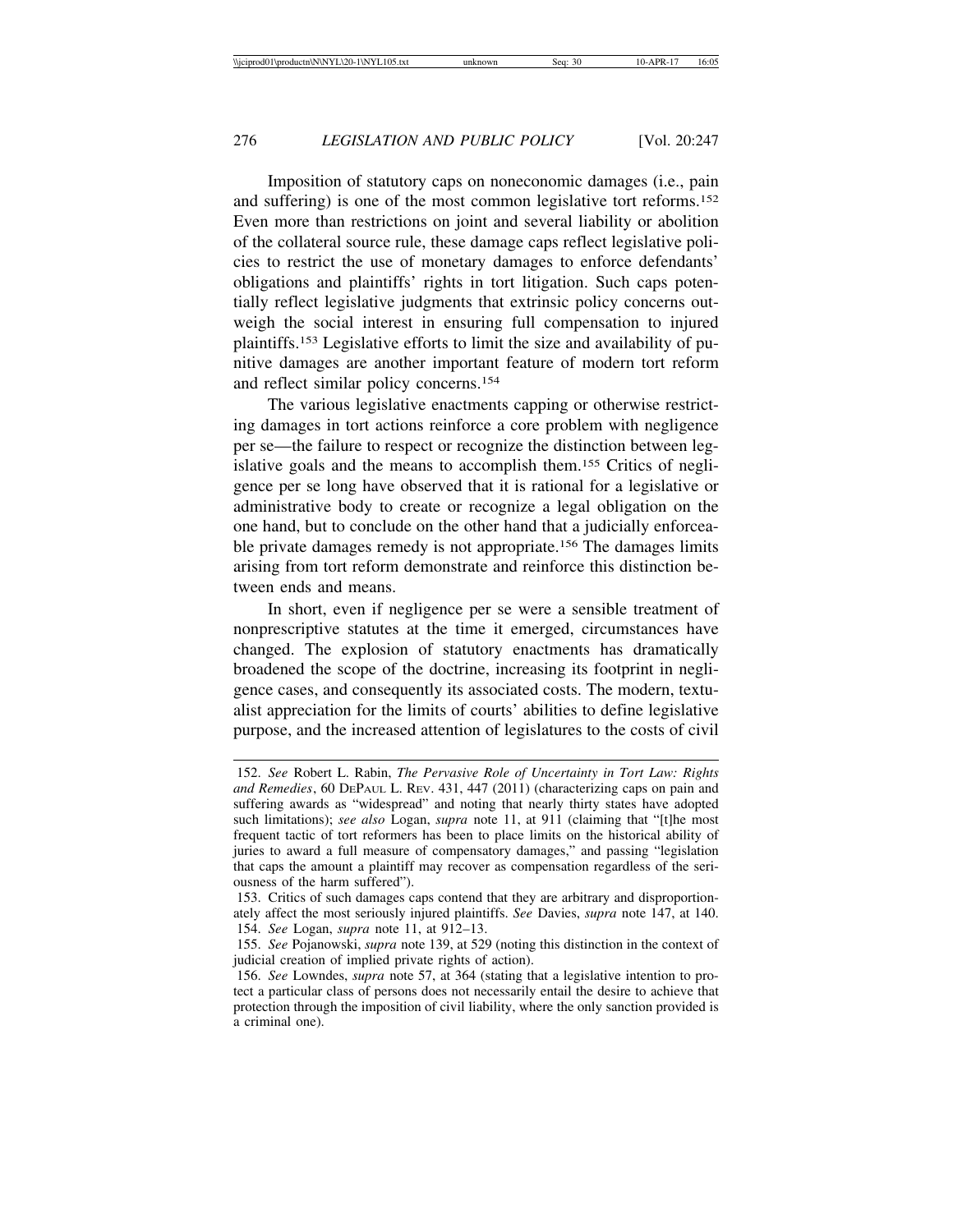Imposition of statutory caps on noneconomic damages (i.e., pain and suffering) is one of the most common legislative tort reforms.152 Even more than restrictions on joint and several liability or abolition of the collateral source rule, these damage caps reflect legislative policies to restrict the use of monetary damages to enforce defendants' obligations and plaintiffs' rights in tort litigation. Such caps potentially reflect legislative judgments that extrinsic policy concerns outweigh the social interest in ensuring full compensation to injured plaintiffs.153 Legislative efforts to limit the size and availability of punitive damages are another important feature of modern tort reform and reflect similar policy concerns.154

The various legislative enactments capping or otherwise restricting damages in tort actions reinforce a core problem with negligence per se—the failure to respect or recognize the distinction between legislative goals and the means to accomplish them.155 Critics of negligence per se long have observed that it is rational for a legislative or administrative body to create or recognize a legal obligation on the one hand, but to conclude on the other hand that a judicially enforceable private damages remedy is not appropriate.156 The damages limits arising from tort reform demonstrate and reinforce this distinction between ends and means.

In short, even if negligence per se were a sensible treatment of nonprescriptive statutes at the time it emerged, circumstances have changed. The explosion of statutory enactments has dramatically broadened the scope of the doctrine, increasing its footprint in negligence cases, and consequently its associated costs. The modern, textualist appreciation for the limits of courts' abilities to define legislative purpose, and the increased attention of legislatures to the costs of civil

<sup>152.</sup> *See* Robert L. Rabin, *The Pervasive Role of Uncertainty in Tort Law: Rights and Remedies*, 60 DEPAUL L. REV. 431, 447 (2011) (characterizing caps on pain and suffering awards as "widespread" and noting that nearly thirty states have adopted such limitations); *see also* Logan, *supra* note 11, at 911 (claiming that "[t]he most frequent tactic of tort reformers has been to place limits on the historical ability of juries to award a full measure of compensatory damages," and passing "legislation that caps the amount a plaintiff may recover as compensation regardless of the seriousness of the harm suffered").

<sup>153.</sup> Critics of such damages caps contend that they are arbitrary and disproportionately affect the most seriously injured plaintiffs. *See* Davies, *supra* note 147, at 140. 154. *See* Logan, *supra* note 11, at 912–13.

<sup>155.</sup> *See* Pojanowski, *supra* note 139, at 529 (noting this distinction in the context of judicial creation of implied private rights of action).

<sup>156.</sup> *See* Lowndes, *supra* note 57, at 364 (stating that a legislative intention to protect a particular class of persons does not necessarily entail the desire to achieve that protection through the imposition of civil liability, where the only sanction provided is a criminal one).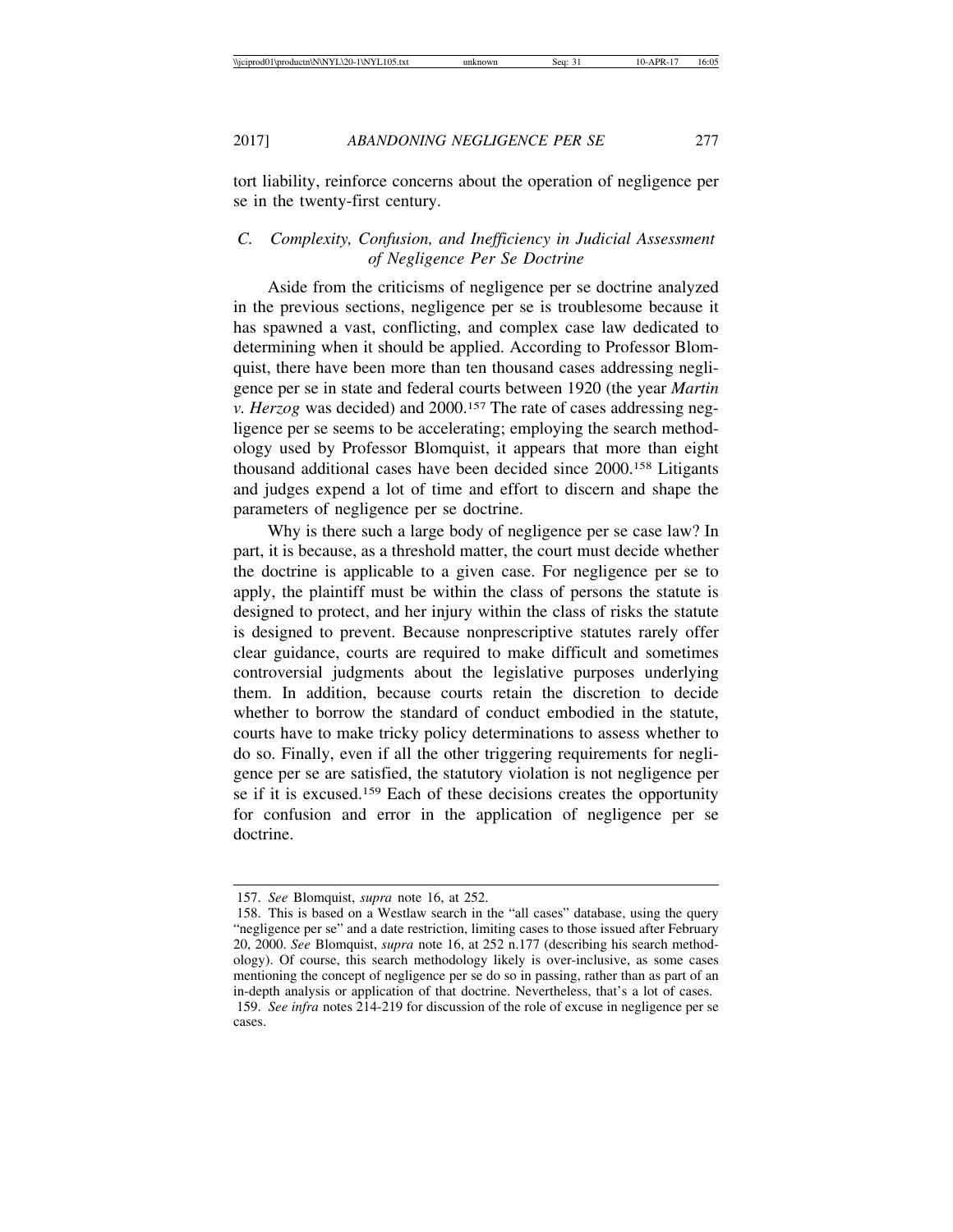tort liability, reinforce concerns about the operation of negligence per se in the twenty-first century.

# *C. Complexity, Confusion, and Inefficiency in Judicial Assessment of Negligence Per Se Doctrine*

Aside from the criticisms of negligence per se doctrine analyzed in the previous sections, negligence per se is troublesome because it has spawned a vast, conflicting, and complex case law dedicated to determining when it should be applied. According to Professor Blomquist, there have been more than ten thousand cases addressing negligence per se in state and federal courts between 1920 (the year *Martin v. Herzog was decided) and 2000.<sup>157</sup> The rate of cases addressing neg*ligence per se seems to be accelerating; employing the search methodology used by Professor Blomquist, it appears that more than eight thousand additional cases have been decided since 2000.158 Litigants and judges expend a lot of time and effort to discern and shape the parameters of negligence per se doctrine.

Why is there such a large body of negligence per se case law? In part, it is because, as a threshold matter, the court must decide whether the doctrine is applicable to a given case. For negligence per se to apply, the plaintiff must be within the class of persons the statute is designed to protect, and her injury within the class of risks the statute is designed to prevent. Because nonprescriptive statutes rarely offer clear guidance, courts are required to make difficult and sometimes controversial judgments about the legislative purposes underlying them. In addition, because courts retain the discretion to decide whether to borrow the standard of conduct embodied in the statute, courts have to make tricky policy determinations to assess whether to do so. Finally, even if all the other triggering requirements for negligence per se are satisfied, the statutory violation is not negligence per se if it is excused.159 Each of these decisions creates the opportunity for confusion and error in the application of negligence per se doctrine.

<sup>157.</sup> *See* Blomquist, *supra* note 16, at 252.

<sup>158.</sup> This is based on a Westlaw search in the "all cases" database, using the query "negligence per se" and a date restriction, limiting cases to those issued after February 20, 2000. *See* Blomquist, *supra* note 16, at 252 n.177 (describing his search methodology). Of course, this search methodology likely is over-inclusive, as some cases mentioning the concept of negligence per se do so in passing, rather than as part of an in-depth analysis or application of that doctrine. Nevertheless, that's a lot of cases.

<sup>159.</sup> *See infra* notes 214-219 for discussion of the role of excuse in negligence per se cases.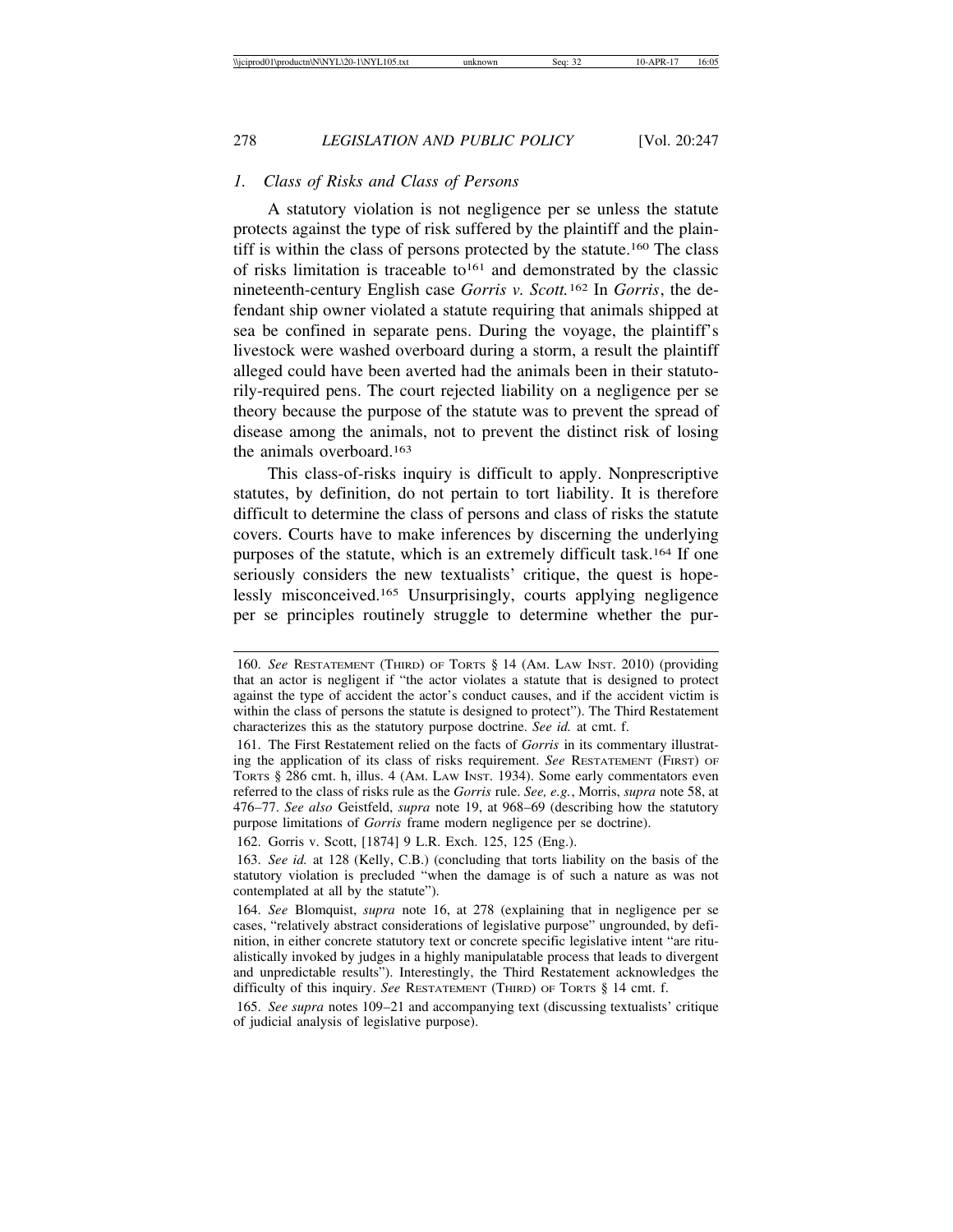# *1. Class of Risks and Class of Persons*

A statutory violation is not negligence per se unless the statute protects against the type of risk suffered by the plaintiff and the plaintiff is within the class of persons protected by the statute.160 The class of risks limitation is traceable to<sup>161</sup> and demonstrated by the classic nineteenth-century English case *Gorris v. Scott.*162 In *Gorris*, the defendant ship owner violated a statute requiring that animals shipped at sea be confined in separate pens. During the voyage, the plaintiff's livestock were washed overboard during a storm, a result the plaintiff alleged could have been averted had the animals been in their statutorily-required pens. The court rejected liability on a negligence per se theory because the purpose of the statute was to prevent the spread of disease among the animals, not to prevent the distinct risk of losing the animals overboard.163

This class-of-risks inquiry is difficult to apply. Nonprescriptive statutes, by definition, do not pertain to tort liability. It is therefore difficult to determine the class of persons and class of risks the statute covers. Courts have to make inferences by discerning the underlying purposes of the statute, which is an extremely difficult task.164 If one seriously considers the new textualists' critique, the quest is hopelessly misconceived.165 Unsurprisingly, courts applying negligence per se principles routinely struggle to determine whether the pur-

<sup>160.</sup> *See* RESTATEMENT (THIRD) OF TORTS § 14 (AM. LAW INST. 2010) (providing that an actor is negligent if "the actor violates a statute that is designed to protect against the type of accident the actor's conduct causes, and if the accident victim is within the class of persons the statute is designed to protect"). The Third Restatement characterizes this as the statutory purpose doctrine. *See id.* at cmt. f.

<sup>161.</sup> The First Restatement relied on the facts of *Gorris* in its commentary illustrating the application of its class of risks requirement. *See* RESTATEMENT (FIRST) OF TORTS § 286 cmt. h, illus. 4 (AM. LAW INST. 1934). Some early commentators even referred to the class of risks rule as the *Gorris* rule. *See, e.g.*, Morris, *supra* note 58, at 476–77. *See also* Geistfeld, *supra* note 19, at 968–69 (describing how the statutory purpose limitations of *Gorris* frame modern negligence per se doctrine).

<sup>162.</sup> Gorris v. Scott, [1874] 9 L.R. Exch. 125, 125 (Eng.).

<sup>163.</sup> *See id.* at 128 (Kelly, C.B.) (concluding that torts liability on the basis of the statutory violation is precluded "when the damage is of such a nature as was not contemplated at all by the statute").

<sup>164.</sup> *See* Blomquist, *supra* note 16, at 278 (explaining that in negligence per se cases, "relatively abstract considerations of legislative purpose" ungrounded, by definition, in either concrete statutory text or concrete specific legislative intent "are ritualistically invoked by judges in a highly manipulatable process that leads to divergent and unpredictable results"). Interestingly, the Third Restatement acknowledges the difficulty of this inquiry. *See* RESTATEMENT (THIRD) OF TORTS § 14 cmt. f.

<sup>165.</sup> *See supra* notes 109–21 and accompanying text (discussing textualists' critique of judicial analysis of legislative purpose).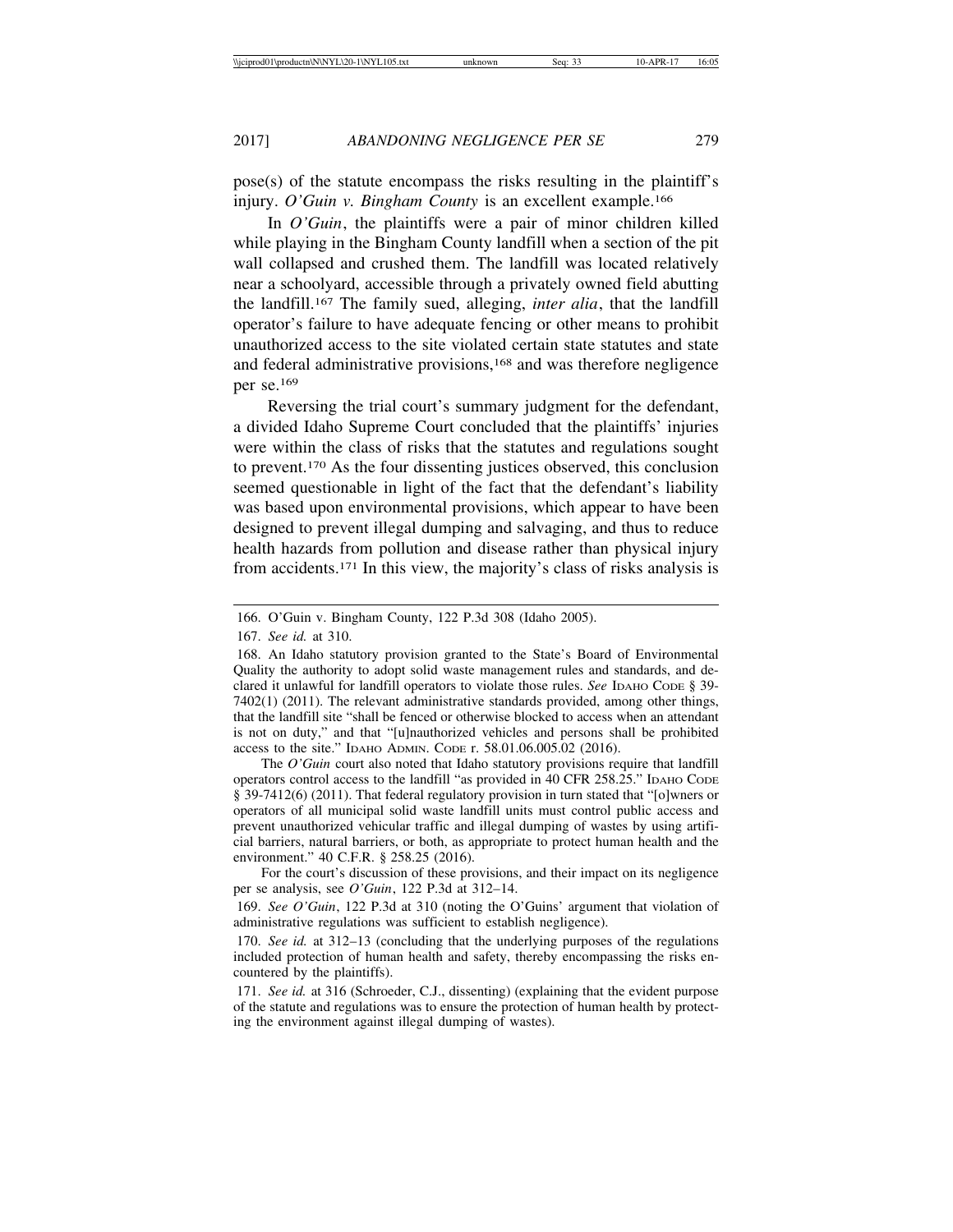pose(s) of the statute encompass the risks resulting in the plaintiff's injury. *O'Guin v. Bingham County* is an excellent example.166

In *O'Guin*, the plaintiffs were a pair of minor children killed while playing in the Bingham County landfill when a section of the pit wall collapsed and crushed them. The landfill was located relatively near a schoolyard, accessible through a privately owned field abutting the landfill.167 The family sued, alleging, *inter alia*, that the landfill operator's failure to have adequate fencing or other means to prohibit unauthorized access to the site violated certain state statutes and state and federal administrative provisions,<sup>168</sup> and was therefore negligence per se.169

Reversing the trial court's summary judgment for the defendant, a divided Idaho Supreme Court concluded that the plaintiffs' injuries were within the class of risks that the statutes and regulations sought to prevent.170 As the four dissenting justices observed, this conclusion seemed questionable in light of the fact that the defendant's liability was based upon environmental provisions, which appear to have been designed to prevent illegal dumping and salvaging, and thus to reduce health hazards from pollution and disease rather than physical injury from accidents.171 In this view, the majority's class of risks analysis is

The *O'Guin* court also noted that Idaho statutory provisions require that landfill operators control access to the landfill "as provided in 40 CFR 258.25." IDAHO CODE § 39-7412(6) (2011). That federal regulatory provision in turn stated that "[o]wners or operators of all municipal solid waste landfill units must control public access and prevent unauthorized vehicular traffic and illegal dumping of wastes by using artificial barriers, natural barriers, or both, as appropriate to protect human health and the environment." 40 C.F.R. § 258.25 (2016).

For the court's discussion of these provisions, and their impact on its negligence per se analysis, see *O'Guin*, 122 P.3d at 312–14.

169. *See O'Guin*, 122 P.3d at 310 (noting the O'Guins' argument that violation of administrative regulations was sufficient to establish negligence).

170. *See id.* at 312–13 (concluding that the underlying purposes of the regulations included protection of human health and safety, thereby encompassing the risks encountered by the plaintiffs).

171. *See id.* at 316 (Schroeder, C.J., dissenting) (explaining that the evident purpose of the statute and regulations was to ensure the protection of human health by protecting the environment against illegal dumping of wastes).

<sup>166.</sup> O'Guin v. Bingham County, 122 P.3d 308 (Idaho 2005).

<sup>167.</sup> *See id.* at 310.

<sup>168.</sup> An Idaho statutory provision granted to the State's Board of Environmental Quality the authority to adopt solid waste management rules and standards, and declared it unlawful for landfill operators to violate those rules. *See* IDАНО СОDЕ § 39-7402(1) (2011). The relevant administrative standards provided, among other things, that the landfill site "shall be fenced or otherwise blocked to access when an attendant is not on duty," and that "[u]nauthorized vehicles and persons shall be prohibited access to the site." IDAHO ADMIN. CODE r. 58.01.06.005.02 (2016).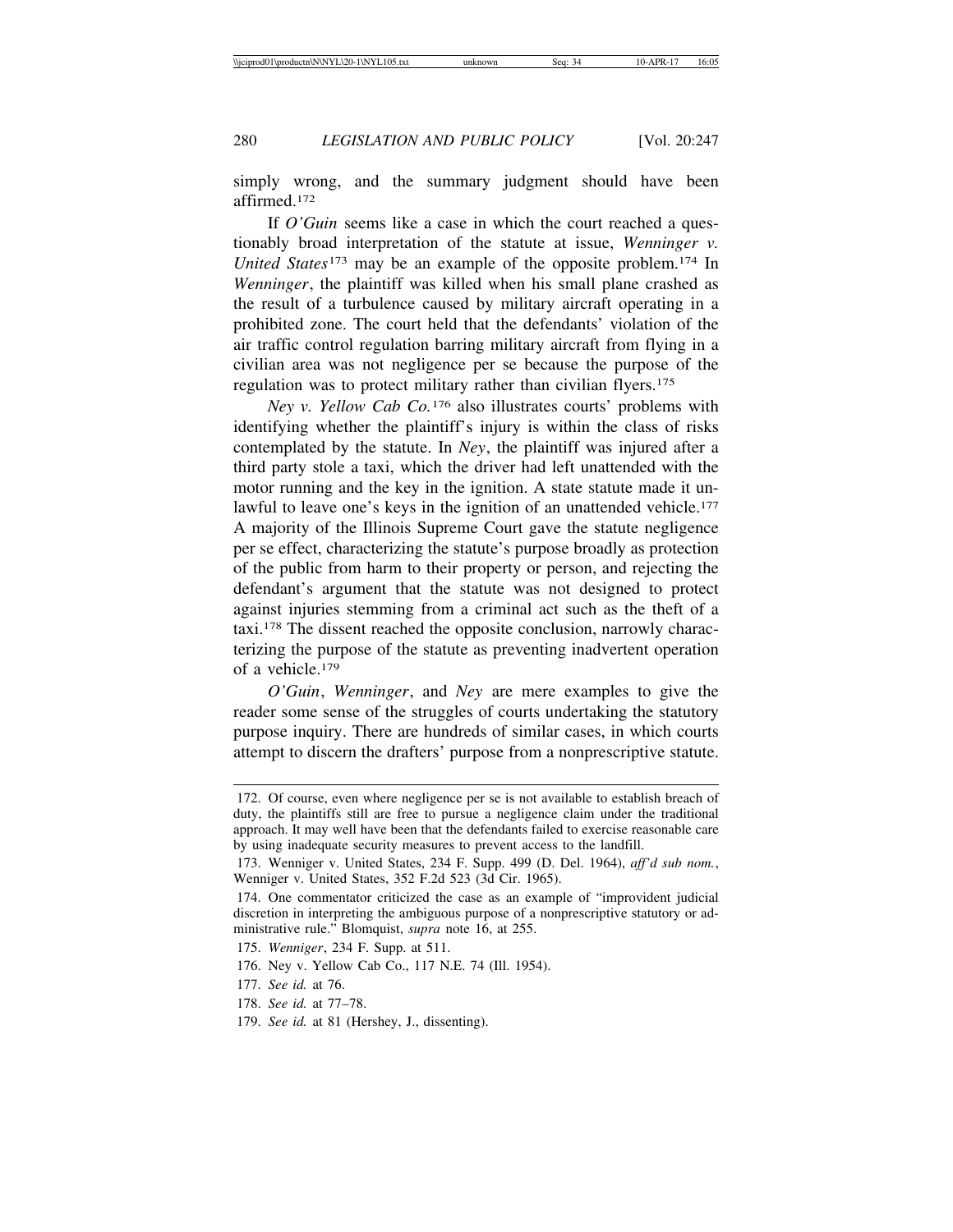simply wrong, and the summary judgment should have been affirmed.172

If *O'Guin* seems like a case in which the court reached a questionably broad interpretation of the statute at issue, *Wenninger v. United States*173 may be an example of the opposite problem.174 In *Wenninger*, the plaintiff was killed when his small plane crashed as the result of a turbulence caused by military aircraft operating in a prohibited zone. The court held that the defendants' violation of the air traffic control regulation barring military aircraft from flying in a civilian area was not negligence per se because the purpose of the regulation was to protect military rather than civilian flyers.<sup>175</sup>

*Ney v. Yellow Cab Co.*176 also illustrates courts' problems with identifying whether the plaintiff's injury is within the class of risks contemplated by the statute. In *Ney*, the plaintiff was injured after a third party stole a taxi, which the driver had left unattended with the motor running and the key in the ignition. A state statute made it unlawful to leave one's keys in the ignition of an unattended vehicle.<sup>177</sup> A majority of the Illinois Supreme Court gave the statute negligence per se effect, characterizing the statute's purpose broadly as protection of the public from harm to their property or person, and rejecting the defendant's argument that the statute was not designed to protect against injuries stemming from a criminal act such as the theft of a taxi.178 The dissent reached the opposite conclusion, narrowly characterizing the purpose of the statute as preventing inadvertent operation of a vehicle.179

*O'Guin*, *Wenninger*, and *Ney* are mere examples to give the reader some sense of the struggles of courts undertaking the statutory purpose inquiry. There are hundreds of similar cases, in which courts attempt to discern the drafters' purpose from a nonprescriptive statute.

176. Ney v. Yellow Cab Co., 117 N.E. 74 (Ill. 1954).

<sup>172.</sup> Of course, even where negligence per se is not available to establish breach of duty, the plaintiffs still are free to pursue a negligence claim under the traditional approach. It may well have been that the defendants failed to exercise reasonable care by using inadequate security measures to prevent access to the landfill.

<sup>173.</sup> Wenniger v. United States, 234 F. Supp. 499 (D. Del. 1964), *aff'd sub nom.*, Wenniger v. United States, 352 F.2d 523 (3d Cir. 1965).

<sup>174.</sup> One commentator criticized the case as an example of "improvident judicial discretion in interpreting the ambiguous purpose of a nonprescriptive statutory or administrative rule." Blomquist, *supra* note 16, at 255.

<sup>175.</sup> *Wenniger*, 234 F. Supp. at 511.

<sup>177.</sup> *See id.* at 76.

<sup>178.</sup> *See id.* at 77–78.

<sup>179.</sup> *See id.* at 81 (Hershey, J., dissenting).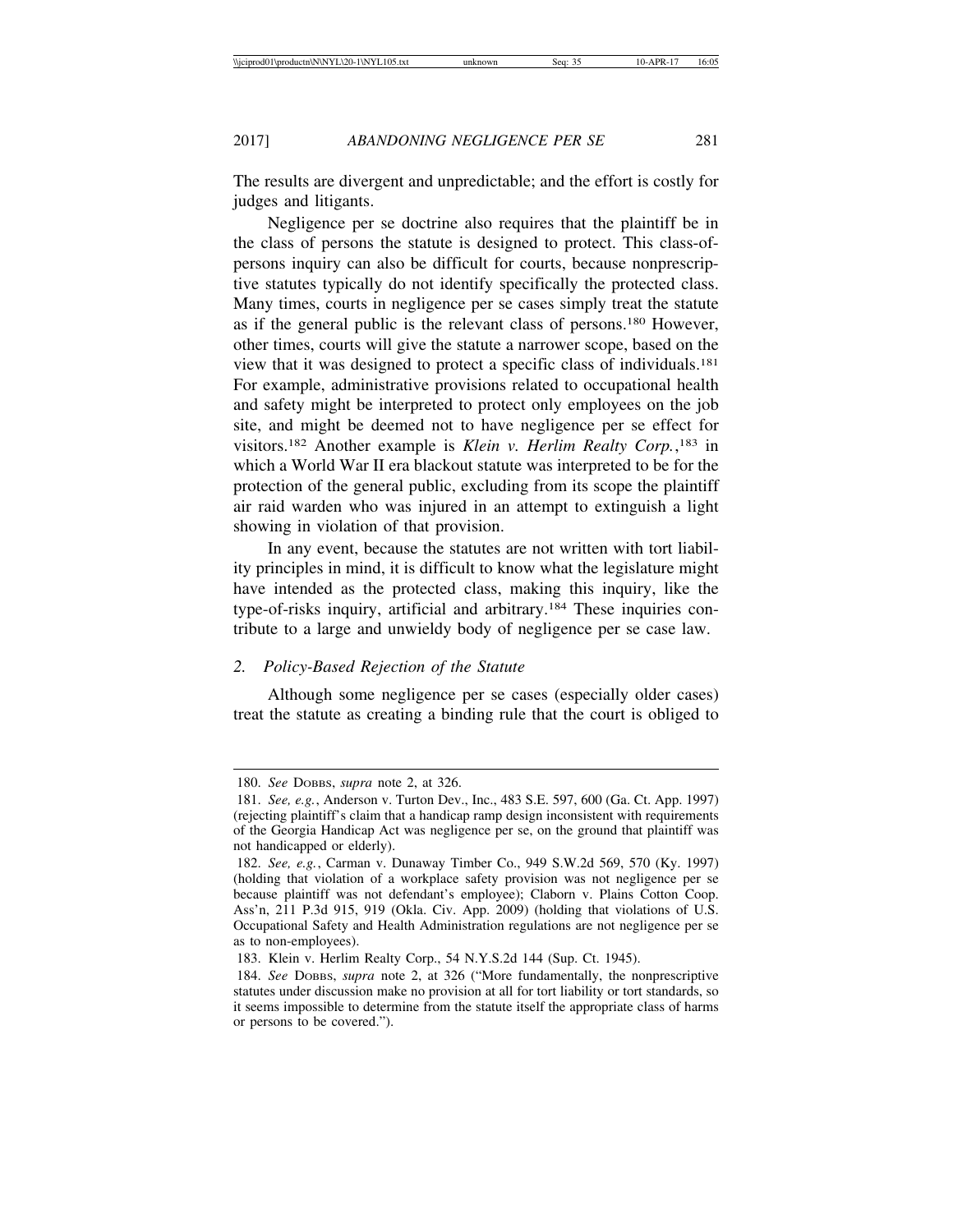The results are divergent and unpredictable; and the effort is costly for judges and litigants.

Negligence per se doctrine also requires that the plaintiff be in the class of persons the statute is designed to protect. This class-ofpersons inquiry can also be difficult for courts, because nonprescriptive statutes typically do not identify specifically the protected class. Many times, courts in negligence per se cases simply treat the statute as if the general public is the relevant class of persons.180 However, other times, courts will give the statute a narrower scope, based on the view that it was designed to protect a specific class of individuals.181 For example, administrative provisions related to occupational health and safety might be interpreted to protect only employees on the job site, and might be deemed not to have negligence per se effect for visitors.182 Another example is *Klein v. Herlim Realty Corp.*, 183 in which a World War II era blackout statute was interpreted to be for the protection of the general public, excluding from its scope the plaintiff air raid warden who was injured in an attempt to extinguish a light showing in violation of that provision.

In any event, because the statutes are not written with tort liability principles in mind, it is difficult to know what the legislature might have intended as the protected class, making this inquiry, like the type-of-risks inquiry, artificial and arbitrary.184 These inquiries contribute to a large and unwieldy body of negligence per se case law.

# *2. Policy-Based Rejection of the Statute*

Although some negligence per se cases (especially older cases) treat the statute as creating a binding rule that the court is obliged to

<sup>180.</sup> *See* DOBBS, *supra* note 2, at 326.

<sup>181.</sup> *See, e.g.*, Anderson v. Turton Dev., Inc., 483 S.E. 597, 600 (Ga. Ct. App. 1997) (rejecting plaintiff's claim that a handicap ramp design inconsistent with requirements of the Georgia Handicap Act was negligence per se, on the ground that plaintiff was not handicapped or elderly).

<sup>182.</sup> *See, e.g.*, Carman v. Dunaway Timber Co., 949 S.W.2d 569, 570 (Ky. 1997) (holding that violation of a workplace safety provision was not negligence per se because plaintiff was not defendant's employee); Claborn v. Plains Cotton Coop. Ass'n, 211 P.3d 915, 919 (Okla. Civ. App. 2009) (holding that violations of U.S. Occupational Safety and Health Administration regulations are not negligence per se as to non-employees).

<sup>183.</sup> Klein v. Herlim Realty Corp., 54 N.Y.S.2d 144 (Sup. Ct. 1945).

<sup>184.</sup> *See* DOBBS, *supra* note 2, at 326 ("More fundamentally, the nonprescriptive statutes under discussion make no provision at all for tort liability or tort standards, so it seems impossible to determine from the statute itself the appropriate class of harms or persons to be covered.").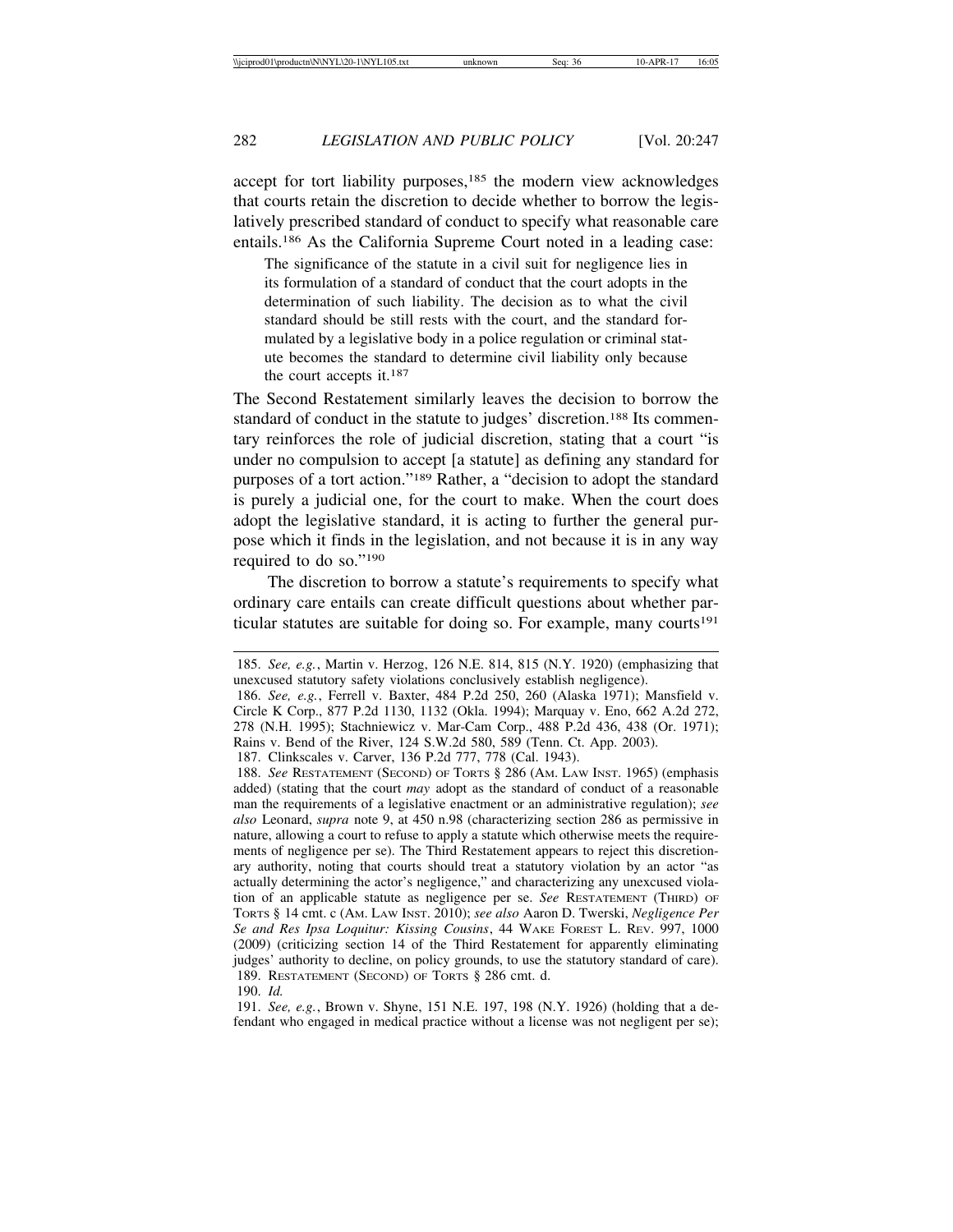accept for tort liability purposes,<sup>185</sup> the modern view acknowledges that courts retain the discretion to decide whether to borrow the legislatively prescribed standard of conduct to specify what reasonable care entails.186 As the California Supreme Court noted in a leading case:

The significance of the statute in a civil suit for negligence lies in its formulation of a standard of conduct that the court adopts in the determination of such liability. The decision as to what the civil standard should be still rests with the court, and the standard formulated by a legislative body in a police regulation or criminal statute becomes the standard to determine civil liability only because the court accepts it.187

The Second Restatement similarly leaves the decision to borrow the standard of conduct in the statute to judges' discretion.<sup>188</sup> Its commentary reinforces the role of judicial discretion, stating that a court "is under no compulsion to accept [a statute] as defining any standard for purposes of a tort action."189 Rather, a "decision to adopt the standard is purely a judicial one, for the court to make. When the court does adopt the legislative standard, it is acting to further the general purpose which it finds in the legislation, and not because it is in any way required to do so."190

The discretion to borrow a statute's requirements to specify what ordinary care entails can create difficult questions about whether particular statutes are suitable for doing so. For example, many courts<sup>191</sup>

187. Clinkscales v. Carver, 136 P.2d 777, 778 (Cal. 1943).

188. *See* RESTATEMENT (SECOND) OF TORTS § 286 (AM. LAW INST. 1965) (emphasis added) (stating that the court *may* adopt as the standard of conduct of a reasonable man the requirements of a legislative enactment or an administrative regulation); *see also* Leonard, *supra* note 9, at 450 n.98 (characterizing section 286 as permissive in nature, allowing a court to refuse to apply a statute which otherwise meets the requirements of negligence per se). The Third Restatement appears to reject this discretionary authority, noting that courts should treat a statutory violation by an actor "as actually determining the actor's negligence," and characterizing any unexcused violation of an applicable statute as negligence per se. *See* RESTATEMENT (THIRD) OF TORTS § 14 cmt. c (AM. LAW INST. 2010); *see also* Aaron D. Twerski, *Negligence Per Se and Res Ipsa Loquitur: Kissing Cousins*, 44 WAKE FOREST L. REV. 997, 1000 (2009) (criticizing section 14 of the Third Restatement for apparently eliminating judges' authority to decline, on policy grounds, to use the statutory standard of care). 189. RESTATEMENT (SECOND) OF TORTS § 286 cmt. d.

190. *Id.*

191. *See, e.g.*, Brown v. Shyne, 151 N.E. 197, 198 (N.Y. 1926) (holding that a defendant who engaged in medical practice without a license was not negligent per se);

<sup>185.</sup> *See, e.g.*, Martin v. Herzog, 126 N.E. 814, 815 (N.Y. 1920) (emphasizing that unexcused statutory safety violations conclusively establish negligence).

<sup>186.</sup> *See, e.g.*, Ferrell v. Baxter, 484 P.2d 250, 260 (Alaska 1971); Mansfield v. Circle K Corp., 877 P.2d 1130, 1132 (Okla. 1994); Marquay v. Eno, 662 A.2d 272, 278 (N.H. 1995); Stachniewicz v. Mar-Cam Corp., 488 P.2d 436, 438 (Or. 1971); Rains v. Bend of the River, 124 S.W.2d 580, 589 (Tenn. Ct. App. 2003).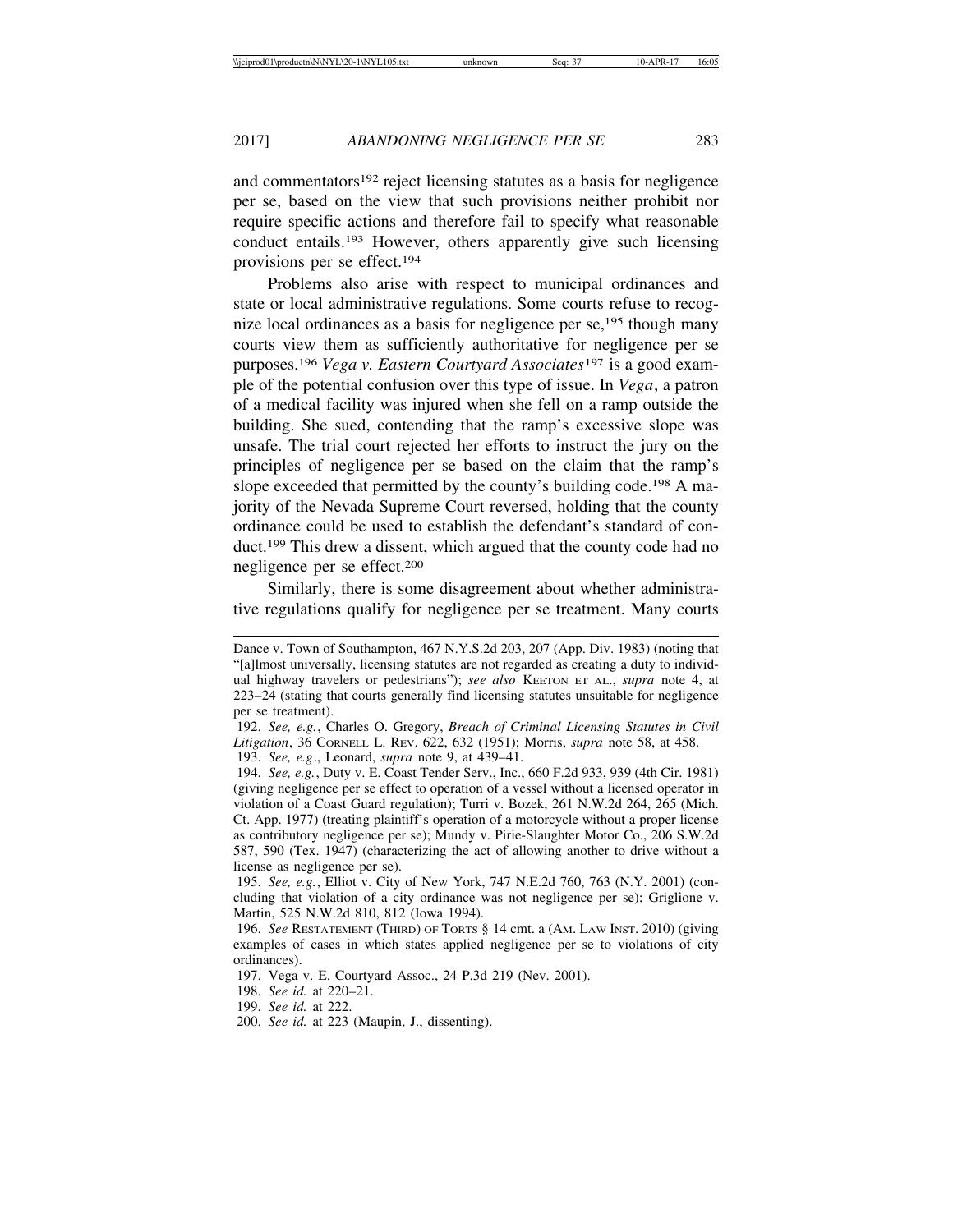and commentators<sup>192</sup> reject licensing statutes as a basis for negligence per se, based on the view that such provisions neither prohibit nor require specific actions and therefore fail to specify what reasonable conduct entails.193 However, others apparently give such licensing provisions per se effect.194

Problems also arise with respect to municipal ordinances and state or local administrative regulations. Some courts refuse to recognize local ordinances as a basis for negligence per  $se^{195}$ , though many courts view them as sufficiently authoritative for negligence per se purposes.196 *Vega v. Eastern Courtyard Associates*<sup>197</sup> is a good example of the potential confusion over this type of issue. In *Vega*, a patron of a medical facility was injured when she fell on a ramp outside the building. She sued, contending that the ramp's excessive slope was unsafe. The trial court rejected her efforts to instruct the jury on the principles of negligence per se based on the claim that the ramp's slope exceeded that permitted by the county's building code.198 A majority of the Nevada Supreme Court reversed, holding that the county ordinance could be used to establish the defendant's standard of conduct.199 This drew a dissent, which argued that the county code had no negligence per se effect.200

Similarly, there is some disagreement about whether administrative regulations qualify for negligence per se treatment. Many courts

Dance v. Town of Southampton, 467 N.Y.S.2d 203, 207 (App. Div. 1983) (noting that "[a]lmost universally, licensing statutes are not regarded as creating a duty to individual highway travelers or pedestrians"); *see also* KEETON ET AL., *supra* note 4, at 223–24 (stating that courts generally find licensing statutes unsuitable for negligence per se treatment).

<sup>192.</sup> *See, e.g.*, Charles O. Gregory, *Breach of Criminal Licensing Statutes in Civil Litigation*, 36 CORNELL L. REV. 622, 632 (1951); Morris, *supra* note 58, at 458.

<sup>193.</sup> *See, e.g*., Leonard, *supra* note 9, at 439–41.

<sup>194.</sup> *See, e.g.*, Duty v. E. Coast Tender Serv., Inc., 660 F.2d 933, 939 (4th Cir. 1981) (giving negligence per se effect to operation of a vessel without a licensed operator in violation of a Coast Guard regulation); Turri v. Bozek, 261 N.W.2d 264, 265 (Mich. Ct. App. 1977) (treating plaintiff's operation of a motorcycle without a proper license as contributory negligence per se); Mundy v. Pirie-Slaughter Motor Co., 206 S.W.2d 587, 590 (Tex. 1947) (characterizing the act of allowing another to drive without a license as negligence per se).

<sup>195.</sup> *See, e.g.*, Elliot v. City of New York, 747 N.E.2d 760, 763 (N.Y. 2001) (concluding that violation of a city ordinance was not negligence per se); Griglione v. Martin, 525 N.W.2d 810, 812 (Iowa 1994).

<sup>196.</sup> *See* RESTATEMENT (THIRD) OF TORTS § 14 cmt. a (AM. LAW INST. 2010) (giving examples of cases in which states applied negligence per se to violations of city ordinances).

<sup>197.</sup> Vega v. E. Courtyard Assoc., 24 P.3d 219 (Nev. 2001).

<sup>198.</sup> *See id.* at 220–21.

<sup>199.</sup> *See id.* at 222.

<sup>200.</sup> *See id.* at 223 (Maupin, J., dissenting).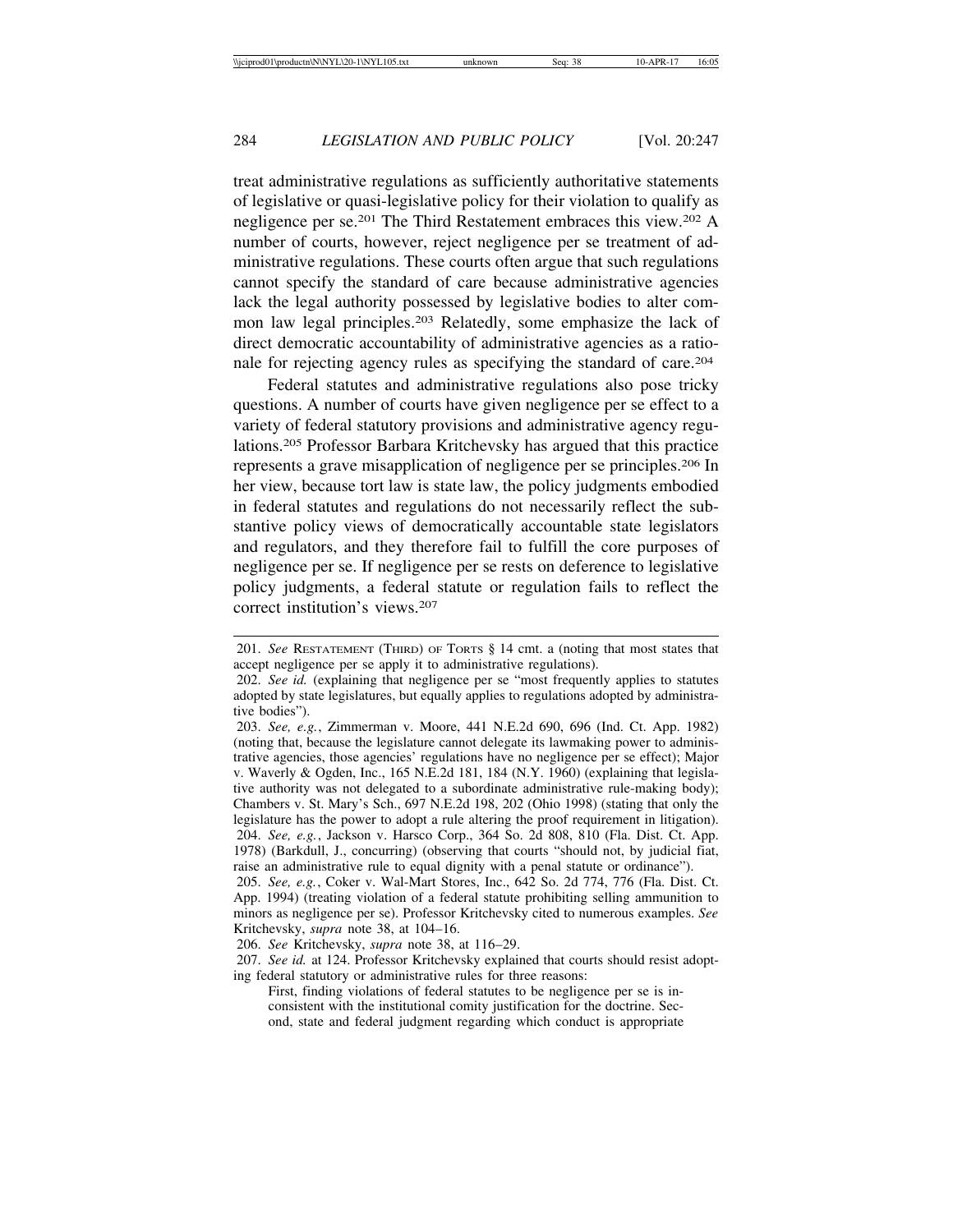treat administrative regulations as sufficiently authoritative statements of legislative or quasi-legislative policy for their violation to qualify as negligence per se.201 The Third Restatement embraces this view.202 A number of courts, however, reject negligence per se treatment of administrative regulations. These courts often argue that such regulations cannot specify the standard of care because administrative agencies lack the legal authority possessed by legislative bodies to alter common law legal principles.203 Relatedly, some emphasize the lack of direct democratic accountability of administrative agencies as a rationale for rejecting agency rules as specifying the standard of care.204

Federal statutes and administrative regulations also pose tricky questions. A number of courts have given negligence per se effect to a variety of federal statutory provisions and administrative agency regulations.205 Professor Barbara Kritchevsky has argued that this practice represents a grave misapplication of negligence per se principles.206 In her view, because tort law is state law, the policy judgments embodied in federal statutes and regulations do not necessarily reflect the substantive policy views of democratically accountable state legislators and regulators, and they therefore fail to fulfill the core purposes of negligence per se. If negligence per se rests on deference to legislative policy judgments, a federal statute or regulation fails to reflect the correct institution's views.207

<sup>201.</sup> *See* RESTATEMENT (THIRD) OF TORTS § 14 cmt. a (noting that most states that accept negligence per se apply it to administrative regulations).

<sup>202.</sup> *See id.* (explaining that negligence per se "most frequently applies to statutes adopted by state legislatures, but equally applies to regulations adopted by administrative bodies").

<sup>203.</sup> *See, e.g.*, Zimmerman v. Moore, 441 N.E.2d 690, 696 (Ind. Ct. App. 1982) (noting that, because the legislature cannot delegate its lawmaking power to administrative agencies, those agencies' regulations have no negligence per se effect); Major v. Waverly & Ogden, Inc., 165 N.E.2d 181, 184 (N.Y. 1960) (explaining that legislative authority was not delegated to a subordinate administrative rule-making body); Chambers v. St. Mary's Sch., 697 N.E.2d 198, 202 (Ohio 1998) (stating that only the legislature has the power to adopt a rule altering the proof requirement in litigation). 204. *See, e.g.*, Jackson v. Harsco Corp., 364 So. 2d 808, 810 (Fla. Dist. Ct. App. 1978) (Barkdull, J., concurring) (observing that courts "should not, by judicial fiat, raise an administrative rule to equal dignity with a penal statute or ordinance").

<sup>205.</sup> *See, e.g.*, Coker v. Wal-Mart Stores, Inc., 642 So. 2d 774, 776 (Fla. Dist. Ct. App. 1994) (treating violation of a federal statute prohibiting selling ammunition to minors as negligence per se). Professor Kritchevsky cited to numerous examples. *See* Kritchevsky, *supra* note 38, at 104–16.

<sup>206.</sup> *See* Kritchevsky, *supra* note 38, at 116–29.

<sup>207.</sup> *See id.* at 124. Professor Kritchevsky explained that courts should resist adopting federal statutory or administrative rules for three reasons:

First, finding violations of federal statutes to be negligence per se is inconsistent with the institutional comity justification for the doctrine. Second, state and federal judgment regarding which conduct is appropriate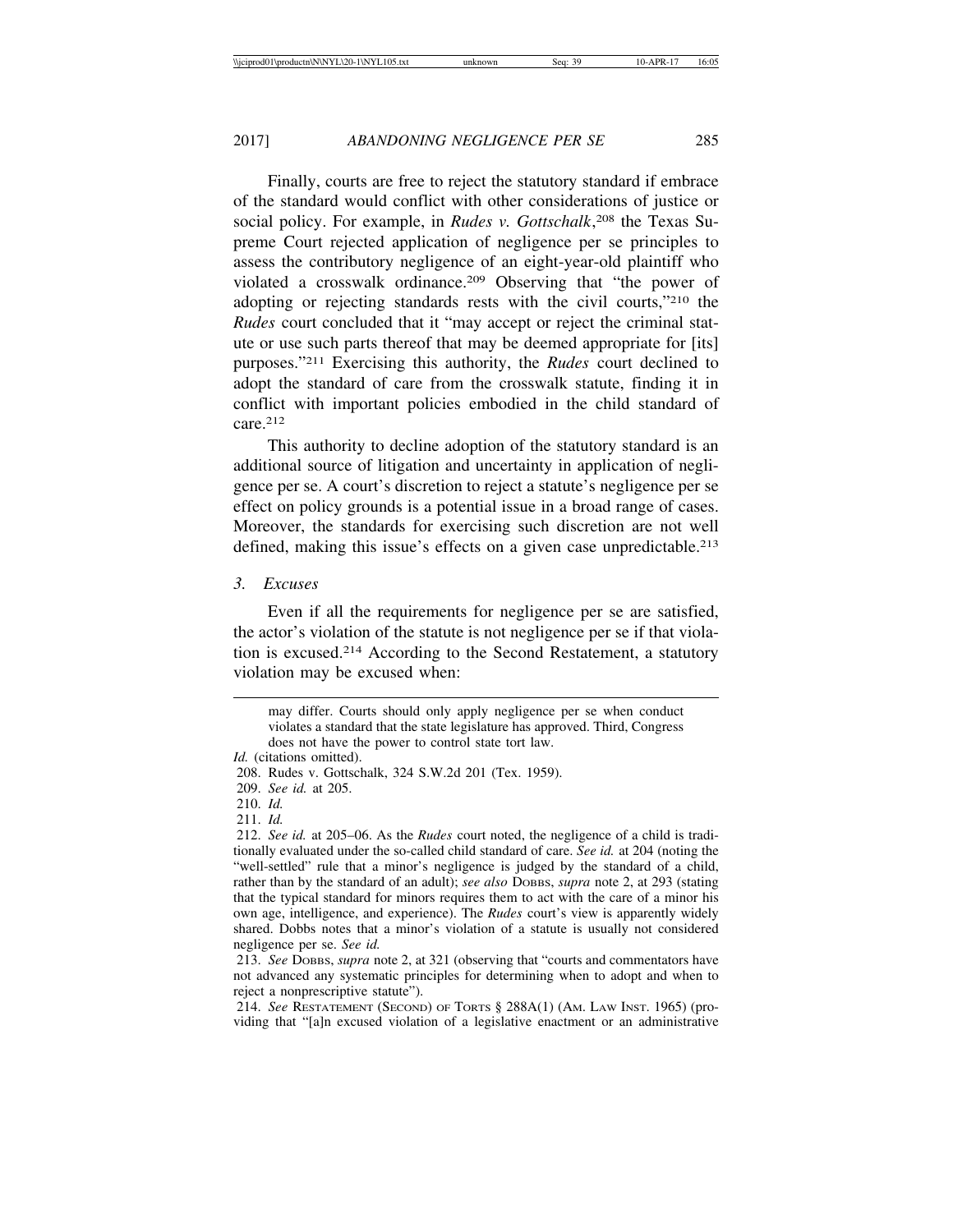Finally, courts are free to reject the statutory standard if embrace of the standard would conflict with other considerations of justice or social policy. For example, in *Rudes v. Gottschalk*, 208 the Texas Supreme Court rejected application of negligence per se principles to assess the contributory negligence of an eight-year-old plaintiff who violated a crosswalk ordinance.209 Observing that "the power of adopting or rejecting standards rests with the civil courts,"210 the *Rudes* court concluded that it "may accept or reject the criminal statute or use such parts thereof that may be deemed appropriate for [its] purposes."211 Exercising this authority, the *Rudes* court declined to adopt the standard of care from the crosswalk statute, finding it in conflict with important policies embodied in the child standard of care.212

This authority to decline adoption of the statutory standard is an additional source of litigation and uncertainty in application of negligence per se. A court's discretion to reject a statute's negligence per se effect on policy grounds is a potential issue in a broad range of cases. Moreover, the standards for exercising such discretion are not well defined, making this issue's effects on a given case unpredictable.<sup>213</sup>

# *3. Excuses*

Even if all the requirements for negligence per se are satisfied, the actor's violation of the statute is not negligence per se if that violation is excused.214 According to the Second Restatement, a statutory violation may be excused when:

211. *Id.*

214. *See* RESTATEMENT (SECOND) OF TORTS § 288A(1) (AM. LAW INST. 1965) (providing that "[a]n excused violation of a legislative enactment or an administrative

may differ. Courts should only apply negligence per se when conduct violates a standard that the state legislature has approved. Third, Congress does not have the power to control state tort law.

*Id.* (citations omitted).

<sup>208.</sup> Rudes v. Gottschalk, 324 S.W.2d 201 (Tex. 1959).

<sup>209.</sup> *See id.* at 205.

<sup>210.</sup> *Id.*

<sup>212.</sup> *See id.* at 205–06. As the *Rudes* court noted, the negligence of a child is traditionally evaluated under the so-called child standard of care. *See id.* at 204 (noting the "well-settled" rule that a minor's negligence is judged by the standard of a child, rather than by the standard of an adult); *see also* DOBBS, *supra* note 2, at 293 (stating that the typical standard for minors requires them to act with the care of a minor his own age, intelligence, and experience). The *Rudes* court's view is apparently widely shared. Dobbs notes that a minor's violation of a statute is usually not considered negligence per se. *See id.*

<sup>213.</sup> *See* DOBBS, *supra* note 2, at 321 (observing that "courts and commentators have not advanced any systematic principles for determining when to adopt and when to reject a nonprescriptive statute").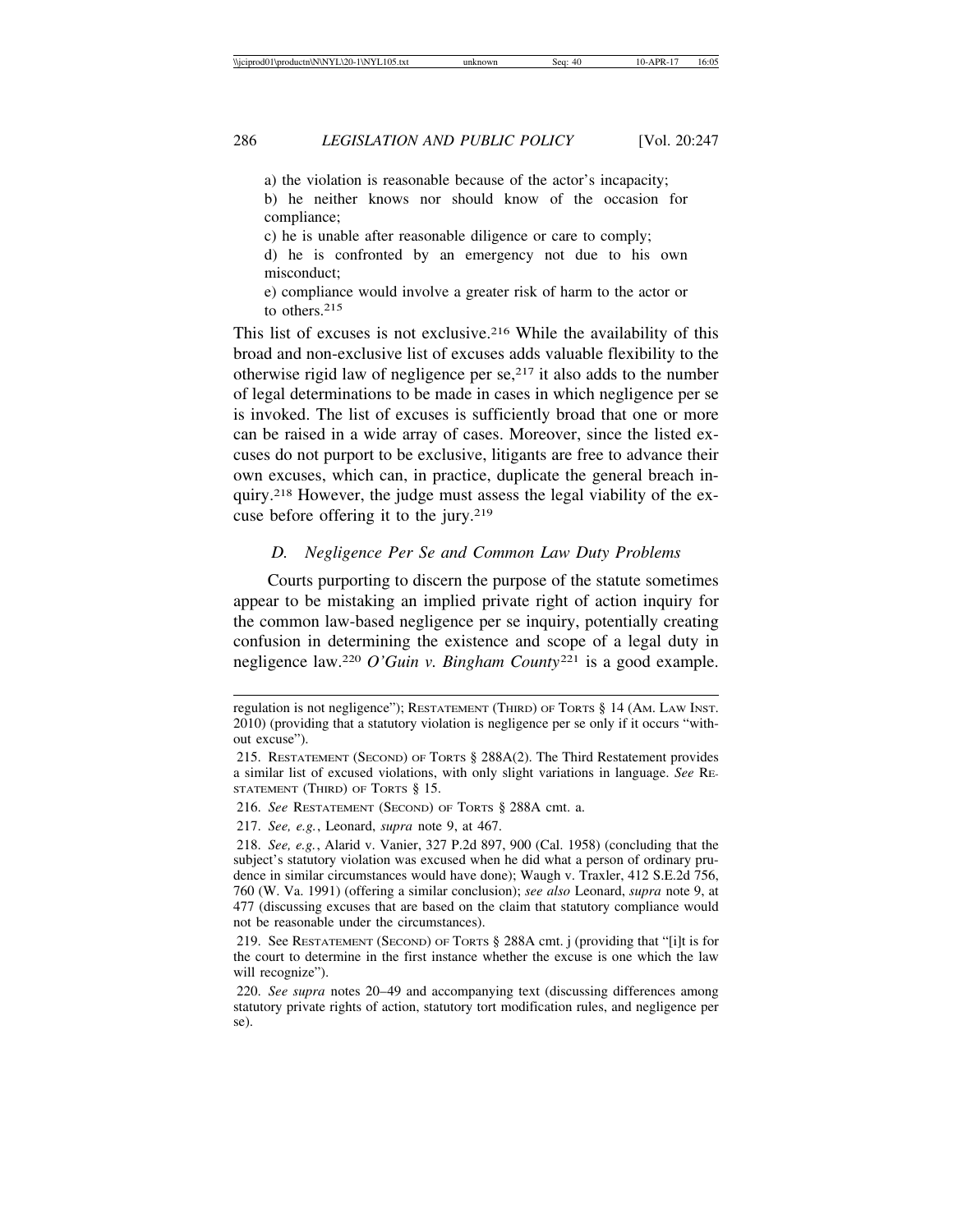a) the violation is reasonable because of the actor's incapacity; b) he neither knows nor should know of the occasion for compliance; c) he is unable after reasonable diligence or care to comply; d) he is confronted by an emergency not due to his own misconduct;

e) compliance would involve a greater risk of harm to the actor or to others.215

This list of excuses is not exclusive.<sup>216</sup> While the availability of this broad and non-exclusive list of excuses adds valuable flexibility to the otherwise rigid law of negligence per  $se^{217}$  it also adds to the number of legal determinations to be made in cases in which negligence per se is invoked. The list of excuses is sufficiently broad that one or more can be raised in a wide array of cases. Moreover, since the listed excuses do not purport to be exclusive, litigants are free to advance their own excuses, which can, in practice, duplicate the general breach inquiry.218 However, the judge must assess the legal viability of the excuse before offering it to the jury.<sup>219</sup>

## *D. Negligence Per Se and Common Law Duty Problems*

Courts purporting to discern the purpose of the statute sometimes appear to be mistaking an implied private right of action inquiry for the common law-based negligence per se inquiry, potentially creating confusion in determining the existence and scope of a legal duty in negligence law.220 *O'Guin v. Bingham County*<sup>221</sup> is a good example.

regulation is not negligence"); RESTATEMENT (THIRD) OF TORTS § 14 (AM. LAW INST. 2010) (providing that a statutory violation is negligence per se only if it occurs "without excuse").

<sup>215.</sup> RESTATEMENT (SECOND) OF TORTS § 288A(2). The Third Restatement provides a similar list of excused violations, with only slight variations in language. *See* RE-STATEMENT (THIRD) OF TORTS § 15.

<sup>216.</sup> *See* RESTATEMENT (SECOND) OF TORTS § 288A cmt. a.

<sup>217.</sup> *See, e.g.*, Leonard, *supra* note 9, at 467.

<sup>218.</sup> *See, e.g.*, Alarid v. Vanier, 327 P.2d 897, 900 (Cal. 1958) (concluding that the subject's statutory violation was excused when he did what a person of ordinary prudence in similar circumstances would have done); Waugh v. Traxler, 412 S.E.2d 756, 760 (W. Va. 1991) (offering a similar conclusion); *see also* Leonard, *supra* note 9, at 477 (discussing excuses that are based on the claim that statutory compliance would not be reasonable under the circumstances).

<sup>219.</sup> See RESTATEMENT (SECOND) OF TORTS § 288A cmt. j (providing that "[i]t is for the court to determine in the first instance whether the excuse is one which the law will recognize").

<sup>220.</sup> *See supra* notes 20–49 and accompanying text (discussing differences among statutory private rights of action, statutory tort modification rules, and negligence per se).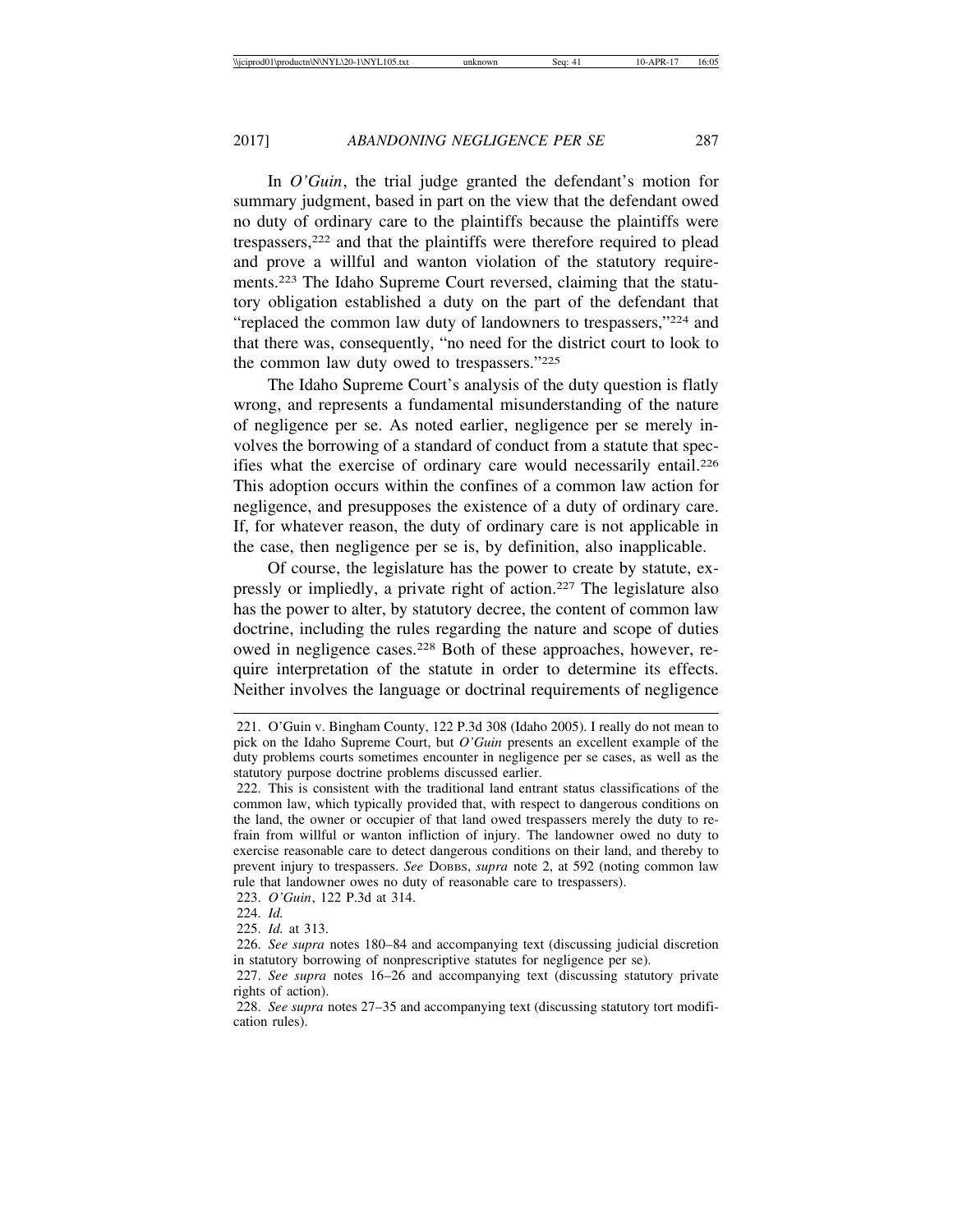In *O'Guin*, the trial judge granted the defendant's motion for summary judgment, based in part on the view that the defendant owed no duty of ordinary care to the plaintiffs because the plaintiffs were trespassers,222 and that the plaintiffs were therefore required to plead and prove a willful and wanton violation of the statutory requirements.223 The Idaho Supreme Court reversed, claiming that the statutory obligation established a duty on the part of the defendant that "replaced the common law duty of landowners to trespassers,"224 and that there was, consequently, "no need for the district court to look to the common law duty owed to trespassers."225

The Idaho Supreme Court's analysis of the duty question is flatly wrong, and represents a fundamental misunderstanding of the nature of negligence per se. As noted earlier, negligence per se merely involves the borrowing of a standard of conduct from a statute that specifies what the exercise of ordinary care would necessarily entail.226 This adoption occurs within the confines of a common law action for negligence, and presupposes the existence of a duty of ordinary care. If, for whatever reason, the duty of ordinary care is not applicable in the case, then negligence per se is, by definition, also inapplicable.

Of course, the legislature has the power to create by statute, expressly or impliedly, a private right of action.227 The legislature also has the power to alter, by statutory decree, the content of common law doctrine, including the rules regarding the nature and scope of duties owed in negligence cases.228 Both of these approaches, however, require interpretation of the statute in order to determine its effects. Neither involves the language or doctrinal requirements of negligence

<sup>221.</sup> O'Guin v. Bingham County, 122 P.3d 308 (Idaho 2005). I really do not mean to pick on the Idaho Supreme Court, but *O'Guin* presents an excellent example of the duty problems courts sometimes encounter in negligence per se cases, as well as the statutory purpose doctrine problems discussed earlier.

<sup>222.</sup> This is consistent with the traditional land entrant status classifications of the common law, which typically provided that, with respect to dangerous conditions on the land, the owner or occupier of that land owed trespassers merely the duty to refrain from willful or wanton infliction of injury. The landowner owed no duty to exercise reasonable care to detect dangerous conditions on their land, and thereby to prevent injury to trespassers. *See* DOBBS, *supra* note 2, at 592 (noting common law rule that landowner owes no duty of reasonable care to trespassers).

<sup>223.</sup> *O'Guin*, 122 P.3d at 314.

<sup>224.</sup> *Id.*

<sup>225.</sup> *Id.* at 313.

<sup>226.</sup> *See supra* notes 180–84 and accompanying text (discussing judicial discretion in statutory borrowing of nonprescriptive statutes for negligence per se).

<sup>227.</sup> *See supra* notes 16–26 and accompanying text (discussing statutory private rights of action).

<sup>228.</sup> *See supra* notes 27–35 and accompanying text (discussing statutory tort modification rules).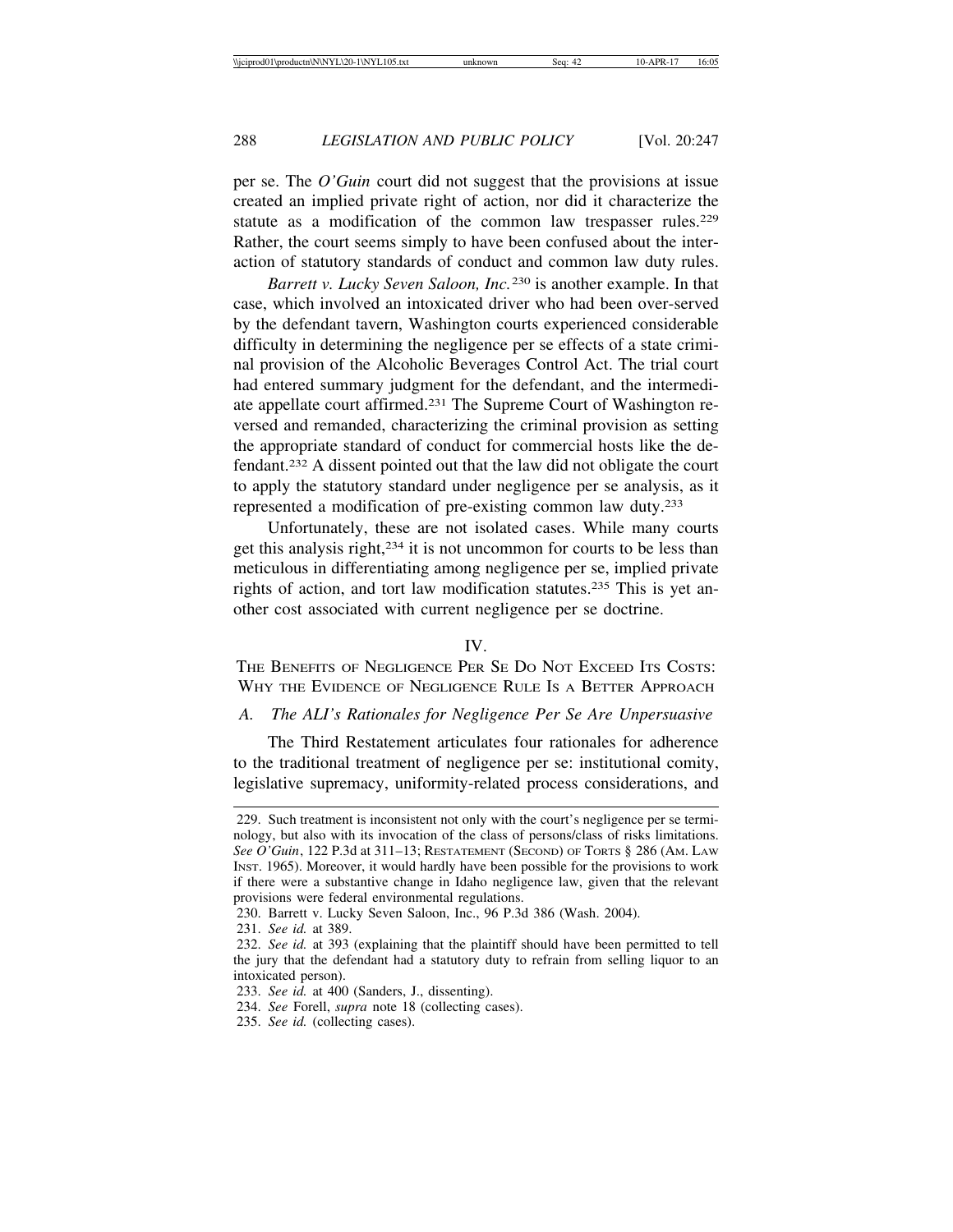per se. The *O'Guin* court did not suggest that the provisions at issue created an implied private right of action, nor did it characterize the statute as a modification of the common law trespasser rules.<sup>229</sup> Rather, the court seems simply to have been confused about the interaction of statutory standards of conduct and common law duty rules.

*Barrett v. Lucky Seven Saloon, Inc.*230 is another example. In that case, which involved an intoxicated driver who had been over-served by the defendant tavern, Washington courts experienced considerable difficulty in determining the negligence per se effects of a state criminal provision of the Alcoholic Beverages Control Act. The trial court had entered summary judgment for the defendant, and the intermediate appellate court affirmed.231 The Supreme Court of Washington reversed and remanded, characterizing the criminal provision as setting the appropriate standard of conduct for commercial hosts like the defendant.232 A dissent pointed out that the law did not obligate the court to apply the statutory standard under negligence per se analysis, as it represented a modification of pre-existing common law duty.233

Unfortunately, these are not isolated cases. While many courts get this analysis right,234 it is not uncommon for courts to be less than meticulous in differentiating among negligence per se, implied private rights of action, and tort law modification statutes.235 This is yet another cost associated with current negligence per se doctrine.

IV.

THE BENEFITS OF NEGLIGENCE PER SE DO NOT EXCEED ITS COSTS: WHY THE EVIDENCE OF NEGLIGENCE RULE IS A BETTER APPROACH

# *A. The ALI's Rationales for Negligence Per Se Are Unpersuasive*

The Third Restatement articulates four rationales for adherence to the traditional treatment of negligence per se: institutional comity, legislative supremacy, uniformity-related process considerations, and

231. *See id.* at 389.

<sup>229.</sup> Such treatment is inconsistent not only with the court's negligence per se terminology, but also with its invocation of the class of persons/class of risks limitations. *See O'Guin*, 122 P.3d at 311–13; RESTATEMENT (SECOND) OF TORTS § 286 (AM. LAW INST. 1965). Moreover, it would hardly have been possible for the provisions to work if there were a substantive change in Idaho negligence law, given that the relevant provisions were federal environmental regulations.

<sup>230.</sup> Barrett v. Lucky Seven Saloon, Inc., 96 P.3d 386 (Wash. 2004).

<sup>232.</sup> *See id.* at 393 (explaining that the plaintiff should have been permitted to tell the jury that the defendant had a statutory duty to refrain from selling liquor to an intoxicated person).

<sup>233.</sup> *See id.* at 400 (Sanders, J., dissenting).

<sup>234.</sup> *See* Forell, *supra* note 18 (collecting cases).

<sup>235.</sup> *See id.* (collecting cases).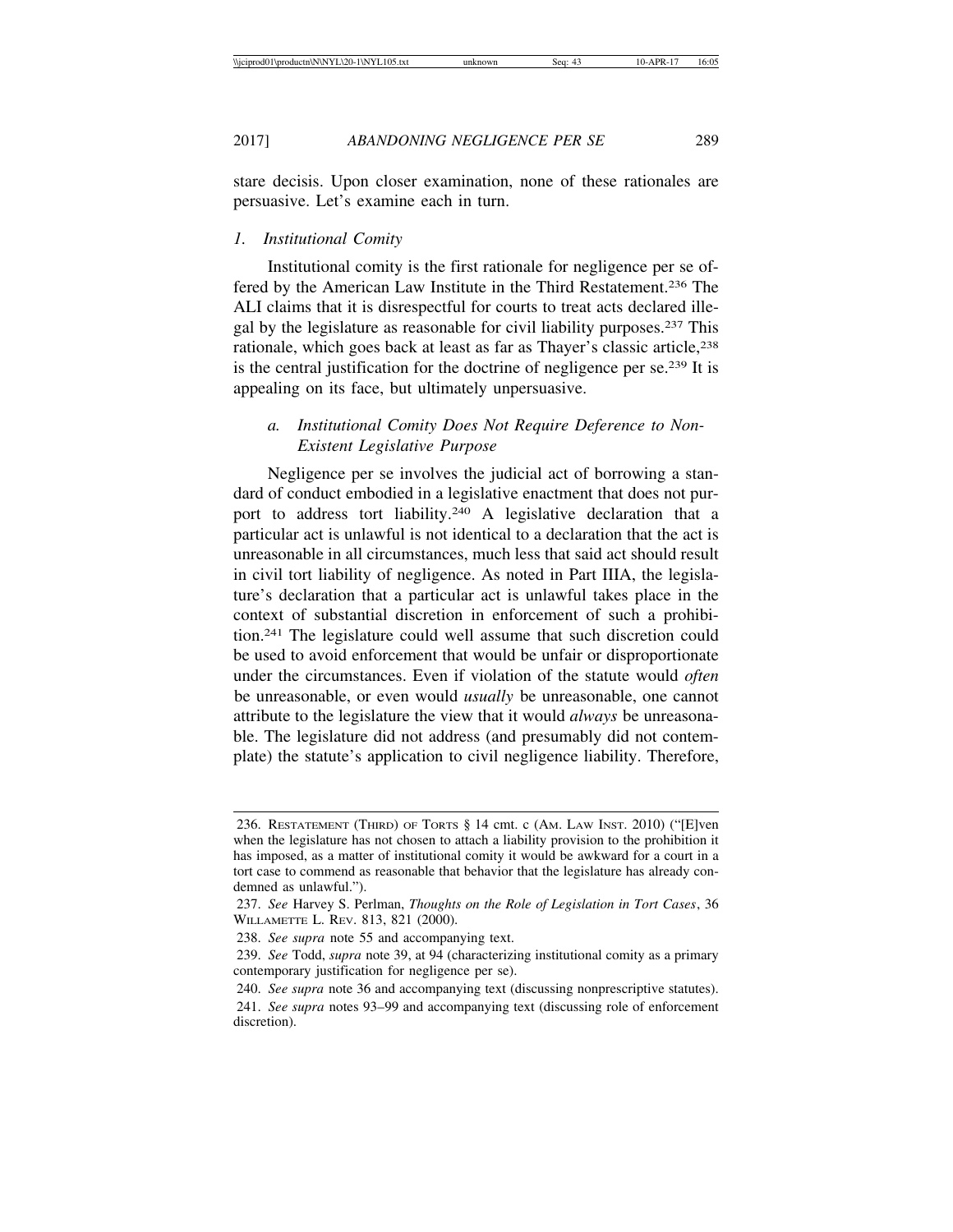stare decisis. Upon closer examination, none of these rationales are persuasive. Let's examine each in turn.

#### *1. Institutional Comity*

Institutional comity is the first rationale for negligence per se offered by the American Law Institute in the Third Restatement.236 The ALI claims that it is disrespectful for courts to treat acts declared illegal by the legislature as reasonable for civil liability purposes.237 This rationale, which goes back at least as far as Thayer's classic article,<sup>238</sup> is the central justification for the doctrine of negligence per se.239 It is appealing on its face, but ultimately unpersuasive.

# *a. Institutional Comity Does Not Require Deference to Non-Existent Legislative Purpose*

Negligence per se involves the judicial act of borrowing a standard of conduct embodied in a legislative enactment that does not purport to address tort liability.<sup>240</sup> A legislative declaration that a particular act is unlawful is not identical to a declaration that the act is unreasonable in all circumstances, much less that said act should result in civil tort liability of negligence. As noted in Part IIIA, the legislature's declaration that a particular act is unlawful takes place in the context of substantial discretion in enforcement of such a prohibition.241 The legislature could well assume that such discretion could be used to avoid enforcement that would be unfair or disproportionate under the circumstances. Even if violation of the statute would *often* be unreasonable, or even would *usually* be unreasonable, one cannot attribute to the legislature the view that it would *always* be unreasonable. The legislature did not address (and presumably did not contemplate) the statute's application to civil negligence liability. Therefore,

<sup>236.</sup> RESTATEMENT (THIRD) OF TORTS § 14 cmt. c (AM. LAW INST. 2010) ("[E]ven when the legislature has not chosen to attach a liability provision to the prohibition it has imposed, as a matter of institutional comity it would be awkward for a court in a tort case to commend as reasonable that behavior that the legislature has already condemned as unlawful.").

<sup>237.</sup> *See* Harvey S. Perlman, *Thoughts on the Role of Legislation in Tort Cases*, 36 WILLAMETTE L. REV. 813, 821 (2000).

<sup>238.</sup> *See supra* note 55 and accompanying text.

<sup>239.</sup> *See* Todd, *supra* note 39, at 94 (characterizing institutional comity as a primary contemporary justification for negligence per se).

<sup>240.</sup> *See supra* note 36 and accompanying text (discussing nonprescriptive statutes).

<sup>241.</sup> *See supra* notes 93–99 and accompanying text (discussing role of enforcement discretion).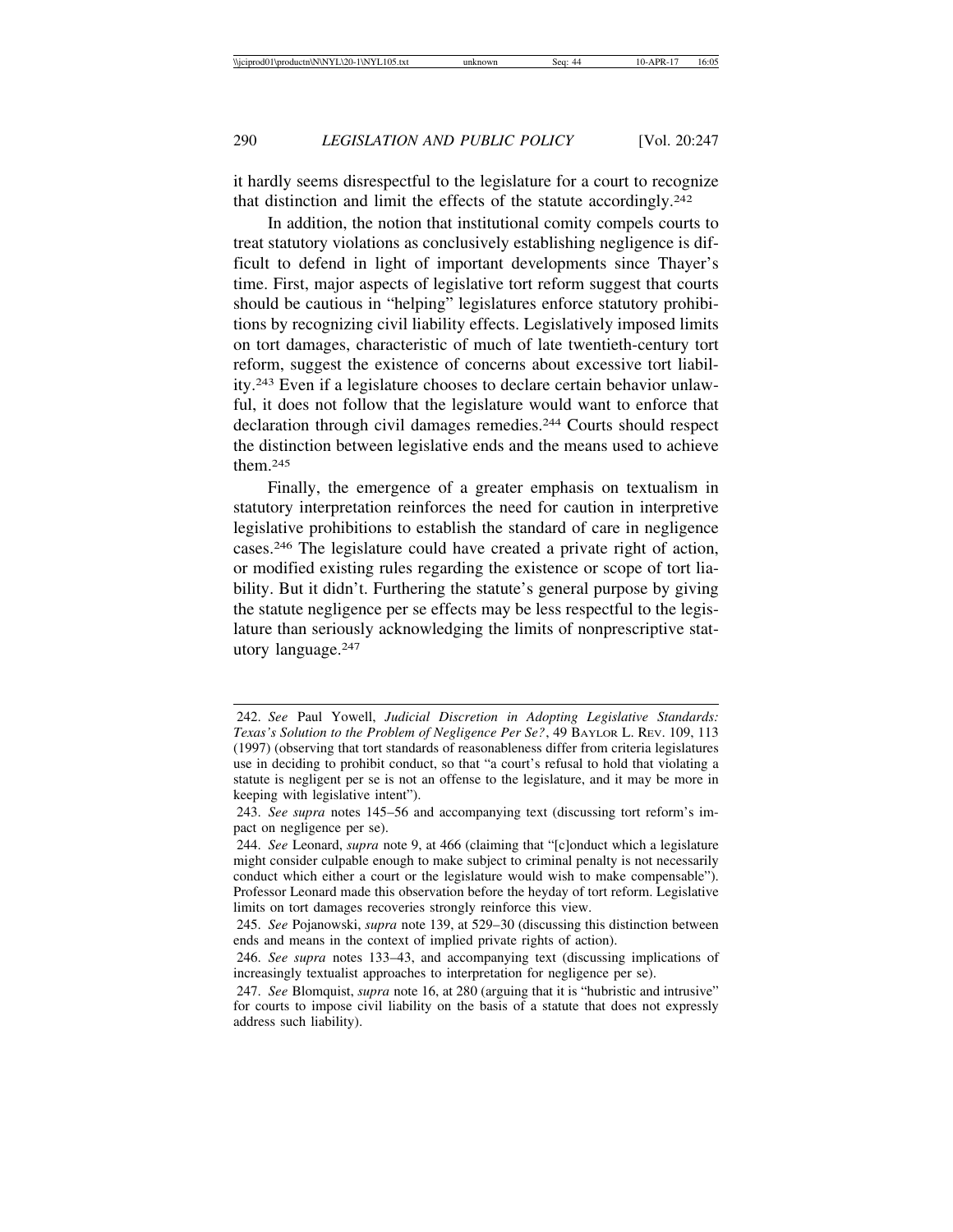it hardly seems disrespectful to the legislature for a court to recognize that distinction and limit the effects of the statute accordingly.242

In addition, the notion that institutional comity compels courts to treat statutory violations as conclusively establishing negligence is difficult to defend in light of important developments since Thayer's time. First, major aspects of legislative tort reform suggest that courts should be cautious in "helping" legislatures enforce statutory prohibitions by recognizing civil liability effects. Legislatively imposed limits on tort damages, characteristic of much of late twentieth-century tort reform, suggest the existence of concerns about excessive tort liability.243 Even if a legislature chooses to declare certain behavior unlawful, it does not follow that the legislature would want to enforce that declaration through civil damages remedies.244 Courts should respect the distinction between legislative ends and the means used to achieve them.245

Finally, the emergence of a greater emphasis on textualism in statutory interpretation reinforces the need for caution in interpretive legislative prohibitions to establish the standard of care in negligence cases.246 The legislature could have created a private right of action, or modified existing rules regarding the existence or scope of tort liability. But it didn't. Furthering the statute's general purpose by giving the statute negligence per se effects may be less respectful to the legislature than seriously acknowledging the limits of nonprescriptive statutory language.247

<sup>242.</sup> *See* Paul Yowell, *Judicial Discretion in Adopting Legislative Standards: Texas's Solution to the Problem of Negligence Per Se?*, 49 BAYLOR L. REV. 109, 113 (1997) (observing that tort standards of reasonableness differ from criteria legislatures use in deciding to prohibit conduct, so that "a court's refusal to hold that violating a statute is negligent per se is not an offense to the legislature, and it may be more in keeping with legislative intent").

<sup>243.</sup> *See supra* notes 145–56 and accompanying text (discussing tort reform's impact on negligence per se).

<sup>244.</sup> *See* Leonard, *supra* note 9, at 466 (claiming that "[c]onduct which a legislature might consider culpable enough to make subject to criminal penalty is not necessarily conduct which either a court or the legislature would wish to make compensable"). Professor Leonard made this observation before the heyday of tort reform. Legislative limits on tort damages recoveries strongly reinforce this view.

<sup>245.</sup> *See* Pojanowski, *supra* note 139, at 529–30 (discussing this distinction between ends and means in the context of implied private rights of action).

<sup>246.</sup> *See supra* notes 133–43, and accompanying text (discussing implications of increasingly textualist approaches to interpretation for negligence per se).

<sup>247.</sup> *See* Blomquist, *supra* note 16, at 280 (arguing that it is "hubristic and intrusive" for courts to impose civil liability on the basis of a statute that does not expressly address such liability).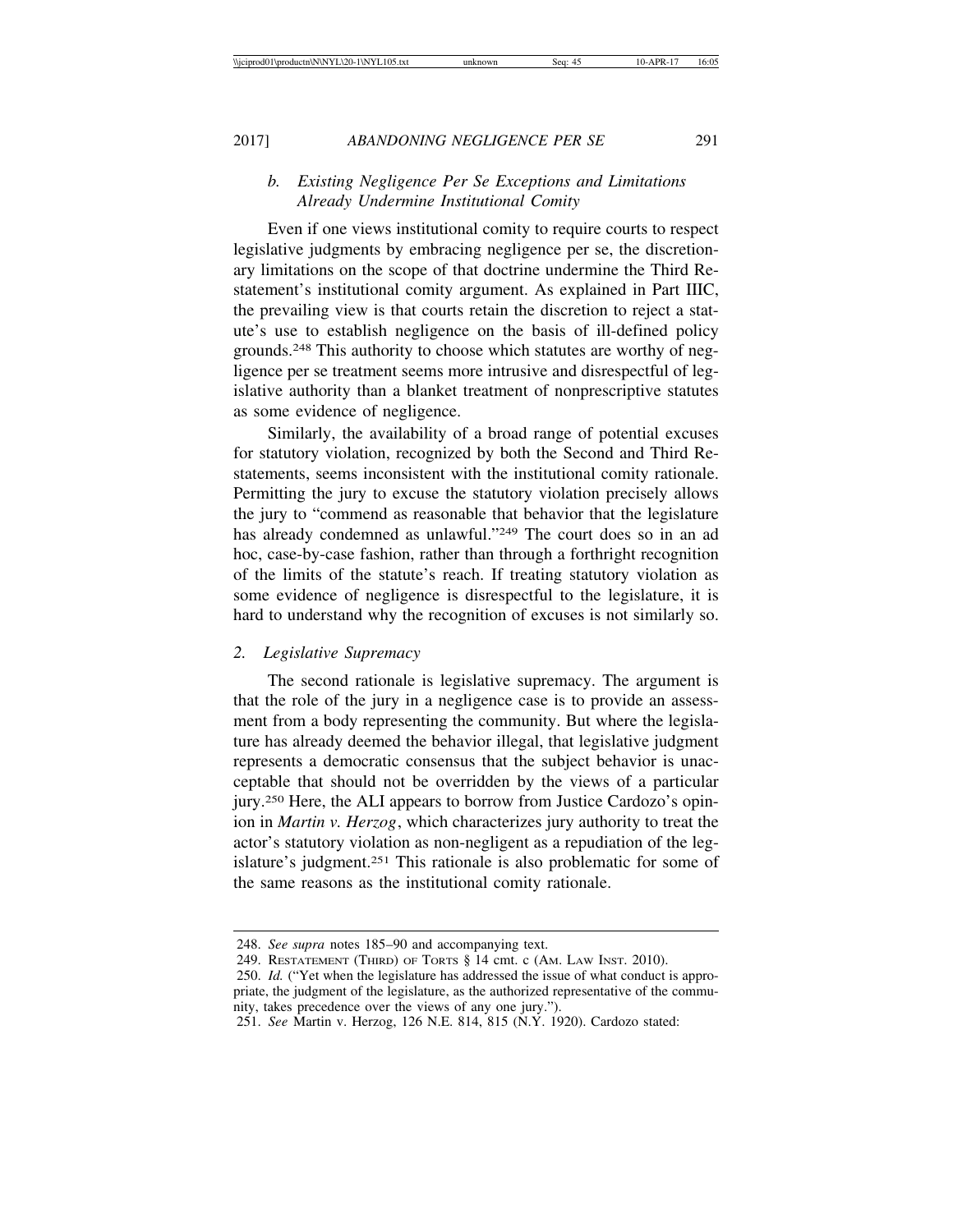# *b. Existing Negligence Per Se Exceptions and Limitations Already Undermine Institutional Comity*

Even if one views institutional comity to require courts to respect legislative judgments by embracing negligence per se, the discretionary limitations on the scope of that doctrine undermine the Third Restatement's institutional comity argument. As explained in Part IIIC, the prevailing view is that courts retain the discretion to reject a statute's use to establish negligence on the basis of ill-defined policy grounds.248 This authority to choose which statutes are worthy of negligence per se treatment seems more intrusive and disrespectful of legislative authority than a blanket treatment of nonprescriptive statutes as some evidence of negligence.

Similarly, the availability of a broad range of potential excuses for statutory violation, recognized by both the Second and Third Restatements, seems inconsistent with the institutional comity rationale. Permitting the jury to excuse the statutory violation precisely allows the jury to "commend as reasonable that behavior that the legislature has already condemned as unlawful."<sup>249</sup> The court does so in an ad hoc, case-by-case fashion, rather than through a forthright recognition of the limits of the statute's reach. If treating statutory violation as some evidence of negligence is disrespectful to the legislature, it is hard to understand why the recognition of excuses is not similarly so.

# *2. Legislative Supremacy*

The second rationale is legislative supremacy. The argument is that the role of the jury in a negligence case is to provide an assessment from a body representing the community. But where the legislature has already deemed the behavior illegal, that legislative judgment represents a democratic consensus that the subject behavior is unacceptable that should not be overridden by the views of a particular jury.250 Here, the ALI appears to borrow from Justice Cardozo's opinion in *Martin v. Herzog*, which characterizes jury authority to treat the actor's statutory violation as non-negligent as a repudiation of the legislature's judgment.251 This rationale is also problematic for some of the same reasons as the institutional comity rationale.

<sup>248.</sup> *See supra* notes 185–90 and accompanying text.

<sup>249.</sup> RESTATEMENT (THIRD) OF TORTS § 14 cmt. c (AM. LAW INST. 2010).

<sup>250.</sup> *Id.* ("Yet when the legislature has addressed the issue of what conduct is appropriate, the judgment of the legislature, as the authorized representative of the community, takes precedence over the views of any one jury.").

<sup>251.</sup> *See* Martin v. Herzog, 126 N.E. 814, 815 (N.Y. 1920). Cardozo stated: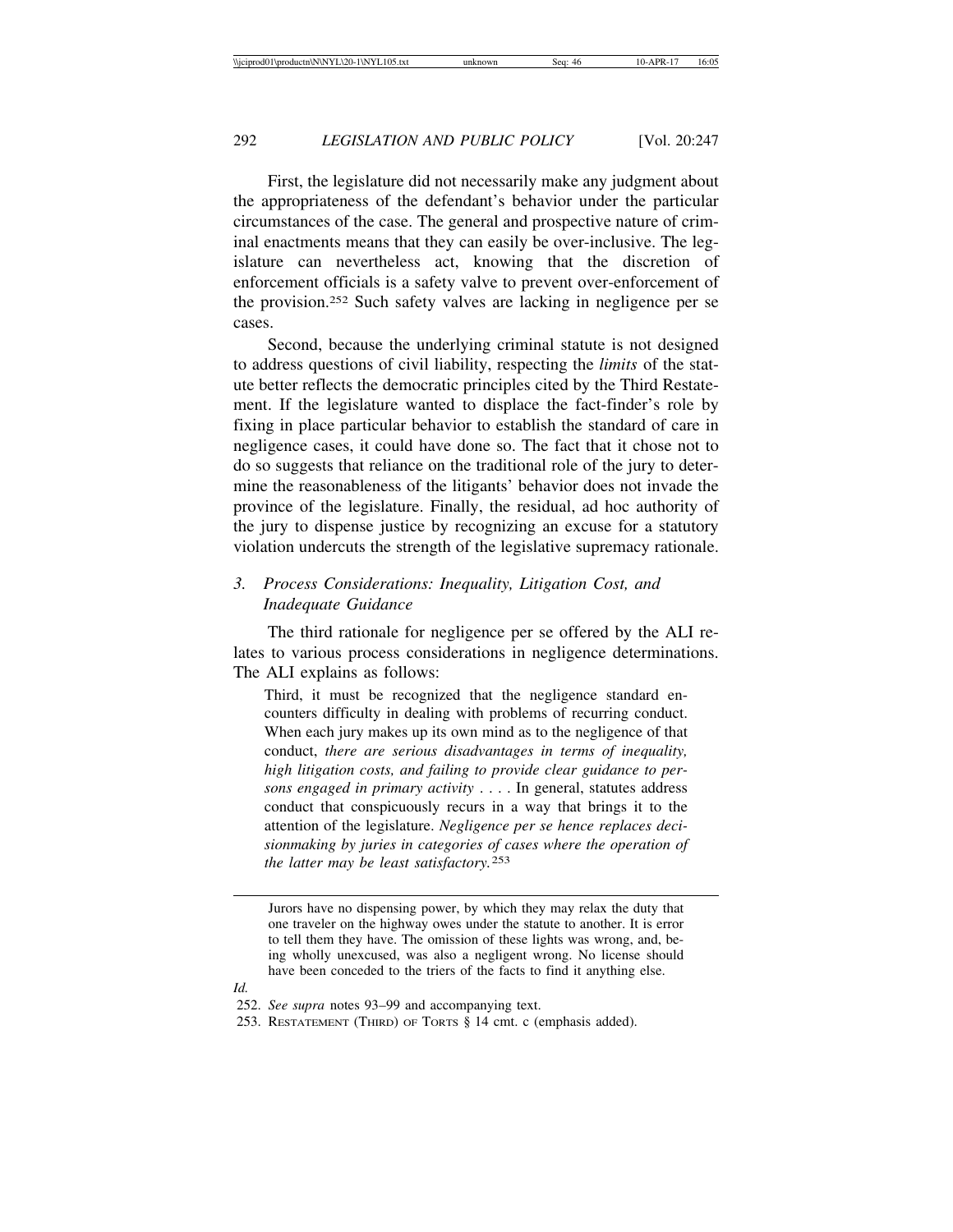First, the legislature did not necessarily make any judgment about the appropriateness of the defendant's behavior under the particular circumstances of the case. The general and prospective nature of criminal enactments means that they can easily be over-inclusive. The legislature can nevertheless act, knowing that the discretion of enforcement officials is a safety valve to prevent over-enforcement of the provision.252 Such safety valves are lacking in negligence per se cases.

Second, because the underlying criminal statute is not designed to address questions of civil liability, respecting the *limits* of the statute better reflects the democratic principles cited by the Third Restatement. If the legislature wanted to displace the fact-finder's role by fixing in place particular behavior to establish the standard of care in negligence cases, it could have done so. The fact that it chose not to do so suggests that reliance on the traditional role of the jury to determine the reasonableness of the litigants' behavior does not invade the province of the legislature. Finally, the residual, ad hoc authority of the jury to dispense justice by recognizing an excuse for a statutory violation undercuts the strength of the legislative supremacy rationale.

# *3. Process Considerations: Inequality, Litigation Cost, and Inadequate Guidance*

The third rationale for negligence per se offered by the ALI relates to various process considerations in negligence determinations. The ALI explains as follows:

Third, it must be recognized that the negligence standard encounters difficulty in dealing with problems of recurring conduct. When each jury makes up its own mind as to the negligence of that conduct, *there are serious disadvantages in terms of inequality, high litigation costs, and failing to provide clear guidance to persons engaged in primary activity* . . . . In general, statutes address conduct that conspicuously recurs in a way that brings it to the attention of the legislature. *Negligence per se hence replaces decisionmaking by juries in categories of cases where the operation of the latter may be least satisfactory.*253

*Id.*

Jurors have no dispensing power, by which they may relax the duty that one traveler on the highway owes under the statute to another. It is error to tell them they have. The omission of these lights was wrong, and, being wholly unexcused, was also a negligent wrong. No license should have been conceded to the triers of the facts to find it anything else.

<sup>252.</sup> *See supra* notes 93–99 and accompanying text.

<sup>253.</sup> RESTATEMENT (THIRD) OF TORTS § 14 cmt. c (emphasis added).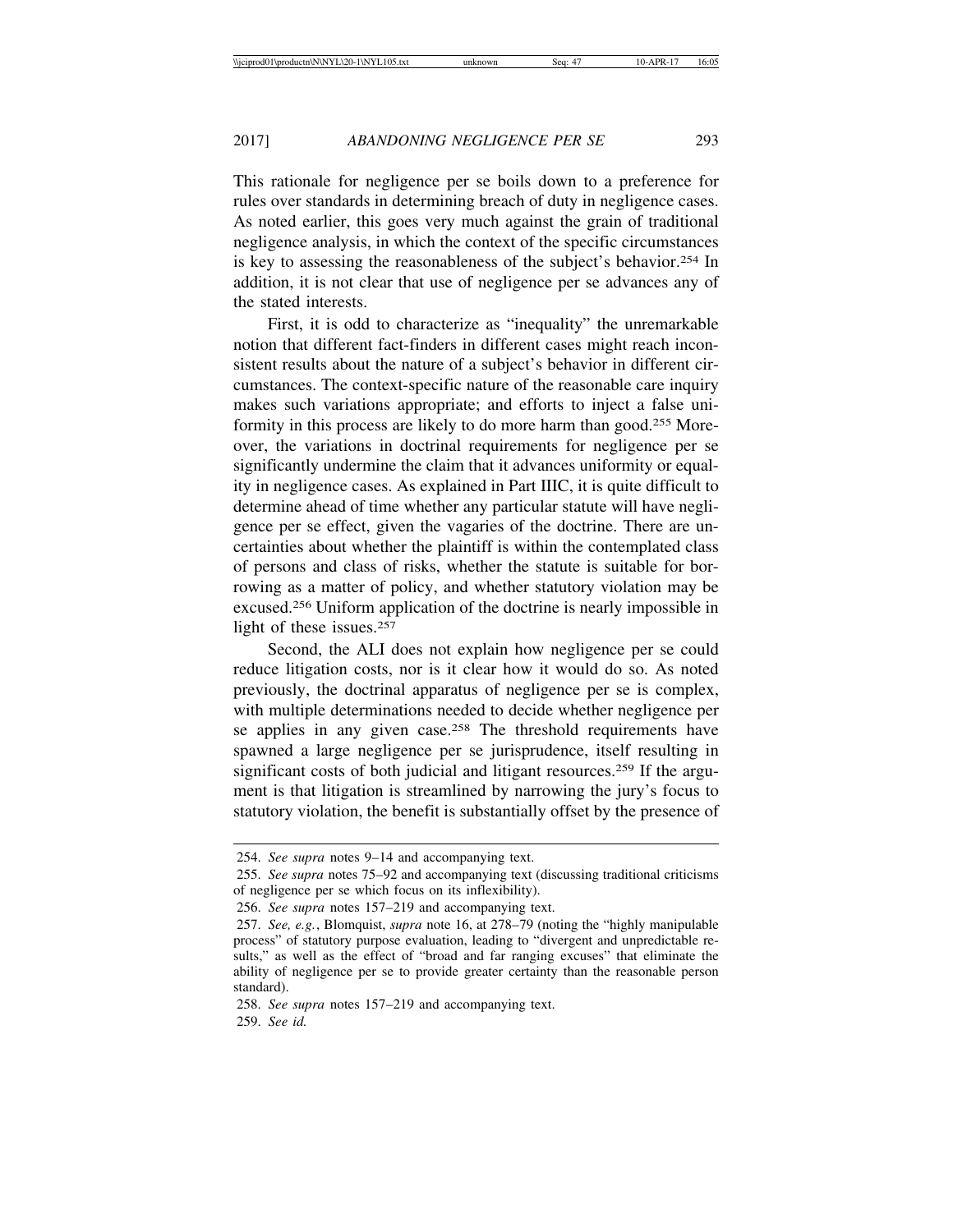This rationale for negligence per se boils down to a preference for rules over standards in determining breach of duty in negligence cases. As noted earlier, this goes very much against the grain of traditional negligence analysis, in which the context of the specific circumstances is key to assessing the reasonableness of the subject's behavior.254 In addition, it is not clear that use of negligence per se advances any of the stated interests.

First, it is odd to characterize as "inequality" the unremarkable notion that different fact-finders in different cases might reach inconsistent results about the nature of a subject's behavior in different circumstances. The context-specific nature of the reasonable care inquiry makes such variations appropriate; and efforts to inject a false uniformity in this process are likely to do more harm than good.255 Moreover, the variations in doctrinal requirements for negligence per se significantly undermine the claim that it advances uniformity or equality in negligence cases. As explained in Part IIIC, it is quite difficult to determine ahead of time whether any particular statute will have negligence per se effect, given the vagaries of the doctrine. There are uncertainties about whether the plaintiff is within the contemplated class of persons and class of risks, whether the statute is suitable for borrowing as a matter of policy, and whether statutory violation may be excused.256 Uniform application of the doctrine is nearly impossible in light of these issues.257

Second, the ALI does not explain how negligence per se could reduce litigation costs, nor is it clear how it would do so. As noted previously, the doctrinal apparatus of negligence per se is complex, with multiple determinations needed to decide whether negligence per se applies in any given case.<sup>258</sup> The threshold requirements have spawned a large negligence per se jurisprudence, itself resulting in significant costs of both judicial and litigant resources.<sup>259</sup> If the argument is that litigation is streamlined by narrowing the jury's focus to statutory violation, the benefit is substantially offset by the presence of

<sup>254.</sup> *See supra* notes 9–14 and accompanying text.

<sup>255.</sup> *See supra* notes 75–92 and accompanying text (discussing traditional criticisms of negligence per se which focus on its inflexibility).

<sup>256.</sup> *See supra* notes 157–219 and accompanying text.

<sup>257.</sup> *See, e.g.*, Blomquist, *supra* note 16, at 278–79 (noting the "highly manipulable process" of statutory purpose evaluation, leading to "divergent and unpredictable results," as well as the effect of "broad and far ranging excuses" that eliminate the ability of negligence per se to provide greater certainty than the reasonable person standard).

<sup>258.</sup> *See supra* notes 157–219 and accompanying text. 259. *See id.*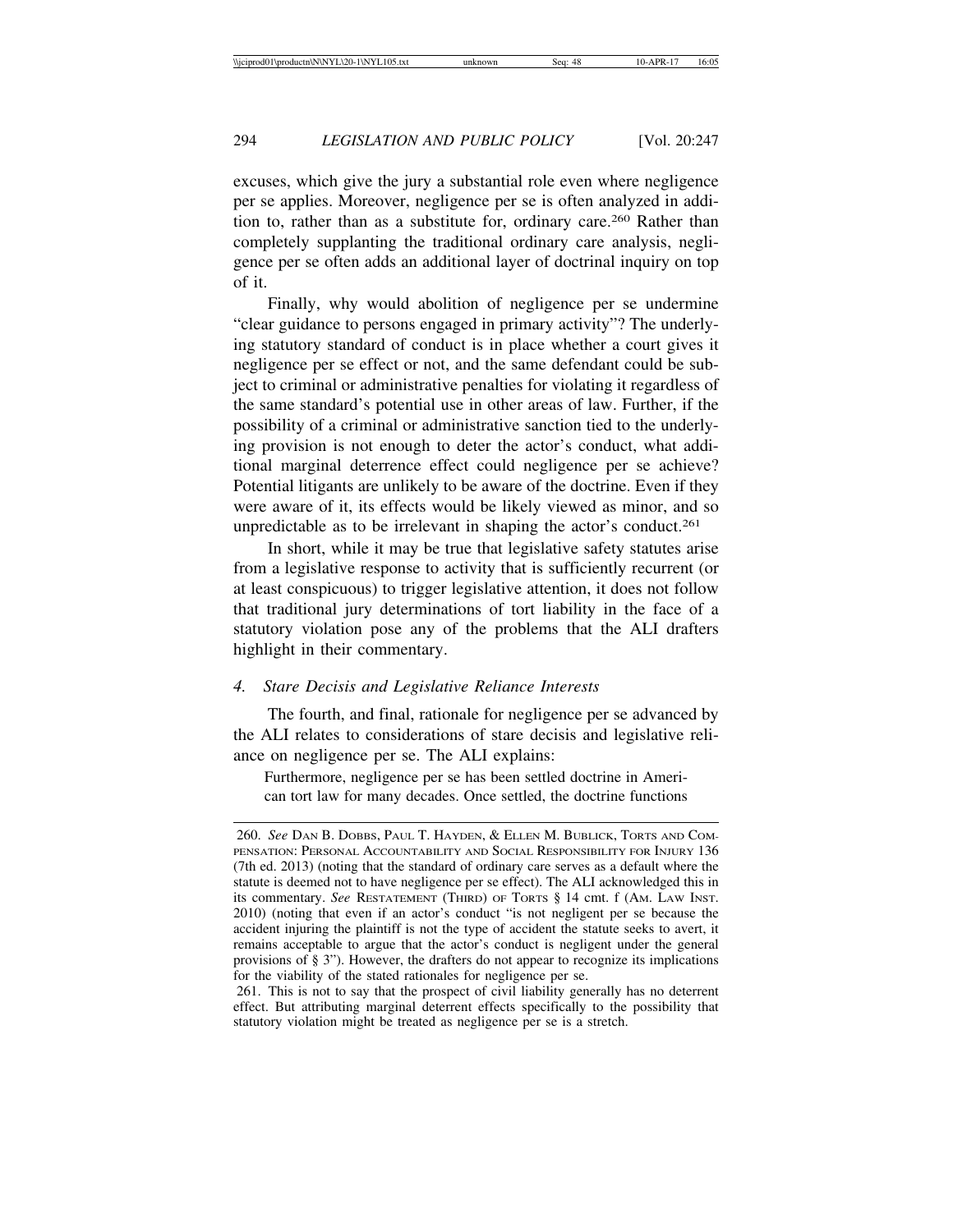excuses, which give the jury a substantial role even where negligence per se applies. Moreover, negligence per se is often analyzed in addition to, rather than as a substitute for, ordinary care.260 Rather than completely supplanting the traditional ordinary care analysis, negligence per se often adds an additional layer of doctrinal inquiry on top of it.

Finally, why would abolition of negligence per se undermine "clear guidance to persons engaged in primary activity"? The underlying statutory standard of conduct is in place whether a court gives it negligence per se effect or not, and the same defendant could be subject to criminal or administrative penalties for violating it regardless of the same standard's potential use in other areas of law. Further, if the possibility of a criminal or administrative sanction tied to the underlying provision is not enough to deter the actor's conduct, what additional marginal deterrence effect could negligence per se achieve? Potential litigants are unlikely to be aware of the doctrine. Even if they were aware of it, its effects would be likely viewed as minor, and so unpredictable as to be irrelevant in shaping the actor's conduct.<sup>261</sup>

In short, while it may be true that legislative safety statutes arise from a legislative response to activity that is sufficiently recurrent (or at least conspicuous) to trigger legislative attention, it does not follow that traditional jury determinations of tort liability in the face of a statutory violation pose any of the problems that the ALI drafters highlight in their commentary.

## *4. Stare Decisis and Legislative Reliance Interests*

The fourth, and final, rationale for negligence per se advanced by the ALI relates to considerations of stare decisis and legislative reliance on negligence per se. The ALI explains:

Furthermore, negligence per se has been settled doctrine in American tort law for many decades. Once settled, the doctrine functions

<sup>260.</sup> *See* DAN B. DOBBS, PAUL T. HAYDEN, & ELLEN M. BUBLICK, TORTS AND COM-PENSATION: PERSONAL ACCOUNTABILITY AND SOCIAL RESPONSIBILITY FOR INJURY 136 (7th ed. 2013) (noting that the standard of ordinary care serves as a default where the statute is deemed not to have negligence per se effect). The ALI acknowledged this in its commentary. *See* RESTATEMENT (THIRD) OF TORTS § 14 cmt. f (AM. LAW INST. 2010) (noting that even if an actor's conduct "is not negligent per se because the accident injuring the plaintiff is not the type of accident the statute seeks to avert, it remains acceptable to argue that the actor's conduct is negligent under the general provisions of § 3"). However, the drafters do not appear to recognize its implications for the viability of the stated rationales for negligence per se.

<sup>261.</sup> This is not to say that the prospect of civil liability generally has no deterrent effect. But attributing marginal deterrent effects specifically to the possibility that statutory violation might be treated as negligence per se is a stretch.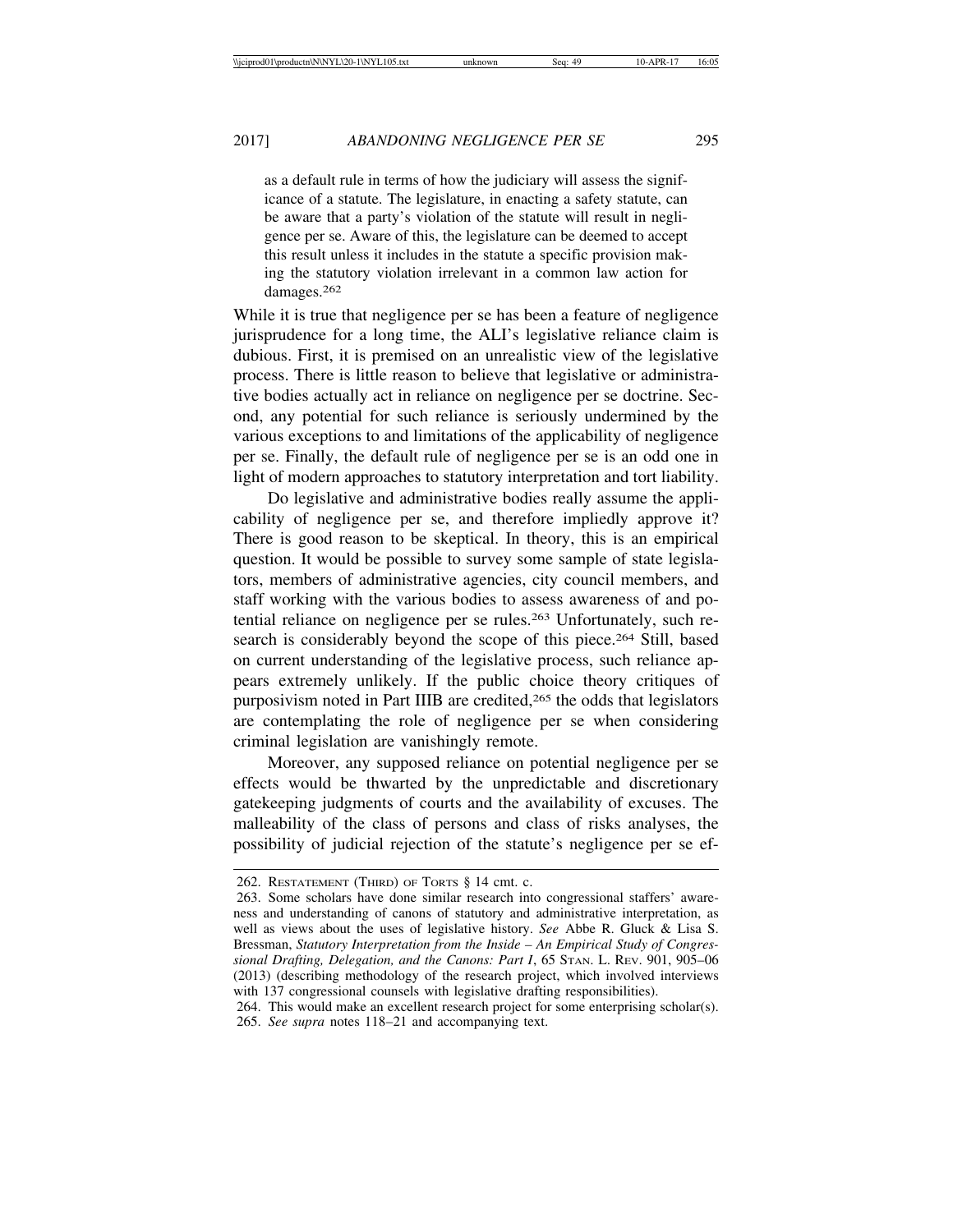as a default rule in terms of how the judiciary will assess the significance of a statute. The legislature, in enacting a safety statute, can be aware that a party's violation of the statute will result in negligence per se. Aware of this, the legislature can be deemed to accept this result unless it includes in the statute a specific provision making the statutory violation irrelevant in a common law action for damages.<sup>262</sup>

While it is true that negligence per se has been a feature of negligence jurisprudence for a long time, the ALI's legislative reliance claim is dubious. First, it is premised on an unrealistic view of the legislative process. There is little reason to believe that legislative or administrative bodies actually act in reliance on negligence per se doctrine. Second, any potential for such reliance is seriously undermined by the various exceptions to and limitations of the applicability of negligence per se. Finally, the default rule of negligence per se is an odd one in light of modern approaches to statutory interpretation and tort liability.

Do legislative and administrative bodies really assume the applicability of negligence per se, and therefore impliedly approve it? There is good reason to be skeptical. In theory, this is an empirical question. It would be possible to survey some sample of state legislators, members of administrative agencies, city council members, and staff working with the various bodies to assess awareness of and potential reliance on negligence per se rules.263 Unfortunately, such research is considerably beyond the scope of this piece.<sup>264</sup> Still, based on current understanding of the legislative process, such reliance appears extremely unlikely. If the public choice theory critiques of purposivism noted in Part IIIB are credited,265 the odds that legislators are contemplating the role of negligence per se when considering criminal legislation are vanishingly remote.

Moreover, any supposed reliance on potential negligence per se effects would be thwarted by the unpredictable and discretionary gatekeeping judgments of courts and the availability of excuses. The malleability of the class of persons and class of risks analyses, the possibility of judicial rejection of the statute's negligence per se ef-

<sup>262.</sup> RESTATEMENT (THIRD) OF TORTS § 14 cmt. c.

<sup>263.</sup> Some scholars have done similar research into congressional staffers' awareness and understanding of canons of statutory and administrative interpretation, as well as views about the uses of legislative history. *See* Abbe R. Gluck & Lisa S. Bressman, *Statutory Interpretation from the Inside – An Empirical Study of Congressional Drafting, Delegation, and the Canons: Part I*, 65 STAN. L. REV. 901, 905–06 (2013) (describing methodology of the research project, which involved interviews with 137 congressional counsels with legislative drafting responsibilities).

<sup>264.</sup> This would make an excellent research project for some enterprising scholar(s). 265. *See supra* notes 118–21 and accompanying text.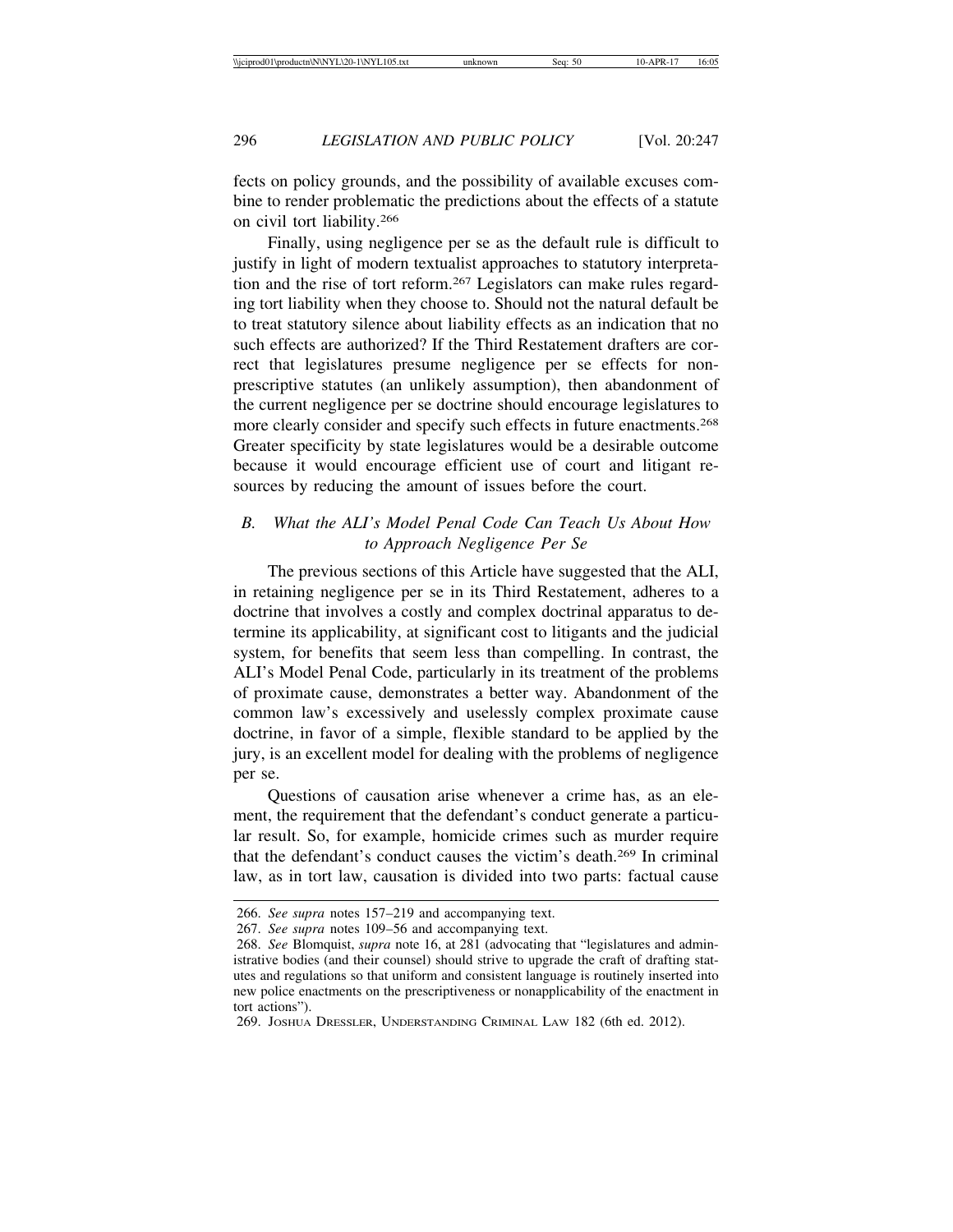fects on policy grounds, and the possibility of available excuses combine to render problematic the predictions about the effects of a statute on civil tort liability.266

Finally, using negligence per se as the default rule is difficult to justify in light of modern textualist approaches to statutory interpretation and the rise of tort reform.267 Legislators can make rules regarding tort liability when they choose to. Should not the natural default be to treat statutory silence about liability effects as an indication that no such effects are authorized? If the Third Restatement drafters are correct that legislatures presume negligence per se effects for nonprescriptive statutes (an unlikely assumption), then abandonment of the current negligence per se doctrine should encourage legislatures to more clearly consider and specify such effects in future enactments.268 Greater specificity by state legislatures would be a desirable outcome because it would encourage efficient use of court and litigant resources by reducing the amount of issues before the court.

# *B. What the ALI's Model Penal Code Can Teach Us About How to Approach Negligence Per Se*

The previous sections of this Article have suggested that the ALI, in retaining negligence per se in its Third Restatement, adheres to a doctrine that involves a costly and complex doctrinal apparatus to determine its applicability, at significant cost to litigants and the judicial system, for benefits that seem less than compelling. In contrast, the ALI's Model Penal Code, particularly in its treatment of the problems of proximate cause, demonstrates a better way. Abandonment of the common law's excessively and uselessly complex proximate cause doctrine, in favor of a simple, flexible standard to be applied by the jury, is an excellent model for dealing with the problems of negligence per se.

Questions of causation arise whenever a crime has, as an element, the requirement that the defendant's conduct generate a particular result. So, for example, homicide crimes such as murder require that the defendant's conduct causes the victim's death.269 In criminal law, as in tort law, causation is divided into two parts: factual cause

269. JOSHUA DRESSLER, UNDERSTANDING CRIMINAL LAW 182 (6th ed. 2012).

<sup>266.</sup> *See supra* notes 157–219 and accompanying text.

<sup>267.</sup> *See supra* notes 109–56 and accompanying text.

<sup>268.</sup> *See* Blomquist, *supra* note 16, at 281 (advocating that "legislatures and administrative bodies (and their counsel) should strive to upgrade the craft of drafting statutes and regulations so that uniform and consistent language is routinely inserted into new police enactments on the prescriptiveness or nonapplicability of the enactment in tort actions").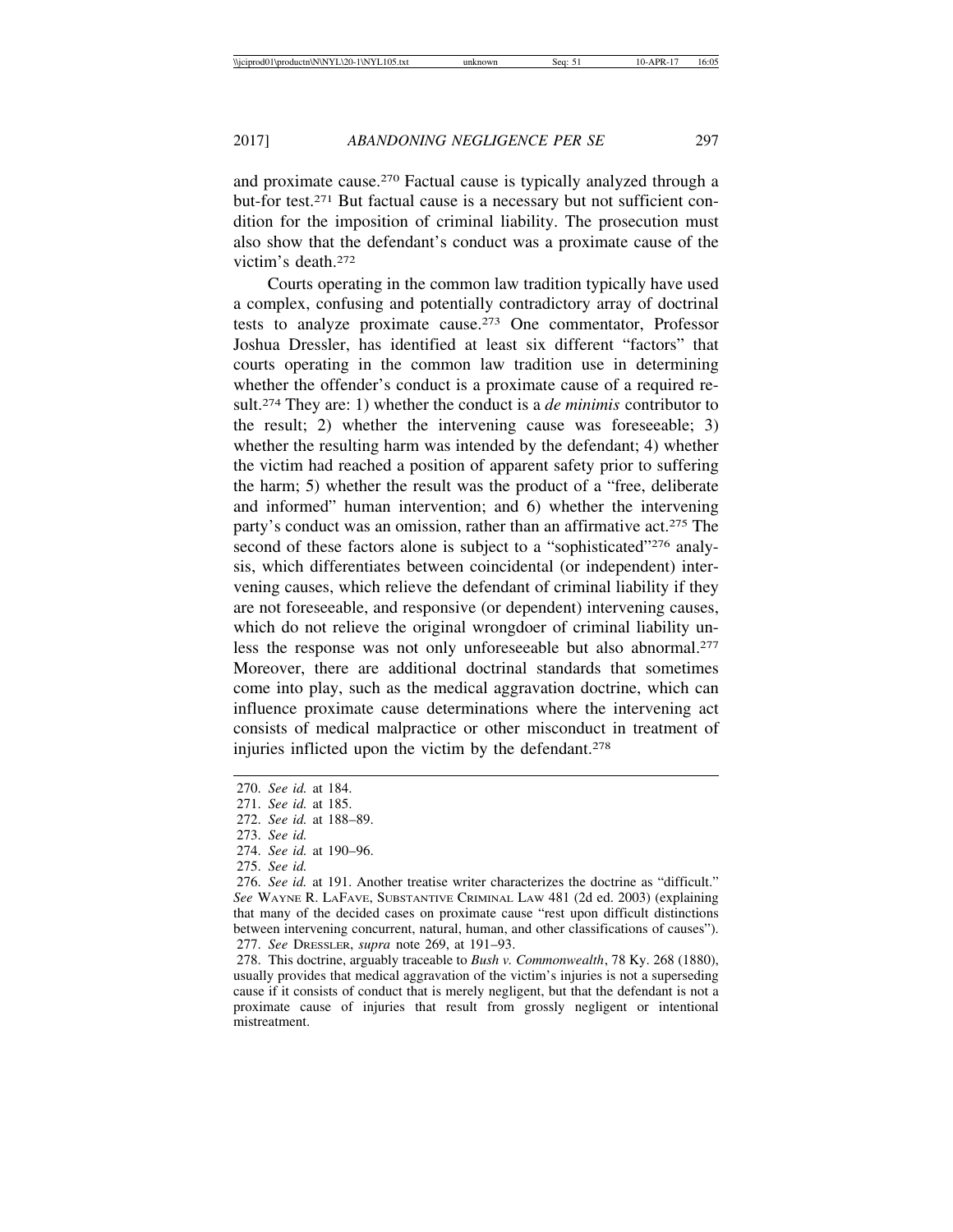and proximate cause.270 Factual cause is typically analyzed through a but-for test.271 But factual cause is a necessary but not sufficient condition for the imposition of criminal liability. The prosecution must also show that the defendant's conduct was a proximate cause of the victim's death.272

Courts operating in the common law tradition typically have used a complex, confusing and potentially contradictory array of doctrinal tests to analyze proximate cause.273 One commentator, Professor Joshua Dressler, has identified at least six different "factors" that courts operating in the common law tradition use in determining whether the offender's conduct is a proximate cause of a required result.274 They are: 1) whether the conduct is a *de minimis* contributor to the result; 2) whether the intervening cause was foreseeable; 3) whether the resulting harm was intended by the defendant; 4) whether the victim had reached a position of apparent safety prior to suffering the harm; 5) whether the result was the product of a "free, deliberate and informed" human intervention; and 6) whether the intervening party's conduct was an omission, rather than an affirmative act.<sup>275</sup> The second of these factors alone is subject to a "sophisticated"<sup>276</sup> analysis, which differentiates between coincidental (or independent) intervening causes, which relieve the defendant of criminal liability if they are not foreseeable, and responsive (or dependent) intervening causes, which do not relieve the original wrongdoer of criminal liability unless the response was not only unforeseeable but also abnormal.277 Moreover, there are additional doctrinal standards that sometimes come into play, such as the medical aggravation doctrine, which can influence proximate cause determinations where the intervening act consists of medical malpractice or other misconduct in treatment of injuries inflicted upon the victim by the defendant.278

274. *See id.* at 190–96.

<sup>270.</sup> *See id.* at 184.

<sup>271.</sup> *See id.* at 185.

<sup>272.</sup> *See id.* at 188–89.

<sup>273.</sup> *See id.*

<sup>275.</sup> *See id.*

<sup>276.</sup> *See id.* at 191. Another treatise writer characterizes the doctrine as "difficult." *See* WAYNE R. LAFAVE, SUBSTANTIVE CRIMINAL LAW 481 (2d ed. 2003) (explaining that many of the decided cases on proximate cause "rest upon difficult distinctions between intervening concurrent, natural, human, and other classifications of causes"). 277. *See* DRESSLER, *supra* note 269, at 191–93.

<sup>278.</sup> This doctrine, arguably traceable to *Bush v. Commonwealth*, 78 Ky. 268 (1880), usually provides that medical aggravation of the victim's injuries is not a superseding cause if it consists of conduct that is merely negligent, but that the defendant is not a proximate cause of injuries that result from grossly negligent or intentional mistreatment.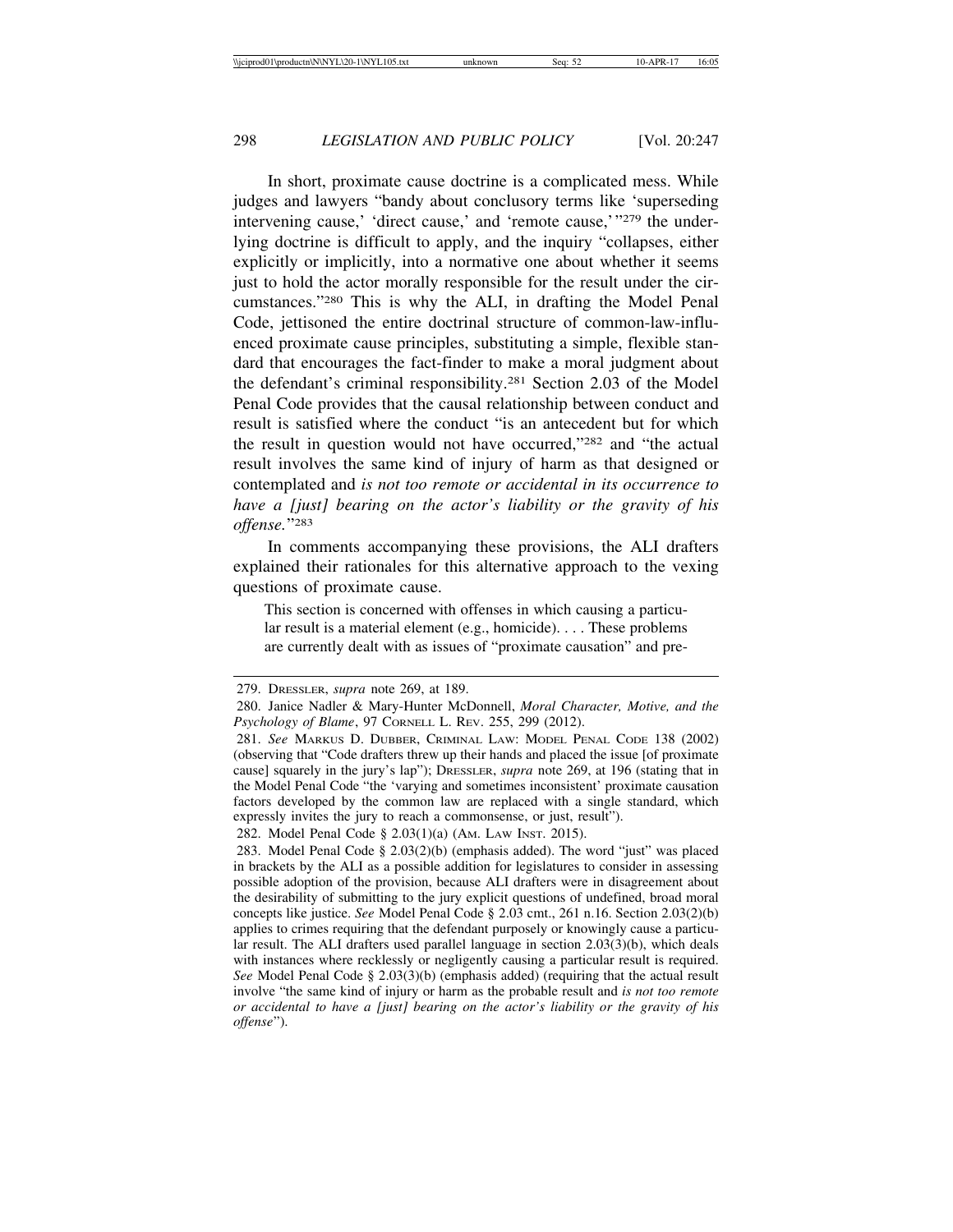In short, proximate cause doctrine is a complicated mess. While judges and lawyers "bandy about conclusory terms like 'superseding intervening cause,' 'direct cause,' and 'remote cause,'"279 the underlying doctrine is difficult to apply, and the inquiry "collapses, either explicitly or implicitly, into a normative one about whether it seems just to hold the actor morally responsible for the result under the circumstances."280 This is why the ALI, in drafting the Model Penal Code, jettisoned the entire doctrinal structure of common-law-influenced proximate cause principles, substituting a simple, flexible standard that encourages the fact-finder to make a moral judgment about the defendant's criminal responsibility.281 Section 2.03 of the Model Penal Code provides that the causal relationship between conduct and result is satisfied where the conduct "is an antecedent but for which the result in question would not have occurred,"282 and "the actual result involves the same kind of injury of harm as that designed or contemplated and *is not too remote or accidental in its occurrence to have a [just] bearing on the actor's liability or the gravity of his offense.*"283

In comments accompanying these provisions, the ALI drafters explained their rationales for this alternative approach to the vexing questions of proximate cause.

This section is concerned with offenses in which causing a particular result is a material element (e.g., homicide). . . . These problems are currently dealt with as issues of "proximate causation" and pre-

282. Model Penal Code § 2.03(1)(a) (AM. LAW INST. 2015).

<sup>279.</sup> DRESSLER, *supra* note 269, at 189.

<sup>280.</sup> Janice Nadler & Mary-Hunter McDonnell, *Moral Character, Motive, and the Psychology of Blame*, 97 CORNELL L. REV. 255, 299 (2012).

<sup>281.</sup> *See* MARKUS D. DUBBER, CRIMINAL LAW: MODEL PENAL CODE 138 (2002) (observing that "Code drafters threw up their hands and placed the issue [of proximate cause] squarely in the jury's lap"); DRESSLER, *supra* note 269, at 196 (stating that in the Model Penal Code "the 'varying and sometimes inconsistent' proximate causation factors developed by the common law are replaced with a single standard, which expressly invites the jury to reach a commonsense, or just, result").

<sup>283.</sup> Model Penal Code § 2.03(2)(b) (emphasis added). The word "just" was placed in brackets by the ALI as a possible addition for legislatures to consider in assessing possible adoption of the provision, because ALI drafters were in disagreement about the desirability of submitting to the jury explicit questions of undefined, broad moral concepts like justice. *See* Model Penal Code § 2.03 cmt., 261 n.16. Section 2.03(2)(b) applies to crimes requiring that the defendant purposely or knowingly cause a particular result. The ALI drafters used parallel language in section 2.03(3)(b), which deals with instances where recklessly or negligently causing a particular result is required. *See* Model Penal Code § 2.03(3)(b) (emphasis added) (requiring that the actual result involve "the same kind of injury or harm as the probable result and *is not too remote or accidental to have a [just] bearing on the actor's liability or the gravity of his offense*").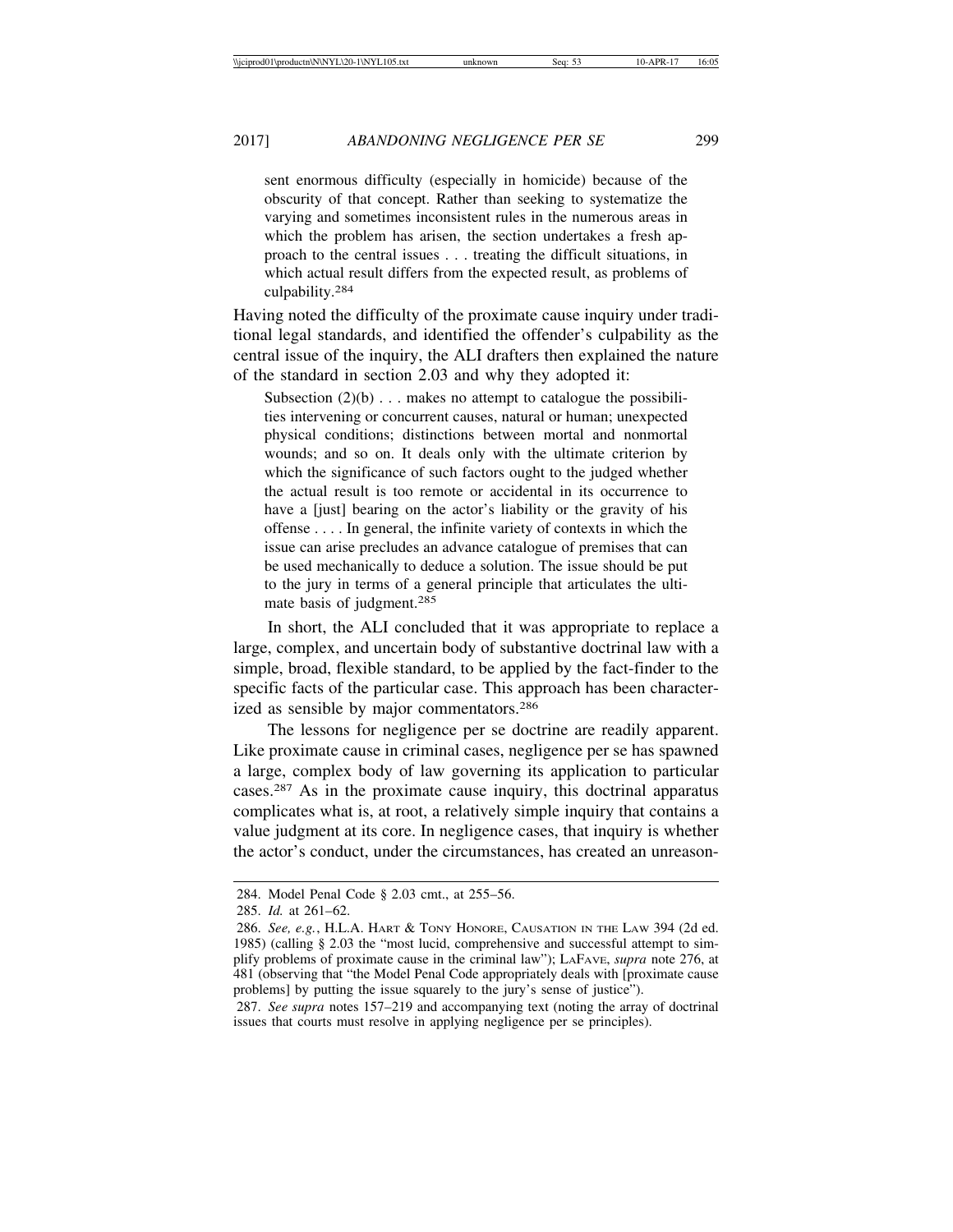sent enormous difficulty (especially in homicide) because of the obscurity of that concept. Rather than seeking to systematize the varying and sometimes inconsistent rules in the numerous areas in which the problem has arisen, the section undertakes a fresh approach to the central issues . . . treating the difficult situations, in which actual result differs from the expected result, as problems of culpability.<sup>284</sup>

Having noted the difficulty of the proximate cause inquiry under traditional legal standards, and identified the offender's culpability as the central issue of the inquiry, the ALI drafters then explained the nature of the standard in section 2.03 and why they adopted it:

Subsection  $(2)(b)$ ... makes no attempt to catalogue the possibilities intervening or concurrent causes, natural or human; unexpected physical conditions; distinctions between mortal and nonmortal wounds; and so on. It deals only with the ultimate criterion by which the significance of such factors ought to the judged whether the actual result is too remote or accidental in its occurrence to have a [just] bearing on the actor's liability or the gravity of his offense . . . . In general, the infinite variety of contexts in which the issue can arise precludes an advance catalogue of premises that can be used mechanically to deduce a solution. The issue should be put to the jury in terms of a general principle that articulates the ultimate basis of judgment.285

In short, the ALI concluded that it was appropriate to replace a large, complex, and uncertain body of substantive doctrinal law with a simple, broad, flexible standard, to be applied by the fact-finder to the specific facts of the particular case. This approach has been characterized as sensible by major commentators.286

The lessons for negligence per se doctrine are readily apparent. Like proximate cause in criminal cases, negligence per se has spawned a large, complex body of law governing its application to particular cases.287 As in the proximate cause inquiry, this doctrinal apparatus complicates what is, at root, a relatively simple inquiry that contains a value judgment at its core. In negligence cases, that inquiry is whether the actor's conduct, under the circumstances, has created an unreason-

<sup>284.</sup> Model Penal Code § 2.03 cmt., at 255–56.

<sup>285.</sup> *Id.* at 261–62.

<sup>286.</sup> *See, e.g.*, H.L.A. HART & TONY HONORE, CAUSATION IN THE LAW 394 (2d ed. 1985) (calling § 2.03 the "most lucid, comprehensive and successful attempt to simplify problems of proximate cause in the criminal law"); LAFAVE, *supra* note 276, at 481 (observing that "the Model Penal Code appropriately deals with [proximate cause problems] by putting the issue squarely to the jury's sense of justice").

<sup>287.</sup> *See supra* notes 157–219 and accompanying text (noting the array of doctrinal issues that courts must resolve in applying negligence per se principles).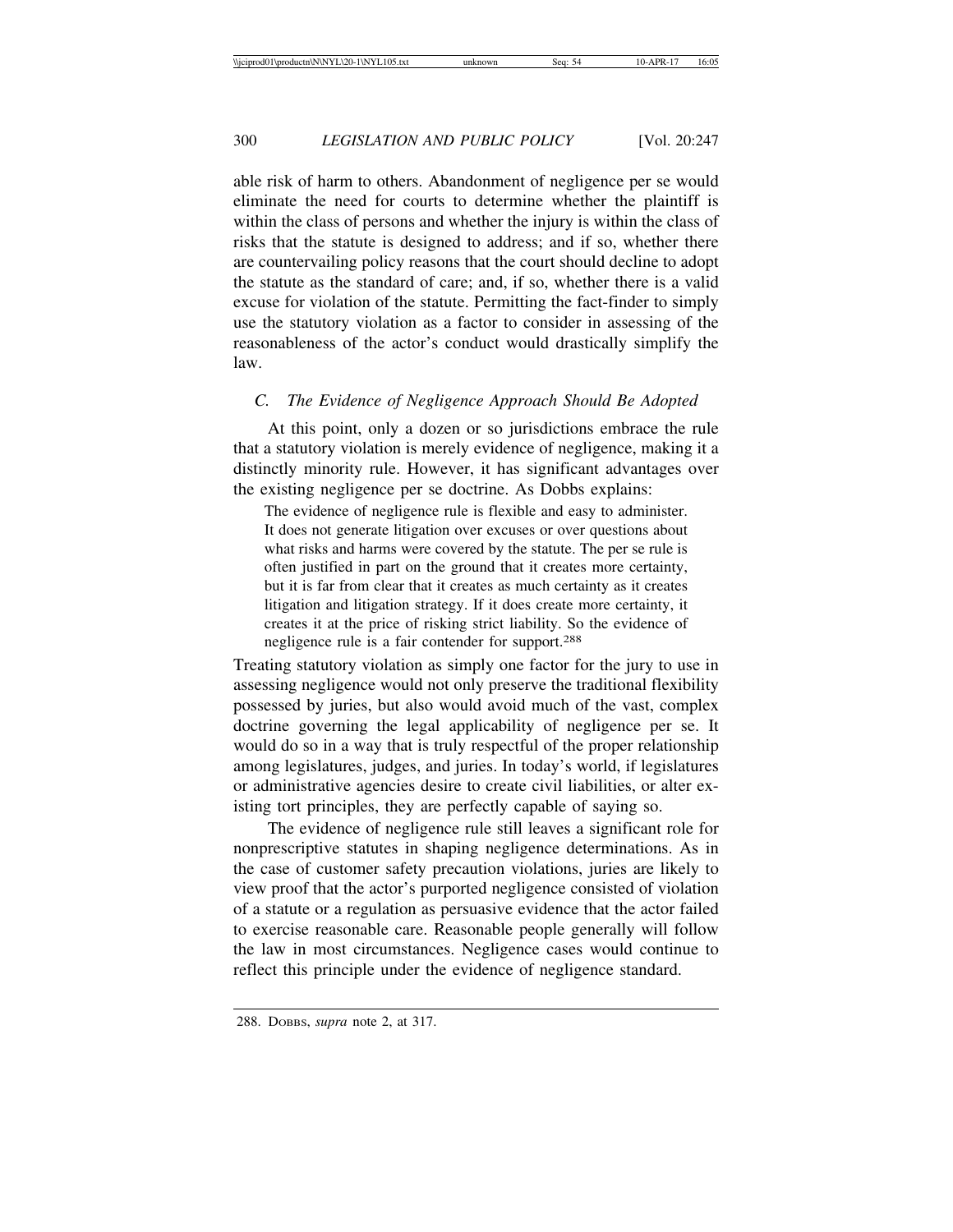able risk of harm to others. Abandonment of negligence per se would eliminate the need for courts to determine whether the plaintiff is within the class of persons and whether the injury is within the class of risks that the statute is designed to address; and if so, whether there are countervailing policy reasons that the court should decline to adopt the statute as the standard of care; and, if so, whether there is a valid excuse for violation of the statute. Permitting the fact-finder to simply use the statutory violation as a factor to consider in assessing of the reasonableness of the actor's conduct would drastically simplify the law.

## *C. The Evidence of Negligence Approach Should Be Adopted*

At this point, only a dozen or so jurisdictions embrace the rule that a statutory violation is merely evidence of negligence, making it a distinctly minority rule. However, it has significant advantages over the existing negligence per se doctrine. As Dobbs explains:

The evidence of negligence rule is flexible and easy to administer. It does not generate litigation over excuses or over questions about what risks and harms were covered by the statute. The per se rule is often justified in part on the ground that it creates more certainty, but it is far from clear that it creates as much certainty as it creates litigation and litigation strategy. If it does create more certainty, it creates it at the price of risking strict liability. So the evidence of negligence rule is a fair contender for support.288

Treating statutory violation as simply one factor for the jury to use in assessing negligence would not only preserve the traditional flexibility possessed by juries, but also would avoid much of the vast, complex doctrine governing the legal applicability of negligence per se. It would do so in a way that is truly respectful of the proper relationship among legislatures, judges, and juries. In today's world, if legislatures or administrative agencies desire to create civil liabilities, or alter existing tort principles, they are perfectly capable of saying so.

The evidence of negligence rule still leaves a significant role for nonprescriptive statutes in shaping negligence determinations. As in the case of customer safety precaution violations, juries are likely to view proof that the actor's purported negligence consisted of violation of a statute or a regulation as persuasive evidence that the actor failed to exercise reasonable care. Reasonable people generally will follow the law in most circumstances. Negligence cases would continue to reflect this principle under the evidence of negligence standard.

<sup>288.</sup> DOBBS, *supra* note 2, at 317.